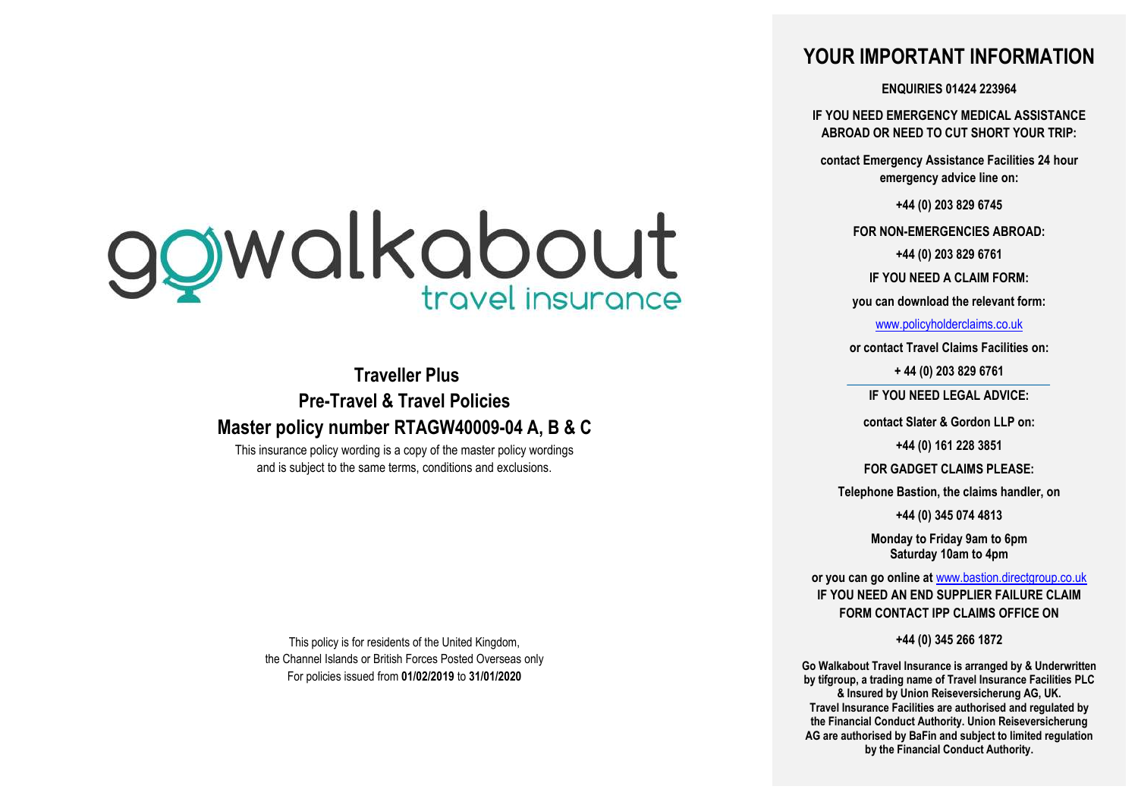# ggwalkabout

**Traveller Plus Pre-Travel & Travel Policies Master policy number RTAGW40009-04 A, B & C**

This insurance policy wording is a copy of the master policy wordings and is subject to the same terms, conditions and exclusions.

This policy is for residents of the United Kingdom, the Channel Islands or British Forces Posted Overseas only For policies issued from **01/02/2019** to **31/01/2020**

# **YOUR IMPORTANT INFORMATION**

**ENQUIRIES 01424 223964**

**IF YOU NEED EMERGENCY MEDICAL ASSISTANCE ABROAD OR NEED TO CUT SHORT YOUR TRIP:**

**contact Emergency Assistance Facilities 24 hour emergency advice line on:**

**+44 (0) 203 829 6745**

**FOR NON-EMERGENCIES ABROAD:**

**+44 (0) 203 829 6761**

**IF YOU NEED A CLAIM FORM:**

**you can download the relevant form:**

[www.policyholderclaims.co.uk](http://www.policyholderclaims.co.uk/)

**or contact Travel Claims Facilities on:**

**+ 44 (0) 203 829 6761**

**IF YOU NEED LEGAL ADVICE:**

**contact Slater & Gordon LLP on:**

**+44 (0) 161 228 3851**

**FOR GADGET CLAIMS PLEASE:** 

**Telephone Bastion, the claims handler, on**

**+44 (0) 345 074 4813**

**Monday to Friday 9am to 6pm Saturday 10am to 4pm**

**or you can go online at** [www.bastion.directgroup.co.uk](http://www.bastion.directgroup.co.uk/) **IF YOU NEED AN END SUPPLIER FAILURE CLAIM FORM CONTACT IPP CLAIMS OFFICE ON**

**+44 (0) 345 266 1872**

**Go Walkabout Travel Insurance is arranged by & Underwritten by tifgroup, a trading name of Travel Insurance Facilities PLC & Insured by Union Reiseversicherung AG, UK. Travel Insurance Facilities are authorised and regulated by the Financial Conduct Authority. Union Reiseversicherung AG are authorised by BaFin and subject to limited regulation by the Financial Conduct Authority.**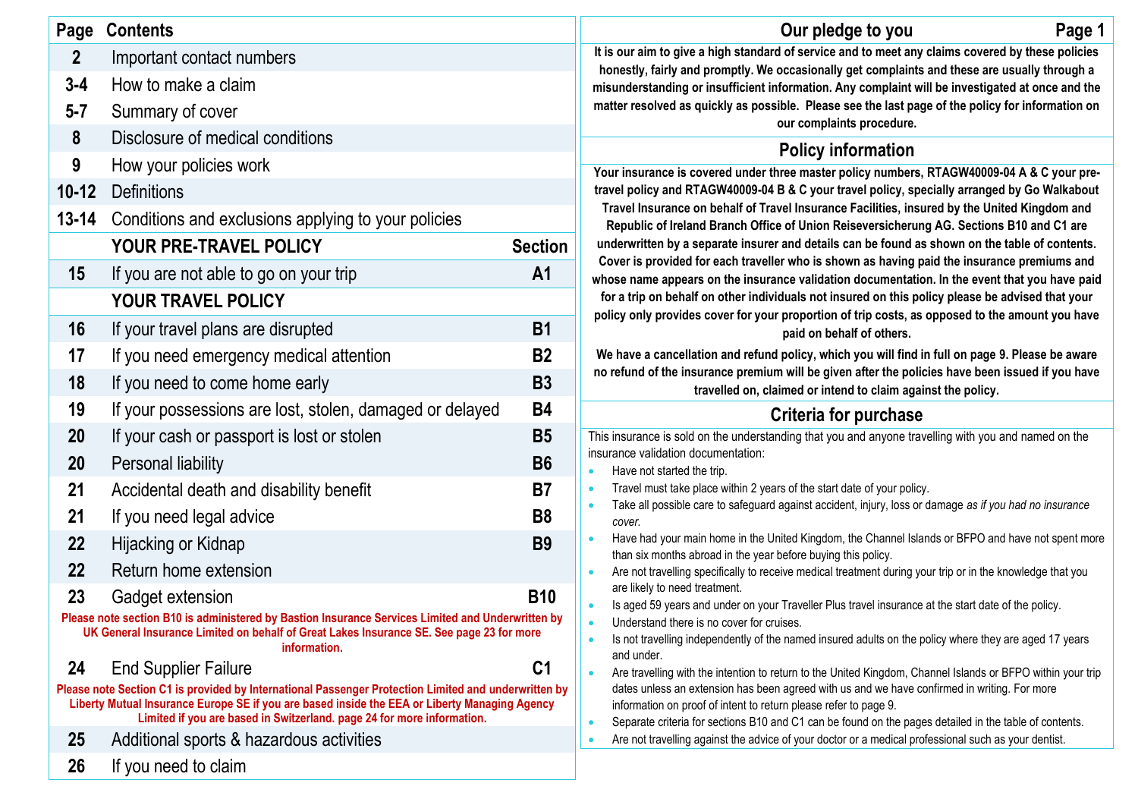| Page             | <b>Contents</b>                                                                                                                                                                               |                | Page 1<br>Our pledge to you                                                                                                                                                                                              |
|------------------|-----------------------------------------------------------------------------------------------------------------------------------------------------------------------------------------------|----------------|--------------------------------------------------------------------------------------------------------------------------------------------------------------------------------------------------------------------------|
| $\boldsymbol{2}$ | Important contact numbers                                                                                                                                                                     |                | It is our aim to give a high standard of service and to meet any claims covered by these policies<br>honestly, fairly and promptly. We occasionally get complaints and these are usually through a                       |
| $3 - 4$          | How to make a claim                                                                                                                                                                           |                | misunderstanding or insufficient information. Any complaint will be investigated at once and the                                                                                                                         |
| $5 - 7$          | Summary of cover                                                                                                                                                                              |                | matter resolved as quickly as possible. Please see the last page of the policy for information on<br>our complaints procedure.                                                                                           |
| 8                | Disclosure of medical conditions                                                                                                                                                              |                | <b>Policy information</b>                                                                                                                                                                                                |
| 9                | How your policies work                                                                                                                                                                        |                | Your insurance is covered under three master policy numbers, RTAGW40009-04 A & C your pre-                                                                                                                               |
| $10 - 12$        | <b>Definitions</b>                                                                                                                                                                            |                | travel policy and RTAGW40009-04 B & C your travel policy, specially arranged by Go Walkabout                                                                                                                             |
| $13 - 14$        | Conditions and exclusions applying to your policies                                                                                                                                           |                | Travel Insurance on behalf of Travel Insurance Facilities, insured by the United Kingdom and<br>Republic of Ireland Branch Office of Union Reiseversicherung AG. Sections B10 and C1 are                                 |
|                  | YOUR PRE-TRAVEL POLICY                                                                                                                                                                        | <b>Section</b> | underwritten by a separate insurer and details can be found as shown on the table of contents.                                                                                                                           |
| 15               | If you are not able to go on your trip                                                                                                                                                        | A <sub>1</sub> | Cover is provided for each traveller who is shown as having paid the insurance premiums and<br>whose name appears on the insurance validation documentation. In the event that you have paid                             |
|                  | YOUR TRAVEL POLICY                                                                                                                                                                            |                | for a trip on behalf on other individuals not insured on this policy please be advised that your                                                                                                                         |
| 16               | If your travel plans are disrupted                                                                                                                                                            | <b>B1</b>      | policy only provides cover for your proportion of trip costs, as opposed to the amount you have<br>paid on behalf of others.                                                                                             |
| 17               | If you need emergency medical attention                                                                                                                                                       | <b>B2</b>      | We have a cancellation and refund policy, which you will find in full on page 9. Please be aware                                                                                                                         |
| 18               | If you need to come home early                                                                                                                                                                | <b>B3</b>      | no refund of the insurance premium will be given after the policies have been issued if you have<br>travelled on, claimed or intend to claim against the policy.                                                         |
| 19               | If your possessions are lost, stolen, damaged or delayed                                                                                                                                      | <b>B4</b>      | Criteria for purchase                                                                                                                                                                                                    |
| 20               | If your cash or passport is lost or stolen                                                                                                                                                    | <b>B5</b>      | This insurance is sold on the understanding that you and anyone travelling with you and named on the                                                                                                                     |
| 20               | Personal liability                                                                                                                                                                            | <b>B6</b>      | insurance validation documentation:<br>Have not started the trip.<br>$\bullet$                                                                                                                                           |
| 21               | Accidental death and disability benefit                                                                                                                                                       | <b>B7</b>      | Travel must take place within 2 years of the start date of your policy.<br>$\bullet$                                                                                                                                     |
| 21               | If you need legal advice                                                                                                                                                                      | <b>B8</b>      | Take all possible care to safeguard against accident, injury, loss or damage as if you had no insurance<br>$\bullet$<br>cover.                                                                                           |
| 22               | Hijacking or Kidnap                                                                                                                                                                           | <b>B9</b>      | Have had your main home in the United Kingdom, the Channel Islands or BFPO and have not spent more<br>$\bullet$<br>than six months abroad in the year before buying this policy.                                         |
| 22               | Return home extension                                                                                                                                                                         |                | Are not travelling specifically to receive medical treatment during your trip or in the knowledge that you<br>$\bullet$                                                                                                  |
| 23               | Gadget extension                                                                                                                                                                              | <b>B10</b>     | are likely to need treatment.<br>Is aged 59 years and under on your Traveller Plus travel insurance at the start date of the policy.<br>$\bullet$                                                                        |
|                  | Please note section B10 is administered by Bastion Insurance Services Limited and Underwritten by<br>UK General Insurance Limited on behalf of Great Lakes Insurance SE. See page 23 for more |                | Understand there is no cover for cruises.<br>Is not travelling independently of the named insured adults on the policy where they are aged 17 years                                                                      |
| 24               | information.<br><b>End Supplier Failure</b>                                                                                                                                                   | C <sub>1</sub> | and under.                                                                                                                                                                                                               |
|                  | Please note Section C1 is provided by International Passenger Protection Limited and underwritten by                                                                                          |                | Are travelling with the intention to return to the United Kingdom, Channel Islands or BFPO within your trip<br>$\bullet$<br>dates unless an extension has been agreed with us and we have confirmed in writing. For more |
|                  | Liberty Mutual Insurance Europe SE if you are based inside the EEA or Liberty Managing Agency<br>Limited if you are based in Switzerland. page 24 for more information.                       |                | information on proof of intent to return please refer to page 9.<br>Separate criteria for sections B10 and C1 can be found on the pages detailed in the table of contents.<br>$\bullet$                                  |
| 25               | Additional sports & hazardous activities                                                                                                                                                      |                | Are not travelling against the advice of your doctor or a medical professional such as your dentist.                                                                                                                     |
| 26               | If you need to claim                                                                                                                                                                          |                |                                                                                                                                                                                                                          |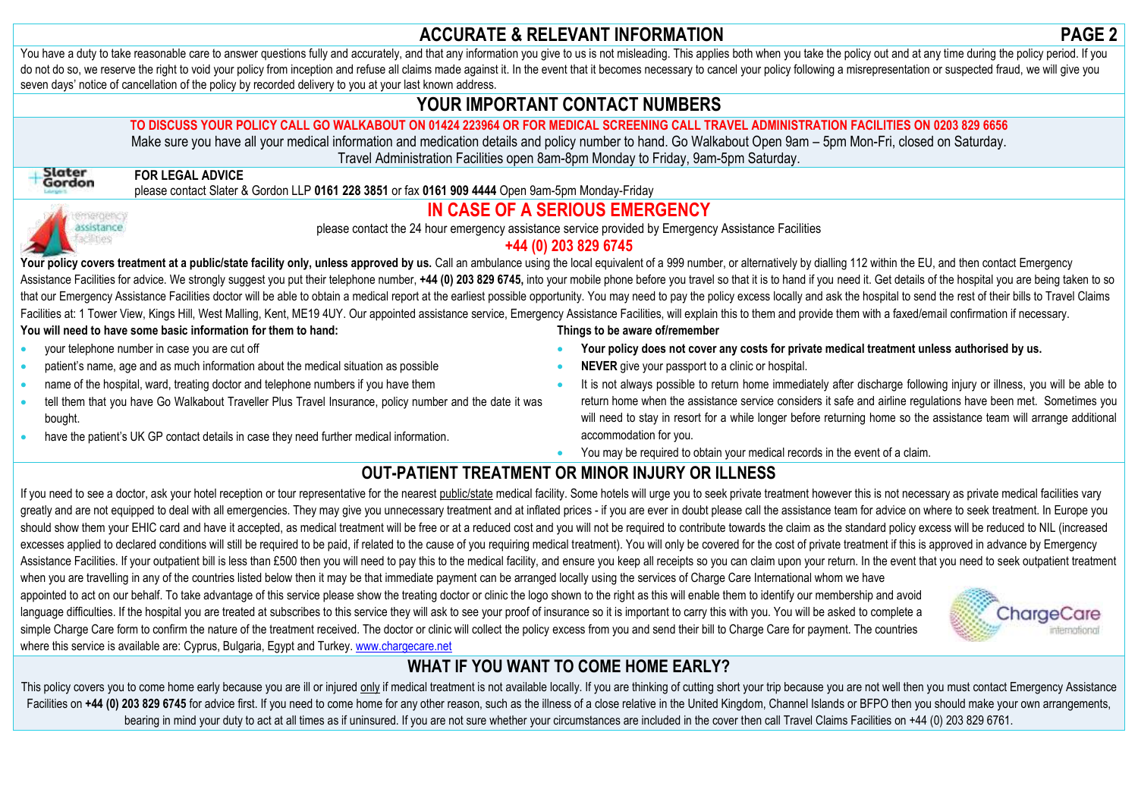# **ACCURATE & RELEVANT INFORMATION PAGE 2**

You have a duty to take reasonable care to answer questions fully and accurately, and that any information you give to us is not misleading. This applies both when you take the policy out and at any time during the policy do not do so, we reserve the right to void your policy from inception and refuse all claims made against it. In the event that it becomes necessary to cancel your policy following a misrepresentation or suspected fraud, we seven days' notice of cancellation of the policy by recorded delivery to you at your last known address.

# **YOUR IMPORTANT CONTACT NUMBERS**

## **TO DISCUSS YOUR POLICY CALL GO WALKABOUT ON 01424 223964 OR FOR MEDICAL SCREENING CALL TRAVEL ADMINISTRATION FACILITIES ON 0203 829 6656**

Make sure you have all your medical information and medication details and policy number to hand. Go Walkabout Open 9am – 5pm Mon-Fri, closed on Saturday. Travel Administration Facilities open 8am-8pm Monday to Friday, 9am-5pm Saturday.

# **FOR LEGAL ADVICE**

please contact Slater & Gordon LLP **0161 228 3851** or fax **0161 909 4444** Open 9am-5pm Monday-Friday



# **IN CASE OF A SERIOUS EMERGENCY**

please contact the 24 hour emergency assistance service provided by Emergency Assistance Facilities

# **+44 (0) 203 829 6745**

Your policy covers treatment at a public/state facility only, unless approved by us. Call an ambulance using the local equivalent of a 999 number, or alternatively by dialling 112 within the EU, and then contact Emergency Assistance Facilities for advice. We strongly suggest you put their telephone number, +44 (0) 203 829 6745, into your mobile phone before you travel so that it is to hand if you need it. Get details of the hospital you are that our Emergency Assistance Facilities doctor will be able to obtain a medical report at the earliest possible opportunity. You may need to pay the policy excess locally and ask the hospital to send the rest of their bil Facilities at: 1 Tower View, Kings Hill, West Malling, Kent, ME19 4UY. Our appointed assistance service, Emergency Assistance Facilities, will explain this to them and provide them with a faxed/email confirmation if necess

### **You will need to have some basic information for them to hand:**

- your telephone number in case you are cut off
- patient's name, age and as much information about the medical situation as possible
- name of the hospital, ward, treating doctor and telephone numbers if you have them
- tell them that you have Go Walkabout Traveller Plus Travel Insurance, policy number and the date it was bought.
- have the patient's UK GP contact details in case they need further medical information.

where this service is available are: Cyprus, Bulgaria, Egypt and Turkey[. www.chargecare.net](http://www.chargecare.net/)

### **Things to be aware of/remember**

- **Your policy does not cover any costs for private medical treatment unless authorised by us.**
- **NEVER** give your passport to a clinic or hospital.
- It is not always possible to return home immediately after discharge following injury or illness, you will be able to return home when the assistance service considers it safe and airline regulations have been met. Sometimes you will need to stay in resort for a while longer before returning home so the assistance team will arrange additional accommodation for you.
- You may be required to obtain your medical records in the event of a claim.

# **OUT-PATIENT TREATMENT OR MINOR INJURY OR ILLNESS**

If you need to see a doctor, ask your hotel reception or tour representative for the nearest public/state medical facility. Some hotels will urge you to seek private treatment however this is not necessary as private medic greatly and are not equipped to deal with all emergencies. They may give you unnecessary treatment and at inflated prices - if you are ever in doubt please call the assistance team for advice on where to seek treatment. In should show them your EHIC card and have it accepted, as medical treatment will be free or at a reduced cost and you will not be required to contribute towards the claim as the standard policy excess will be reduced to NIL excesses applied to declared conditions will still be required to be paid, if related to the cause of you requiring medical treatment). You will only be covered for the cost of private treatment if this is approved in adva Assistance Facilities. If your outpatient bill is less than £500 then you will need to pay this to the medical facility, and ensure you keep all receipts so you can claim upon your return. In the event that you need to see when you are travelling in any of the countries listed below then it may be that immediate payment can be arranged locally using the services of Charge Care International whom we have appointed to act on our behalf. To take advantage of this service please show the treating doctor or clinic the logo shown to the right as this will enable them to identify our membership and avoid language difficulties. If the hospital you are treated at subscribes to this service they will ask to see your proof of insurance so it is important to carry this with you. You will be asked to complete a CharaeCare simple Charge Care form to confirm the nature of the treatment received. The doctor or clinic will collect the policy excess from you and send their bill to Charge Care for payment. The countries



# **WHAT IF YOU WANT TO COME HOME EARLY?**

This policy covers you to come home early because you are ill or injured only if medical treatment is not available locally. If you are thinking of cutting short your trip because you are not well then you must contact Eme Facilities on +44 (0) 203 829 6745 for advice first. If you need to come home for any other reason, such as the illness of a close relative in the United Kingdom, Channel Islands or BFPO then you should make your own arran bearing in mind your duty to act at all times as if uninsured. If you are not sure whether your circumstances are included in the cover then call Travel Claims Facilities on +44 (0) 203 829 6761.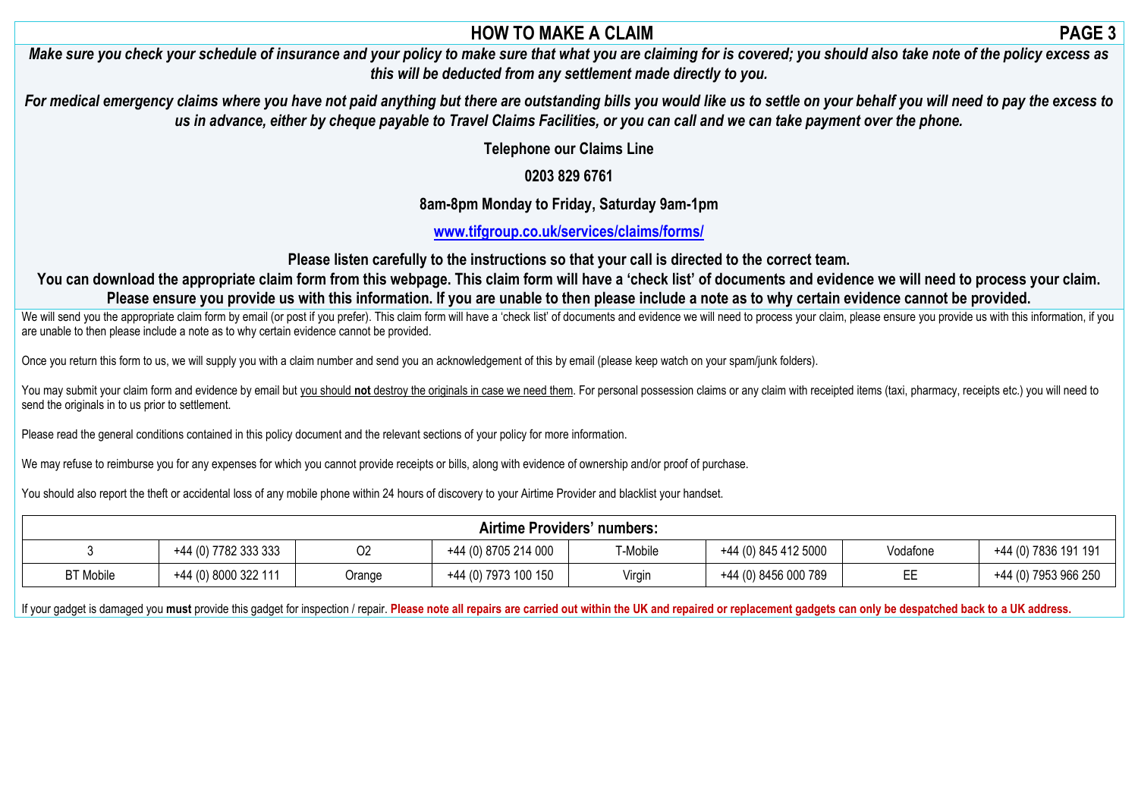# **HOW TO MAKE A CLAIM PAGE 3**

*Make sure you check your schedule of insurance and your policy to make sure that what you are claiming for is covered; you should also take note of the policy excess as this will be deducted from any settlement made directly to you.*

*For medical emergency claims where you have not paid anything but there are outstanding bills you would like us to settle on your behalf you will need to pay the excess to us in advance, either by cheque payable to Travel Claims Facilities, or you can call and we can take payment over the phone.*

**Telephone our Claims Line**

# **0203 829 6761**

**8am-8pm Monday to Friday, Saturday 9am-1pm**

**[www.tifgroup.co.uk/services/claims/forms/](http://www.tifgroup.co.uk/services/claims/forms/)**

**Please listen carefully to the instructions so that your call is directed to the correct team.**

You can download the appropriate claim form from this webpage. This claim form will have a 'check list' of documents and evidence we will need to process your claim. **Please ensure you provide us with this information. If you are unable to then please include a note as to why certain evidence cannot be provided.**

We will send you the appropriate claim form by email (or post if you prefer). This claim form will have a 'check list' of documents and evidence we will need to process your claim, please ensure you provide us with this in are unable to then please include a note as to why certain evidence cannot be provided.

Once you return this form to us, we will supply you with a claim number and send you an acknowledgement of this by email (please keep watch on your spam/junk folders).

You may submit your claim form and evidence by email but you should not destroy the originals in case we need them. For personal possession claims or any claim with receipted items (taxi, pharmacy, receipts etc.) you will send the originals in to us prior to settlement.

Please read the general conditions contained in this policy document and the relevant sections of your policy for more information.

We may refuse to reimburse you for any expenses for which you cannot provide receipts or bills, along with evidence of ownership and/or proof of purchase.

You should also report the theft or accidental loss of any mobile phone within 24 hours of discovery to your Airtime Provider and blacklist your handset.

| <b>Airtime Providers' numbers:</b> |                      |        |                      |          |                      |          |                      |  |
|------------------------------------|----------------------|--------|----------------------|----------|----------------------|----------|----------------------|--|
|                                    | +44 (0) 7782 333 333 | 02     | +44 (0) 8705 214 000 | T-Mobile | +44 (0) 845 412 5000 | Vodafone | +44 (0) 7836 191 191 |  |
| <b>BT</b> Mobile                   | +44 (0) 8000 322 111 | Orange | +44 (0) 7973 100 150 | Virgin   | +44 (0) 8456 000 789 | --       | +44 (0) 7953 966 250 |  |

If your gadget is damaged you must provide this gadget for inspection / repair. Please note all repairs are carried out within the UK and repaired or replacement gadgets can only be despatched back to a UK address.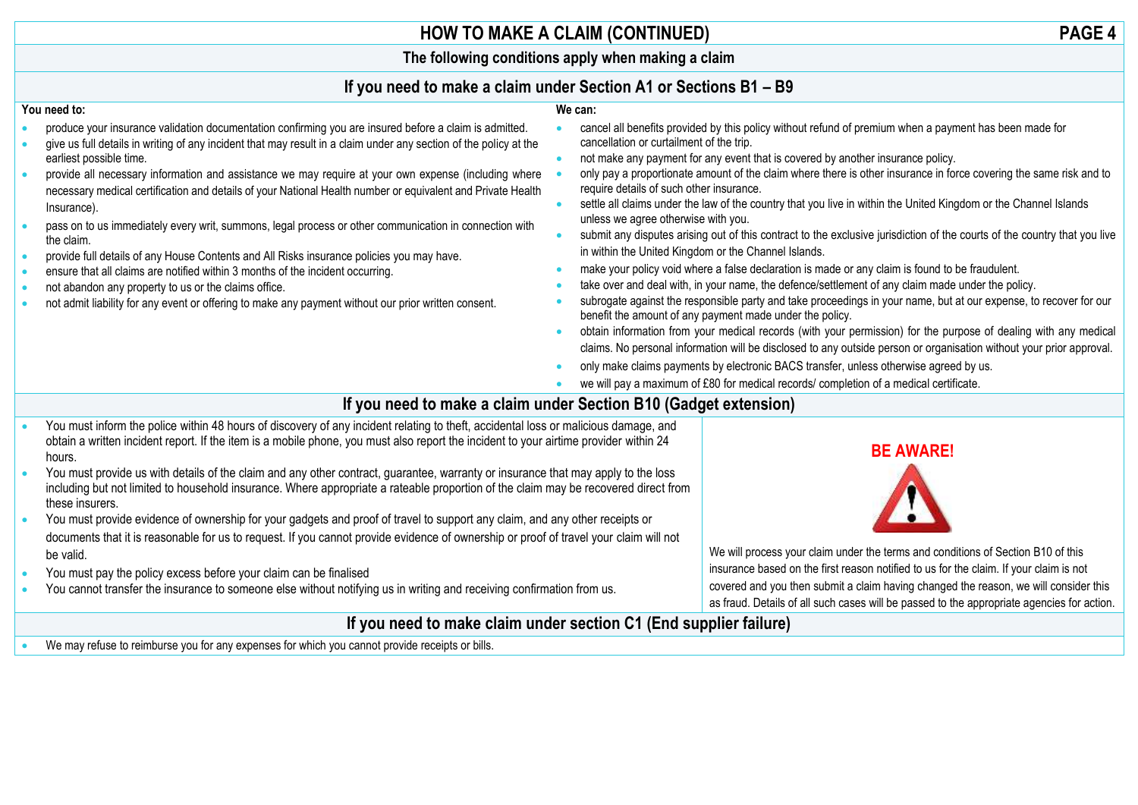# **HOW TO MAKE A CLAIM (CONTINUED) PAGE 4**

**The following conditions apply when making a claim**

### **If you need to make a claim under Section A1 or Sections B1 – B9 We can:**

### **You need to:**

- produce your insurance validation documentation confirming you are insured before a claim is admitted.
- give us full details in writing of any incident that may result in a claim under any section of the policy at the earliest possible time.
- provide all necessary information and assistance we may require at your own expense (including where necessary medical certification and details of your National Health number or equivalent and Private Health Insurance).
- pass on to us immediately every writ, summons, legal process or other communication in connection with the claim.
- provide full details of any House Contents and All Risks insurance policies you may have.
- ensure that all claims are notified within 3 months of the incident occurring.
- not abandon any property to us or the claims office.
- not admit liability for any event or offering to make any payment without our prior written consent.
- cancel all benefits provided by this policy without refund of premium when a payment has been made for cancellation or curtailment of the trip.
- not make any payment for any event that is covered by another insurance policy.
- only pay a proportionate amount of the claim where there is other insurance in force covering the same risk and to require details of such other insurance.
- settle all claims under the law of the country that you live in within the United Kingdom or the Channel Islands unless we agree otherwise with you.
- submit any disputes arising out of this contract to the exclusive jurisdiction of the courts of the country that you live in within the United Kingdom or the Channel Islands.
- make your policy void where a false declaration is made or any claim is found to be fraudulent.
- take over and deal with, in your name, the defence/settlement of any claim made under the policy.
- subrogate against the responsible party and take proceedings in your name, but at our expense, to recover for our benefit the amount of any payment made under the policy.
- obtain information from your medical records (with your permission) for the purpose of dealing with any medical claims. No personal information will be disclosed to any outside person or organisation without your prior approval.
- only make claims payments by electronic BACS transfer, unless otherwise agreed by us.
- we will pay a maximum of £80 for medical records/ completion of a medical certificate.

# **If you need to make a claim under Section B10 (Gadget extension)**

- You must inform the police within 48 hours of discovery of any incident relating to theft, accidental loss or malicious damage, and obtain a written incident report. If the item is a mobile phone, you must also report the incident to your airtime provider within 24 hours.
- You must provide us with details of the claim and any other contract, guarantee, warranty or insurance that may apply to the loss including but not limited to household insurance. Where appropriate a rateable proportion of the claim may be recovered direct from these insurers.
- You must provide evidence of ownership for your gadgets and proof of travel to support any claim, and any other receipts or documents that it is reasonable for us to request. If you cannot provide evidence of ownership or proof of travel your claim will not be valid.
- You must pay the policy excess before your claim can be finalised
- You cannot transfer the insurance to someone else without notifying us in writing and receiving confirmation from us.



We will process your claim under the terms and conditions of Section B10 of this insurance based on the first reason notified to us for the claim. If your claim is not covered and you then submit a claim having changed the reason, we will consider this as fraud. Details of all such cases will be passed to the appropriate agencies for action.

# **If you need to make claim under section C1 (End supplier failure)**

• We may refuse to reimburse you for any expenses for which you cannot provide receipts or bills.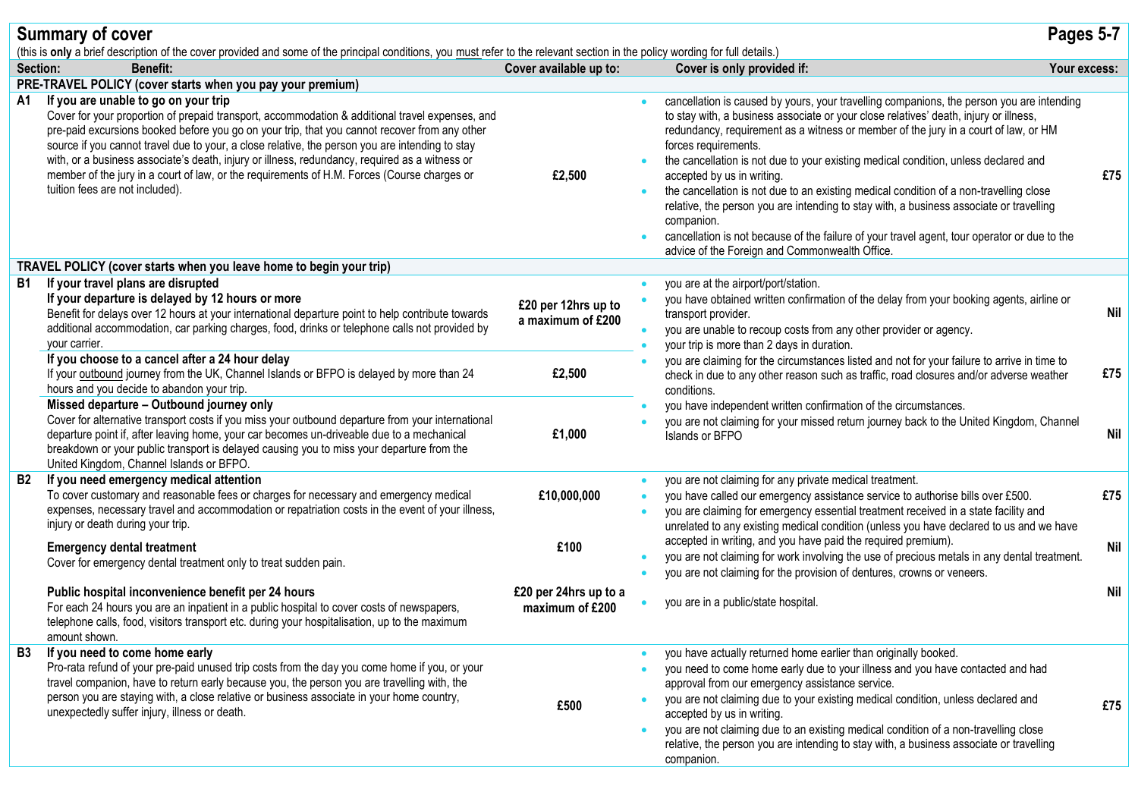|           | <b>Summary of cover</b>                                                                                                                                                                                                                                                                                                                                                                                                                                                                                                                                                         |                                          |                        |                                                                                                                                                                                                                                                                                                                                                                                                                                                                                                                                                                                                                                                                                                                                                                             | Pages 5-7  |
|-----------|---------------------------------------------------------------------------------------------------------------------------------------------------------------------------------------------------------------------------------------------------------------------------------------------------------------------------------------------------------------------------------------------------------------------------------------------------------------------------------------------------------------------------------------------------------------------------------|------------------------------------------|------------------------|-----------------------------------------------------------------------------------------------------------------------------------------------------------------------------------------------------------------------------------------------------------------------------------------------------------------------------------------------------------------------------------------------------------------------------------------------------------------------------------------------------------------------------------------------------------------------------------------------------------------------------------------------------------------------------------------------------------------------------------------------------------------------------|------------|
|           | (this is only a brief description of the cover provided and some of the principal conditions, you must refer to the relevant section in the policy wording for full details.)                                                                                                                                                                                                                                                                                                                                                                                                   |                                          |                        |                                                                                                                                                                                                                                                                                                                                                                                                                                                                                                                                                                                                                                                                                                                                                                             |            |
|           | Section:<br><b>Benefit:</b>                                                                                                                                                                                                                                                                                                                                                                                                                                                                                                                                                     | Cover available up to:                   |                        | Cover is only provided if:<br>Your excess:                                                                                                                                                                                                                                                                                                                                                                                                                                                                                                                                                                                                                                                                                                                                  |            |
|           | PRE-TRAVEL POLICY (cover starts when you pay your premium)                                                                                                                                                                                                                                                                                                                                                                                                                                                                                                                      |                                          |                        |                                                                                                                                                                                                                                                                                                                                                                                                                                                                                                                                                                                                                                                                                                                                                                             |            |
| A1        | If you are unable to go on your trip<br>Cover for your proportion of prepaid transport, accommodation & additional travel expenses, and<br>pre-paid excursions booked before you go on your trip, that you cannot recover from any other<br>source if you cannot travel due to your, a close relative, the person you are intending to stay<br>with, or a business associate's death, injury or illness, redundancy, required as a witness or<br>member of the jury in a court of law, or the requirements of H.M. Forces (Course charges or<br>tuition fees are not included). | £2,500                                   |                        | cancellation is caused by yours, your travelling companions, the person you are intending<br>to stay with, a business associate or your close relatives' death, injury or illness,<br>redundancy, requirement as a witness or member of the jury in a court of law, or HM<br>forces requirements.<br>the cancellation is not due to your existing medical condition, unless declared and<br>accepted by us in writing.<br>the cancellation is not due to an existing medical condition of a non-travelling close<br>relative, the person you are intending to stay with, a business associate or travelling<br>companion.<br>cancellation is not because of the failure of your travel agent, tour operator or due to the<br>advice of the Foreign and Commonwealth Office. | £75        |
|           | TRAVEL POLICY (cover starts when you leave home to begin your trip)                                                                                                                                                                                                                                                                                                                                                                                                                                                                                                             |                                          |                        |                                                                                                                                                                                                                                                                                                                                                                                                                                                                                                                                                                                                                                                                                                                                                                             |            |
| B1.       | If your travel plans are disrupted<br>If your departure is delayed by 12 hours or more<br>Benefit for delays over 12 hours at your international departure point to help contribute towards<br>additional accommodation, car parking charges, food, drinks or telephone calls not provided by<br>your carrier.                                                                                                                                                                                                                                                                  | £20 per 12hrs up to<br>a maximum of £200 | $\bullet$              | you are at the airport/port/station.<br>you have obtained written confirmation of the delay from your booking agents, airline or<br>transport provider.<br>you are unable to recoup costs from any other provider or agency.<br>your trip is more than 2 days in duration.                                                                                                                                                                                                                                                                                                                                                                                                                                                                                                  | <b>Nil</b> |
|           | If you choose to a cancel after a 24 hour delay<br>If your outbound journey from the UK, Channel Islands or BFPO is delayed by more than 24<br>hours and you decide to abandon your trip.                                                                                                                                                                                                                                                                                                                                                                                       | £2,500<br>conditions.                    |                        | you are claiming for the circumstances listed and not for your failure to arrive in time to<br>check in due to any other reason such as traffic, road closures and/or adverse weather                                                                                                                                                                                                                                                                                                                                                                                                                                                                                                                                                                                       | £75        |
|           | Missed departure - Outbound journey only<br>Cover for alternative transport costs if you miss your outbound departure from your international<br>departure point if, after leaving home, your car becomes un-driveable due to a mechanical<br>breakdown or your public transport is delayed causing you to miss your departure from the<br>United Kingdom, Channel Islands or BFPO.                                                                                                                                                                                             | £1,000                                   |                        | you have independent written confirmation of the circumstances.<br>you are not claiming for your missed return journey back to the United Kingdom, Channel<br>Islands or BFPO                                                                                                                                                                                                                                                                                                                                                                                                                                                                                                                                                                                               | Nil        |
| <b>B2</b> | If you need emergency medical attention<br>To cover customary and reasonable fees or charges for necessary and emergency medical<br>expenses, necessary travel and accommodation or repatriation costs in the event of your illness,<br>injury or death during your trip.                                                                                                                                                                                                                                                                                                       | £10,000,000                              | $\bullet$<br>$\bullet$ | you are not claiming for any private medical treatment.<br>you have called our emergency assistance service to authorise bills over £500.<br>you are claiming for emergency essential treatment received in a state facility and                                                                                                                                                                                                                                                                                                                                                                                                                                                                                                                                            | £75        |
|           | <b>Emergency dental treatment</b><br>Cover for emergency dental treatment only to treat sudden pain.                                                                                                                                                                                                                                                                                                                                                                                                                                                                            | £100                                     |                        | unrelated to any existing medical condition (unless you have declared to us and we have<br>accepted in writing, and you have paid the required premium).<br>you are not claiming for work involving the use of precious metals in any dental treatment.<br>you are not claiming for the provision of dentures, crowns or veneers.                                                                                                                                                                                                                                                                                                                                                                                                                                           | <b>Nil</b> |
|           | Public hospital inconvenience benefit per 24 hours<br>For each 24 hours you are an inpatient in a public hospital to cover costs of newspapers,<br>telephone calls, food, visitors transport etc. during your hospitalisation, up to the maximum<br>amount shown.                                                                                                                                                                                                                                                                                                               | £20 per 24hrs up to a<br>maximum of £200 |                        | you are in a public/state hospital.                                                                                                                                                                                                                                                                                                                                                                                                                                                                                                                                                                                                                                                                                                                                         | <b>Nil</b> |
| <b>B3</b> | If you need to come home early<br>Pro-rata refund of your pre-paid unused trip costs from the day you come home if you, or your<br>travel companion, have to return early because you, the person you are travelling with, the<br>person you are staying with, a close relative or business associate in your home country,<br>unexpectedly suffer injury, illness or death.                                                                                                                                                                                                    | £500                                     |                        | you have actually returned home earlier than originally booked.<br>you need to come home early due to your illness and you have contacted and had<br>approval from our emergency assistance service.<br>you are not claiming due to your existing medical condition, unless declared and<br>accepted by us in writing.<br>you are not claiming due to an existing medical condition of a non-travelling close<br>relative, the person you are intending to stay with, a business associate or travelling<br>companion.                                                                                                                                                                                                                                                      | £75        |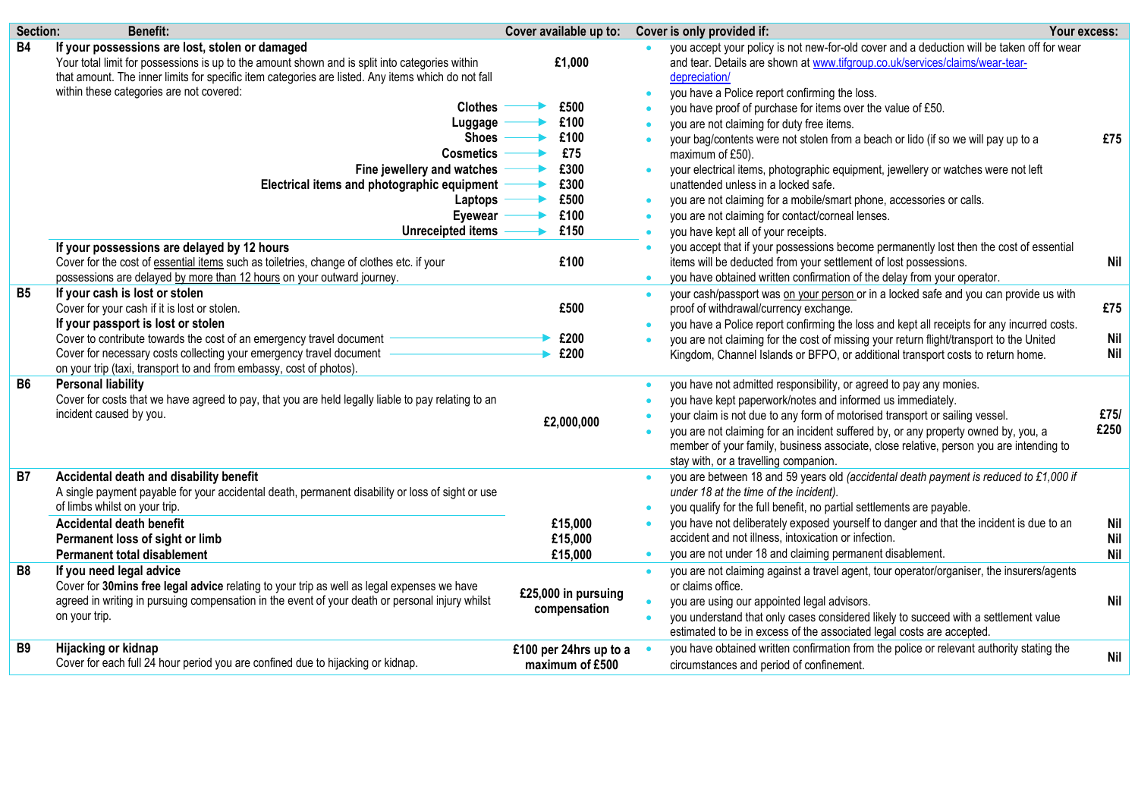| Section:       | <b>Benefit:</b>                                                                                                                                                                                                                                                                                                                                                                                                                                                                                            | Cover available up to:                                                        |                                                                            | Cover is only provided if:                                                                                                                                                                                                                                                                                                                                                                                                                                                                                                                                                                                                                                                                                                                                       | Your excess:                    |
|----------------|------------------------------------------------------------------------------------------------------------------------------------------------------------------------------------------------------------------------------------------------------------------------------------------------------------------------------------------------------------------------------------------------------------------------------------------------------------------------------------------------------------|-------------------------------------------------------------------------------|----------------------------------------------------------------------------|------------------------------------------------------------------------------------------------------------------------------------------------------------------------------------------------------------------------------------------------------------------------------------------------------------------------------------------------------------------------------------------------------------------------------------------------------------------------------------------------------------------------------------------------------------------------------------------------------------------------------------------------------------------------------------------------------------------------------------------------------------------|---------------------------------|
| <b>B4</b>      | If your possessions are lost, stolen or damaged<br>Your total limit for possessions is up to the amount shown and is split into categories within<br>that amount. The inner limits for specific item categories are listed. Any items which do not fall<br>within these categories are not covered:<br><b>Clothes</b><br>Luggage<br><b>Shoes</b><br><b>Cosmetics</b><br>Fine jewellery and watches<br>Electrical items and photographic equipment<br>Laptops<br><b>Eyewear</b><br><b>Unreceipted items</b> | £1,000<br>£500<br>£100<br>£100<br>£75<br>£300<br>£300<br>£500<br>£100<br>£150 | $\bullet$<br>$\bullet$<br>$\bullet$<br>$\bullet$<br>$\bullet$<br>$\bullet$ | you accept your policy is not new-for-old cover and a deduction will be taken off for wear<br>and tear. Details are shown at www.tifgroup.co.uk/services/claims/wear-tear-<br>depreciation/<br>you have a Police report confirming the loss.<br>you have proof of purchase for items over the value of £50.<br>you are not claiming for duty free items.<br>your bag/contents were not stolen from a beach or lido (if so we will pay up to a<br>maximum of £50).<br>your electrical items, photographic equipment, jewellery or watches were not left<br>unattended unless in a locked safe.<br>you are not claiming for a mobile/smart phone, accessories or calls.<br>you are not claiming for contact/corneal lenses.<br>you have kept all of your receipts. | £75                             |
|                | If your possessions are delayed by 12 hours<br>Cover for the cost of essential items such as toiletries, change of clothes etc. if your<br>possessions are delayed by more than 12 hours on your outward journey.                                                                                                                                                                                                                                                                                          | £100                                                                          | $\bullet$                                                                  | you accept that if your possessions become permanently lost then the cost of essential<br>items will be deducted from your settlement of lost possessions.<br>you have obtained written confirmation of the delay from your operator.                                                                                                                                                                                                                                                                                                                                                                                                                                                                                                                            | Nil                             |
| B <sub>5</sub> | If your cash is lost or stolen<br>Cover for your cash if it is lost or stolen.<br>If your passport is lost or stolen<br>Cover to contribute towards the cost of an emergency travel document<br>Cover for necessary costs collecting your emergency travel document<br>on your trip (taxi, transport to and from embassy, cost of photos).                                                                                                                                                                 | £500<br>£200<br>£200                                                          | $\bullet$<br>$\bullet$                                                     | your cash/passport was on your person or in a locked safe and you can provide us with<br>proof of withdrawal/currency exchange.<br>you have a Police report confirming the loss and kept all receipts for any incurred costs.<br>you are not claiming for the cost of missing your return flight/transport to the United<br>Kingdom, Channel Islands or BFPO, or additional transport costs to return home.                                                                                                                                                                                                                                                                                                                                                      | £75<br><b>Nil</b><br><b>Nil</b> |
| <b>B6</b>      | <b>Personal liability</b><br>Cover for costs that we have agreed to pay, that you are held legally liable to pay relating to an<br>incident caused by you.                                                                                                                                                                                                                                                                                                                                                 | £2,000,000                                                                    | $\bullet$                                                                  | you have not admitted responsibility, or agreed to pay any monies.<br>you have kept paperwork/notes and informed us immediately.<br>your claim is not due to any form of motorised transport or sailing vessel.<br>you are not claiming for an incident suffered by, or any property owned by, you, a<br>member of your family, business associate, close relative, person you are intending to<br>stay with, or a travelling companion.                                                                                                                                                                                                                                                                                                                         | £75/<br>£250                    |
| <b>B7</b>      | Accidental death and disability benefit<br>A single payment payable for your accidental death, permanent disability or loss of sight or use<br>of limbs whilst on your trip.<br>Accidental death benefit<br>Permanent loss of sight or limb<br><b>Permanent total disablement</b>                                                                                                                                                                                                                          | £15,000<br>£15,000<br>£15,000                                                 | $\bullet$<br>$\bullet$<br>$\bullet$                                        | you are between 18 and 59 years old (accidental death payment is reduced to £1,000 if<br>under 18 at the time of the incident).<br>you qualify for the full benefit, no partial settlements are payable.<br>you have not deliberately exposed yourself to danger and that the incident is due to an<br>accident and not illness, intoxication or infection.<br>you are not under 18 and claiming permanent disablement.                                                                                                                                                                                                                                                                                                                                          | Nil<br><b>Nil</b><br><b>Nil</b> |
| <b>B8</b>      | If you need legal advice<br>Cover for 30 mins free legal advice relating to your trip as well as legal expenses we have<br>agreed in writing in pursuing compensation in the event of your death or personal injury whilst<br>on your trip.                                                                                                                                                                                                                                                                | £25,000 in pursuing<br>compensation                                           | $\bullet$<br>$\bullet$                                                     | you are not claiming against a travel agent, tour operator/organiser, the insurers/agents<br>or claims office.<br>you are using our appointed legal advisors.<br>you understand that only cases considered likely to succeed with a settlement value<br>estimated to be in excess of the associated legal costs are accepted.                                                                                                                                                                                                                                                                                                                                                                                                                                    | <b>Nil</b>                      |
| <b>B9</b>      | Hijacking or kidnap<br>Cover for each full 24 hour period you are confined due to hijacking or kidnap.                                                                                                                                                                                                                                                                                                                                                                                                     | £100 per 24hrs up to a<br>maximum of £500                                     |                                                                            | you have obtained written confirmation from the police or relevant authority stating the<br>circumstances and period of confinement.                                                                                                                                                                                                                                                                                                                                                                                                                                                                                                                                                                                                                             | Nil                             |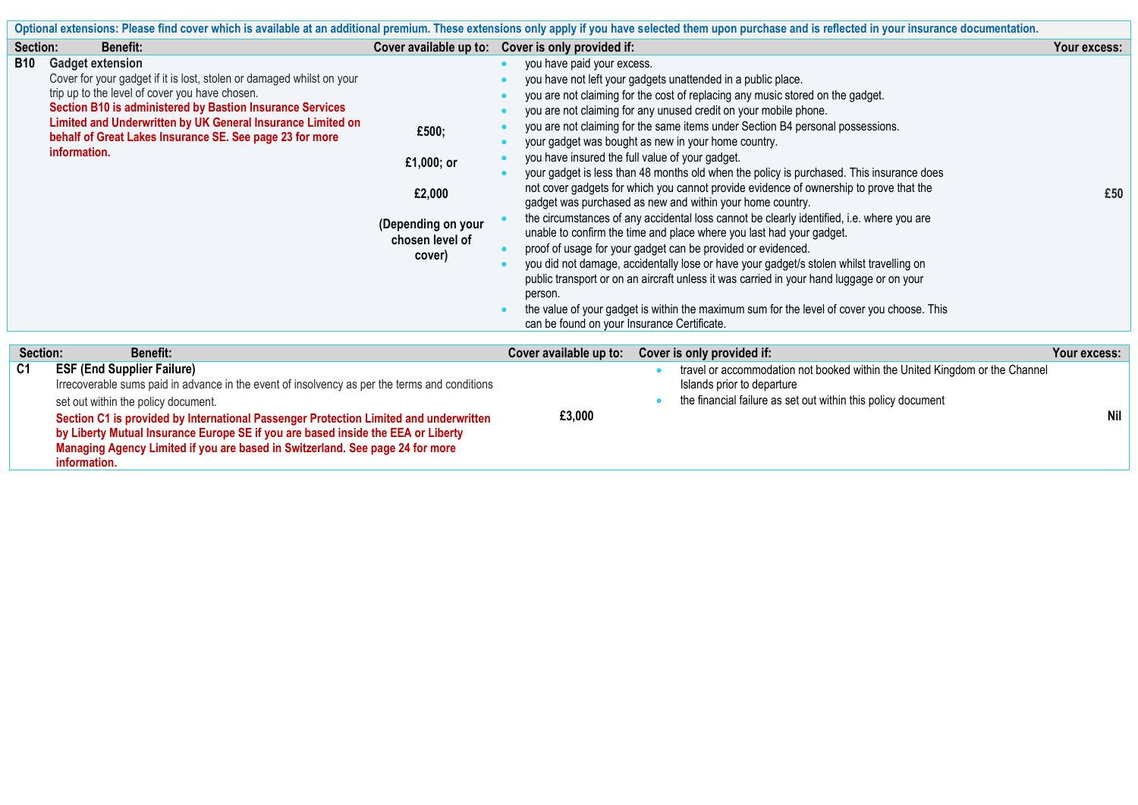| Optional extensions: Please find cover which is available at an additional premium. These extensions only apply if you have selected them upon purchase and is reflected in your insurance documentation. |                                                                                                                                                                                                                                                                                                                                                                                                                                                         |                                                                                  |                                                                                                                                                                                                                                                                                                                                                                                                                                                                                                                                                                                                                                                                                                                                                                                                                                                                                                                                                                                                                                                                                                                                                                                                                                                                                     |              |  |  |
|-----------------------------------------------------------------------------------------------------------------------------------------------------------------------------------------------------------|---------------------------------------------------------------------------------------------------------------------------------------------------------------------------------------------------------------------------------------------------------------------------------------------------------------------------------------------------------------------------------------------------------------------------------------------------------|----------------------------------------------------------------------------------|-------------------------------------------------------------------------------------------------------------------------------------------------------------------------------------------------------------------------------------------------------------------------------------------------------------------------------------------------------------------------------------------------------------------------------------------------------------------------------------------------------------------------------------------------------------------------------------------------------------------------------------------------------------------------------------------------------------------------------------------------------------------------------------------------------------------------------------------------------------------------------------------------------------------------------------------------------------------------------------------------------------------------------------------------------------------------------------------------------------------------------------------------------------------------------------------------------------------------------------------------------------------------------------|--------------|--|--|
| Section:                                                                                                                                                                                                  | <b>Benefit:</b>                                                                                                                                                                                                                                                                                                                                                                                                                                         | Cover available up to:                                                           | Cover is only provided if:                                                                                                                                                                                                                                                                                                                                                                                                                                                                                                                                                                                                                                                                                                                                                                                                                                                                                                                                                                                                                                                                                                                                                                                                                                                          | Your excess: |  |  |
| <b>B10</b>                                                                                                                                                                                                | <b>Gadget extension</b><br>Cover for your gadget if it is lost, stolen or damaged whilst on your<br>trip up to the level of cover you have chosen.<br>Section B10 is administered by Bastion Insurance Services<br>Limited and Underwritten by UK General Insurance Limited on<br>behalf of Great Lakes Insurance SE. See page 23 for more<br>information.                                                                                              | £500;<br>£1,000; or<br>£2,000<br>(Depending on your<br>chosen level of<br>cover) | you have paid your excess.<br>you have not left your gadgets unattended in a public place.<br>you are not claiming for the cost of replacing any music stored on the gadget.<br>you are not claiming for any unused credit on your mobile phone.<br>you are not claiming for the same items under Section B4 personal possessions.<br>your gadget was bought as new in your home country.<br>you have insured the full value of your gadget.<br>your gadget is less than 48 months old when the policy is purchased. This insurance does<br>not cover gadgets for which you cannot provide evidence of ownership to prove that the<br>gadget was purchased as new and within your home country.<br>the circumstances of any accidental loss cannot be clearly identified, i.e. where you are<br>unable to confirm the time and place where you last had your gadget.<br>proof of usage for your gadget can be provided or evidenced.<br>you did not damage, accidentally lose or have your gadget/s stolen whilst travelling on<br>public transport or on an aircraft unless it was carried in your hand luggage or on your<br>person.<br>the value of your gadget is within the maximum sum for the level of cover you choose. This<br>can be found on your Insurance Certificate. | £50          |  |  |
| Section:                                                                                                                                                                                                  | <b>Benefit:</b>                                                                                                                                                                                                                                                                                                                                                                                                                                         |                                                                                  | Cover available up to:<br>Cover is only provided if:                                                                                                                                                                                                                                                                                                                                                                                                                                                                                                                                                                                                                                                                                                                                                                                                                                                                                                                                                                                                                                                                                                                                                                                                                                | Your excess: |  |  |
| C <sub>1</sub>                                                                                                                                                                                            | <b>ESF (End Supplier Failure)</b><br>Irrecoverable sums paid in advance in the event of insolvency as per the terms and conditions<br>set out within the policy document.<br>Section C1 is provided by International Passenger Protection Limited and underwritten<br>by Liberty Mutual Insurance Europe SE if you are based inside the EEA or Liberty<br>Managing Agency Limited if you are based in Switzerland. See page 24 for more<br>information. |                                                                                  | travel or accommodation not booked within the United Kingdom or the Channel<br>Islands prior to departure<br>the financial failure as set out within this policy document<br>£3,000                                                                                                                                                                                                                                                                                                                                                                                                                                                                                                                                                                                                                                                                                                                                                                                                                                                                                                                                                                                                                                                                                                 | <b>Nil</b>   |  |  |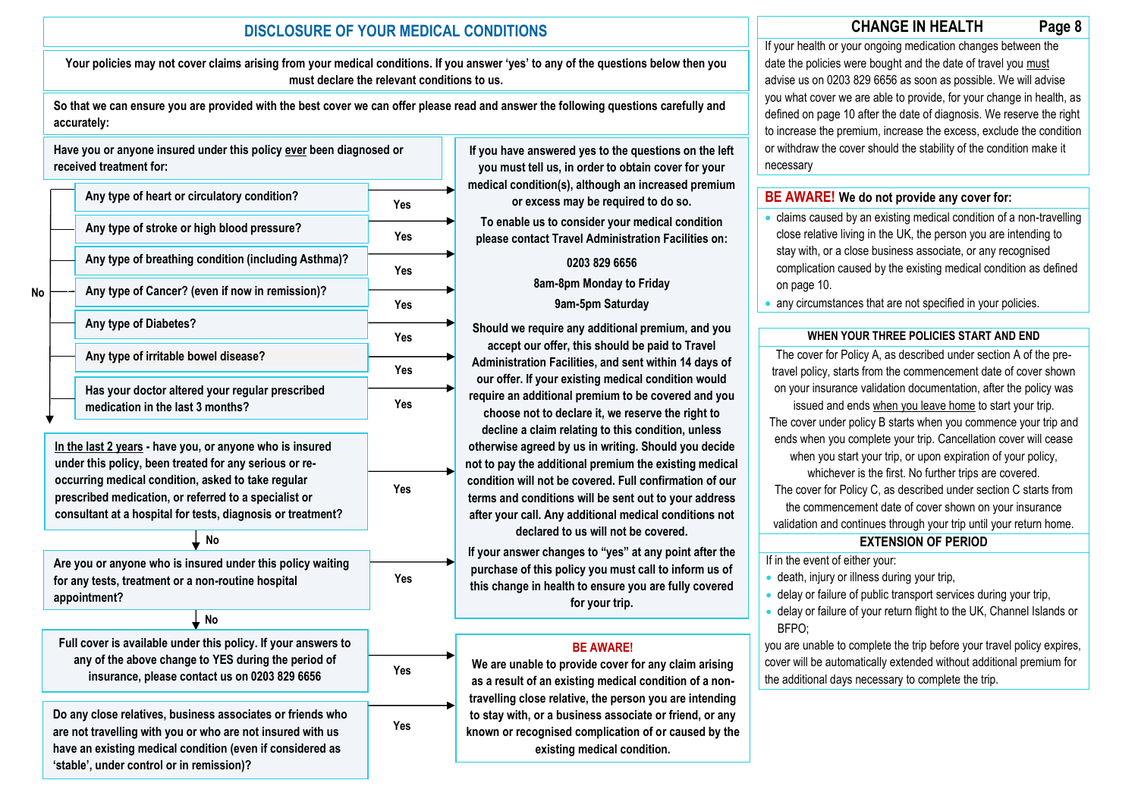# **fdfgdfgdfg CHANGE IN HEALTH Page 8 DISCLOSURE OF YOUR MEDICAL CONDITIONS**

**Your policies may not cover claims arising from your medical conditions. If you answer 'yes' to any of the questions below then you must declare the relevant conditions to us.**

**So that we can ensure you are provided with the best cover we can offer please read and answer the following questions carefully and accurately:**



**If you have answered yes to the questions on the left you must tell us, in order to obtain cover for your medical condition(s), although an increased premium or excess may be required to do so.** 

**To enable us to consider your medical condition please contact Travel Administration Facilities on:**

## **0203 829 6656**

**8am-8pm Monday to Friday**

### **9am-5pm Saturday**

**Should we require any additional premium, and you accept our offer, this should be paid to Travel Administration Facilities, and sent within 14 days of our offer. If your existing medical condition would require an additional premium to be covered and you choose not to declare it, we reserve the right to decline a claim relating to this condition, unless otherwise agreed by us in writing. Should you decide not to pay the additional premium the existing medical condition will not be covered. Full confirmation of our terms and conditions will be sent out to your address after your call. Any additional medical conditions not declared to us will not be covered.**

**If your answer changes to "yes" at any point after the purchase of this policy you must call to inform us of this change in health to ensure you are fully covered for your trip.**

### **BE AWARE!**

**We are unable to provide cover for any claim arising as a result of an existing medical condition of a nontravelling close relative, the person you are intending to stay with, or a business associate or friend, or any known or recognised complication of or caused by the existing medical condition.**

If your health or your ongoing medication changes between the date the policies were bought and the date of travel you must advise us on 0203 829 6656 as soon as possible. We will advise you what cover we are able to provide, for your change in health, as defined on page 10 after the date of diagnosis. We reserve the right to increase the premium, increase the excess, exclude the condition or withdraw the cover should the stability of the condition make it necessary

### **BE AWARE! We do not provide any cover for:**

- claims caused by an existing medical condition of a non-travelling close relative living in the UK, the person you are intending to stay with, or a close business associate, or any recognised complication caused by the existing medical condition as defined on page 10.
- any circumstances that are not specified in your policies.

### **WHEN YOUR THREE POLICIES START AND END**

The cover for Policy A, as described under section A of the pretravel policy, starts from the commencement date of cover shown on your insurance validation documentation, after the policy was issued and ends when you leave home to start your trip. The cover under policy B starts when you commence your trip and ends when you complete your trip. Cancellation cover will cease when you start your trip, or upon expiration of your policy, whichever is the first. No further trips are covered. The cover for Policy C, as described under section C starts from the commencement date of cover shown on your insurance validation and continues through your trip until your return home.

### **EXTENSION OF PERIOD**

If in the event of either your:

- death, injury or illness during your trip,
- delay or failure of public transport services during your trip,
- delay or failure of your return flight to the UK, Channel Islands or BFPO;

you are unable to complete the trip before your travel policy expires, cover will be automatically extended without additional premium for the additional days necessary to complete the trip.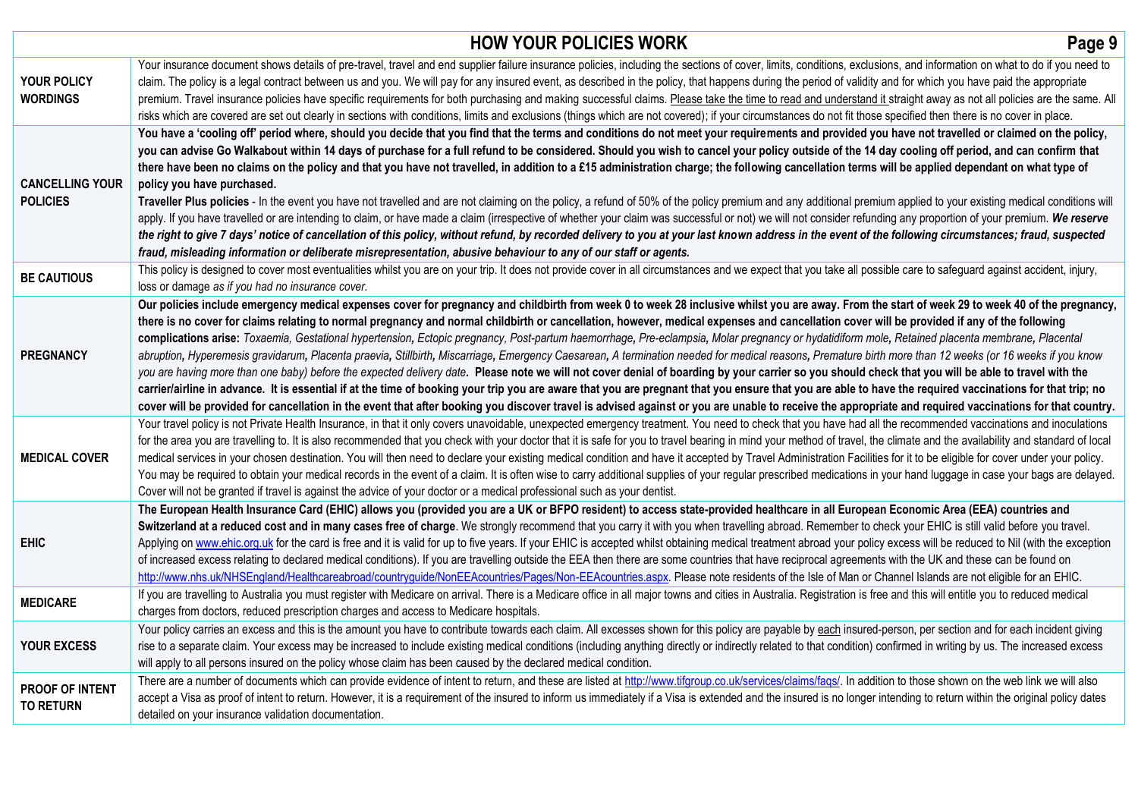|                                            | <b>HOW YOUR POLICIES WORK</b>                                                                                                                                                                                                                                                                                                                                                                                                                                                                                                                                                                                                                                                                                                                                                                                                                                                                                                                                                                                                                                                                                                                                                                                                                                                                                                                                                                                                               | Page 9 |
|--------------------------------------------|---------------------------------------------------------------------------------------------------------------------------------------------------------------------------------------------------------------------------------------------------------------------------------------------------------------------------------------------------------------------------------------------------------------------------------------------------------------------------------------------------------------------------------------------------------------------------------------------------------------------------------------------------------------------------------------------------------------------------------------------------------------------------------------------------------------------------------------------------------------------------------------------------------------------------------------------------------------------------------------------------------------------------------------------------------------------------------------------------------------------------------------------------------------------------------------------------------------------------------------------------------------------------------------------------------------------------------------------------------------------------------------------------------------------------------------------|--------|
| <b>YOUR POLICY</b><br><b>WORDINGS</b>      | Your insurance document shows details of pre-travel, travel and end supplier failure insurance policies, including the sections of cover, limits, conditions, exclusions, and information on what to do if you need to<br>claim. The policy is a legal contract between us and you. We will pay for any insured event, as described in the policy, that happens during the period of validity and for which you have paid the appropriate<br>premium. Travel insurance policies have specific requirements for both purchasing and making successful claims. Please take the time to read and understand it straight away as not all policies are the same. All<br>risks which are covered are set out clearly in sections with conditions, limits and exclusions (things which are not covered); if your circumstances do not fit those specified then there is no cover in place.                                                                                                                                                                                                                                                                                                                                                                                                                                                                                                                                                         |        |
| <b>CANCELLING YOUR</b><br><b>POLICIES</b>  | You have a 'cooling off' period where, should you decide that you find that the terms and conditions do not meet your requirements and provided you have not travelled or claimed on the policy,<br>you can advise Go Walkabout within 14 days of purchase for a full refund to be considered. Should you wish to cancel your policy outside of the 14 day cooling off period, and can confirm that<br>there have been no claims on the policy and that you have not travelled, in addition to a £15 administration charge; the following cancellation terms will be applied dependant on what type of<br>policy you have purchased.<br>Traveller Plus policies - In the event you have not travelled and are not claiming on the policy, a refund of 50% of the policy premium and any additional premium applied to your existing medical conditions will<br>apply. If you have travelled or are intending to claim, or have made a claim (irrespective of whether your claim was successful or not) we will not consider refunding any proportion of your premium. We reserve<br>the right to give 7 days' notice of cancellation of this policy, without refund, by recorded delivery to you at your last known address in the event of the following circumstances; fraud, suspected<br>fraud, misleading information or deliberate misrepresentation, abusive behaviour to any of our staff or agents.                                |        |
| <b>BE CAUTIOUS</b>                         | This policy is designed to cover most eventualities whilst you are on your trip. It does not provide cover in all circumstances and we expect that you take all possible care to safeguard against accident, injury,<br>loss or damage as if you had no insurance cover.                                                                                                                                                                                                                                                                                                                                                                                                                                                                                                                                                                                                                                                                                                                                                                                                                                                                                                                                                                                                                                                                                                                                                                    |        |
| <b>PREGNANCY</b>                           | Our policies include emergency medical expenses cover for pregnancy and childbirth from week 0 to week 28 inclusive whilst you are away. From the start of week 29 to week 40 of the pregnancy,<br>there is no cover for claims relating to normal pregnancy and normal childbirth or cancellation, however, medical expenses and cancellation cover will be provided if any of the following<br>complications arise: Toxaemia, Gestational hypertension, Ectopic pregnancy, Post-partum haemorrhage, Pre-eclampsia, Molar pregnancy or hydatidiform mole, Retained placenta membrane, Placental<br>abruption, Hyperemesis gravidarum, Placenta praevia, Stillbirth, Miscarriage, Emergency Caesarean, A termination needed for medical reasons, Premature birth more than 12 weeks (or 16 weeks if you know<br>you are having more than one baby) before the expected delivery date. Please note we will not cover denial of boarding by your carrier so you should check that you will be able to travel with the<br>carrier/airline in advance. It is essential if at the time of booking your trip you are aware that you are pregnant that you ensure that you are able to have the required vaccinations for that trip; no<br>cover will be provided for cancellation in the event that after booking you discover travel is advised against or you are unable to receive the appropriate and required vaccinations for that country. |        |
| <b>MEDICAL COVER</b>                       | Your travel policy is not Private Health Insurance, in that it only covers unavoidable, unexpected emergency treatment. You need to check that you have had all the recommended vaccinations and inoculations<br>for the area you are travelling to. It is also recommended that you check with your doctor that it is safe for you to travel bearing in mind your method of travel, the climate and the availability and standard of local<br>medical services in your chosen destination. You will then need to declare your existing medical condition and have it accepted by Travel Administration Facilities for it to be eligible for cover under your policy.<br>You may be required to obtain your medical records in the event of a claim. It is often wise to carry additional supplies of your regular prescribed medications in your hand luggage in case your bags are delayed.<br>Cover will not be granted if travel is against the advice of your doctor or a medical professional such as your dentist.                                                                                                                                                                                                                                                                                                                                                                                                                   |        |
| <b>EHIC</b>                                | The European Health Insurance Card (EHIC) allows you (provided you are a UK or BFPO resident) to access state-provided healthcare in all European Economic Area (EEA) countries and<br>Switzerland at a reduced cost and in many cases free of charge. We strongly recommend that you carry it with you when travelling abroad. Remember to check your EHIC is still valid before you travel.<br>Applying on www.ehic.org.uk for the card is free and it is valid for up to five years. If your EHIC is accepted whilst obtaining medical treatment abroad your policy excess will be reduced to Nil (with the exception<br>of increased excess relating to declared medical conditions). If you are travelling outside the EEA then there are some countries that have reciprocal agreements with the UK and these can be found on<br>http://www.nhs.uk/NHSEngland/Healthcareabroad/countryguide/NonEEAcountries/Pages/Non-EEAcountries.aspx. Please note residents of the Isle of Man or Channel Islands are not eligible for an EHIC.                                                                                                                                                                                                                                                                                                                                                                                                    |        |
| <b>MEDICARE</b>                            | If you are travelling to Australia you must register with Medicare on arrival. There is a Medicare office in all major towns and cities in Australia. Registration is free and this will entitle you to reduced medical<br>charges from doctors, reduced prescription charges and access to Medicare hospitals.                                                                                                                                                                                                                                                                                                                                                                                                                                                                                                                                                                                                                                                                                                                                                                                                                                                                                                                                                                                                                                                                                                                             |        |
| <b>YOUR EXCESS</b>                         | Your policy carries an excess and this is the amount you have to contribute towards each claim. All excesses shown for this policy are payable by each insured-person, per section and for each incident giving<br>rise to a separate claim. Your excess may be increased to include existing medical conditions (including anything directly or indirectly related to that condition) confirmed in writing by us. The increased excess<br>will apply to all persons insured on the policy whose claim has been caused by the declared medical condition.                                                                                                                                                                                                                                                                                                                                                                                                                                                                                                                                                                                                                                                                                                                                                                                                                                                                                   |        |
| <b>PROOF OF INTENT</b><br><b>TO RETURN</b> | There are a number of documents which can provide evidence of intent to return, and these are listed at http://www.tifgroup.co.uk/services/claims/faqs/. In addition to those shown on the web link we will also<br>accept a Visa as proof of intent to return. However, it is a requirement of the insured to inform us immediately if a Visa is extended and the insured is no longer intending to return within the original policy dates<br>detailed on your insurance validation documentation.                                                                                                                                                                                                                                                                                                                                                                                                                                                                                                                                                                                                                                                                                                                                                                                                                                                                                                                                        |        |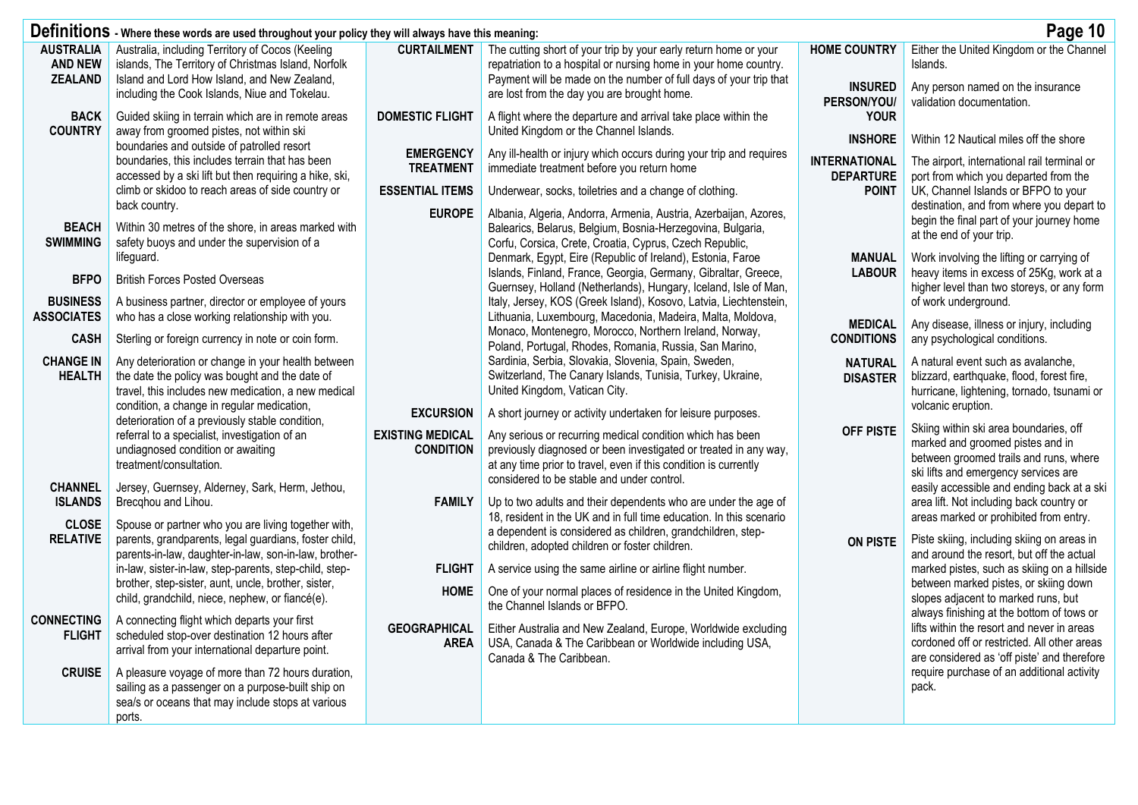|                                                  | Definitions - Where these words are used throughout your policy they will always have this meaning:<br>Page 10                                                                                                                                                                     |                                                                 |                                                                                                                                                                                                                                                                   |                                              |                                                                                                                                                                                                                        |  |  |  |
|--------------------------------------------------|------------------------------------------------------------------------------------------------------------------------------------------------------------------------------------------------------------------------------------------------------------------------------------|-----------------------------------------------------------------|-------------------------------------------------------------------------------------------------------------------------------------------------------------------------------------------------------------------------------------------------------------------|----------------------------------------------|------------------------------------------------------------------------------------------------------------------------------------------------------------------------------------------------------------------------|--|--|--|
| <b>AUSTRALIA</b><br><b>AND NEW</b>               | Australia, including Territory of Cocos (Keeling<br>islands, The Territory of Christmas Island, Norfolk                                                                                                                                                                            | <b>CURTAILMENT</b>                                              | The cutting short of your trip by your early return home or your<br>repatriation to a hospital or nursing home in your home country.                                                                                                                              | <b>HOME COUNTRY</b>                          | Either the United Kingdom or the Channel<br>Islands.                                                                                                                                                                   |  |  |  |
| <b>ZEALAND</b>                                   | Island and Lord How Island, and New Zealand,<br>including the Cook Islands, Niue and Tokelau.                                                                                                                                                                                      |                                                                 | Payment will be made on the number of full days of your trip that<br>are lost from the day you are brought home.                                                                                                                                                  | <b>INSURED</b><br>PERSON/YOU/<br><b>YOUR</b> | Any person named on the insurance<br>validation documentation.                                                                                                                                                         |  |  |  |
| <b>BACK</b><br><b>COUNTRY</b>                    | Guided skiing in terrain which are in remote areas<br>away from groomed pistes, not within ski<br>boundaries and outside of patrolled resort                                                                                                                                       | <b>DOMESTIC FLIGHT</b>                                          | A flight where the departure and arrival take place within the<br>United Kingdom or the Channel Islands.                                                                                                                                                          | <b>INSHORE</b>                               | Within 12 Nautical miles off the shore                                                                                                                                                                                 |  |  |  |
|                                                  | boundaries, this includes terrain that has been<br>accessed by a ski lift but then requiring a hike, ski,<br>climb or skidoo to reach areas of side country or                                                                                                                     | <b>EMERGENCY</b><br><b>TREATMENT</b>                            | Any ill-health or injury which occurs during your trip and requires<br>immediate treatment before you return home                                                                                                                                                 | <b>INTERNATIONAL</b><br><b>DEPARTURE</b>     | The airport, international rail terminal or<br>port from which you departed from the<br>UK, Channel Islands or BFPO to your                                                                                            |  |  |  |
| <b>BEACH</b>                                     | back country.<br>Within 30 metres of the shore, in areas marked with                                                                                                                                                                                                               | <b>ESSENTIAL ITEMS</b><br><b>EUROPE</b>                         | Underwear, socks, toiletries and a change of clothing.<br>Albania, Algeria, Andorra, Armenia, Austria, Azerbaijan, Azores,<br>Balearics, Belarus, Belgium, Bosnia-Herzegovina, Bulgaria,                                                                          | <b>POINT</b>                                 | destination, and from where you depart to<br>begin the final part of your journey home<br>at the end of your trip.                                                                                                     |  |  |  |
| <b>SWIMMING</b><br><b>BFPO</b>                   | safety buoys and under the supervision of a<br>lifeguard.<br><b>British Forces Posted Overseas</b>                                                                                                                                                                                 |                                                                 | Corfu, Corsica, Crete, Croatia, Cyprus, Czech Republic,<br>Denmark, Egypt, Eire (Republic of Ireland), Estonia, Faroe<br>Islands, Finland, France, Georgia, Germany, Gibraltar, Greece,                                                                           | <b>MANUAL</b><br><b>LABOUR</b>               | Work involving the lifting or carrying of<br>heavy items in excess of 25Kg, work at a                                                                                                                                  |  |  |  |
| <b>BUSINESS</b><br><b>ASSOCIATES</b>             | A business partner, director or employee of yours<br>who has a close working relationship with you.                                                                                                                                                                                |                                                                 | Guernsey, Holland (Netherlands), Hungary, Iceland, Isle of Man,<br>Italy, Jersey, KOS (Greek Island), Kosovo, Latvia, Liechtenstein,<br>Lithuania, Luxembourg, Macedonia, Madeira, Malta, Moldova,                                                                |                                              | higher level than two storeys, or any form<br>of work underground.                                                                                                                                                     |  |  |  |
| <b>CASH</b>                                      | Sterling or foreign currency in note or coin form.                                                                                                                                                                                                                                 |                                                                 | Monaco, Montenegro, Morocco, Northern Ireland, Norway,<br>Poland, Portugal, Rhodes, Romania, Russia, San Marino,                                                                                                                                                  | <b>MEDICAL</b><br><b>CONDITIONS</b>          | Any disease, illness or injury, including<br>any psychological conditions.                                                                                                                                             |  |  |  |
| <b>CHANGE IN</b><br><b>HEALTH</b>                | Any deterioration or change in your health between<br>the date the policy was bought and the date of<br>travel, this includes new medication, a new medical<br>condition, a change in regular medication,                                                                          |                                                                 | Sardinia, Serbia, Slovakia, Slovenia, Spain, Sweden,<br>Switzerland, The Canary Islands, Tunisia, Turkey, Ukraine,<br>United Kingdom, Vatican City.                                                                                                               | <b>NATURAL</b><br><b>DISASTER</b>            | A natural event such as avalanche,<br>blizzard, earthquake, flood, forest fire,<br>hurricane, lightening, tornado, tsunami or<br>volcanic eruption.                                                                    |  |  |  |
|                                                  | deterioration of a previously stable condition,<br>referral to a specialist, investigation of an<br>undiagnosed condition or awaiting<br>treatment/consultation.                                                                                                                   | <b>EXCURSION</b><br><b>EXISTING MEDICAL</b><br><b>CONDITION</b> | A short journey or activity undertaken for leisure purposes.<br>Any serious or recurring medical condition which has been<br>previously diagnosed or been investigated or treated in any way,<br>at any time prior to travel, even if this condition is currently | <b>OFF PISTE</b>                             | Skiing within ski area boundaries, off<br>marked and groomed pistes and in<br>between groomed trails and runs, where<br>ski lifts and emergency services are                                                           |  |  |  |
| <b>CHANNEL</b><br><b>ISLANDS</b><br><b>CLOSE</b> | Jersey, Guernsey, Alderney, Sark, Herm, Jethou,<br>Brecqhou and Lihou.<br>Spouse or partner who you are living together with,                                                                                                                                                      | <b>FAMILY</b>                                                   | considered to be stable and under control.<br>Up to two adults and their dependents who are under the age of<br>18, resident in the UK and in full time education. In this scenario                                                                               |                                              | easily accessible and ending back at a ski<br>area lift. Not including back country or<br>areas marked or prohibited from entry.                                                                                       |  |  |  |
| <b>RELATIVE</b>                                  | parents, grandparents, legal guardians, foster child,<br>parents-in-law, daughter-in-law, son-in-law, brother-<br>in-law, sister-in-law, step-parents, step-child, step-<br>brother, step-sister, aunt, uncle, brother, sister,<br>child, grandchild, niece, nephew, or fiancé(e). | <b>FLIGHT</b><br><b>HOME</b>                                    | a dependent is considered as children, grandchildren, step-<br>children, adopted children or foster children.<br>A service using the same airline or airline flight number.<br>One of your normal places of residence in the United Kingdom,                      | <b>ON PISTE</b>                              | Piste skiing, including skiing on areas in<br>and around the resort, but off the actual<br>marked pistes, such as skiing on a hillside<br>between marked pistes, or skiing down<br>slopes adjacent to marked runs, but |  |  |  |
| <b>CONNECTING</b><br><b>FLIGHT</b>               | A connecting flight which departs your first<br>scheduled stop-over destination 12 hours after<br>arrival from your international departure point.                                                                                                                                 | <b>GEOGRAPHICAL</b><br><b>AREA</b>                              | the Channel Islands or BFPO.<br>Either Australia and New Zealand, Europe, Worldwide excluding<br>USA, Canada & The Caribbean or Worldwide including USA,<br>Canada & The Caribbean.                                                                               |                                              | always finishing at the bottom of tows or<br>lifts within the resort and never in areas<br>cordoned off or restricted. All other areas<br>are considered as 'off piste' and therefore                                  |  |  |  |
| <b>CRUISE</b>                                    | A pleasure voyage of more than 72 hours duration,<br>sailing as a passenger on a purpose-built ship on<br>sea/s or oceans that may include stops at various<br>ports.                                                                                                              |                                                                 |                                                                                                                                                                                                                                                                   |                                              | require purchase of an additional activity<br>pack.                                                                                                                                                                    |  |  |  |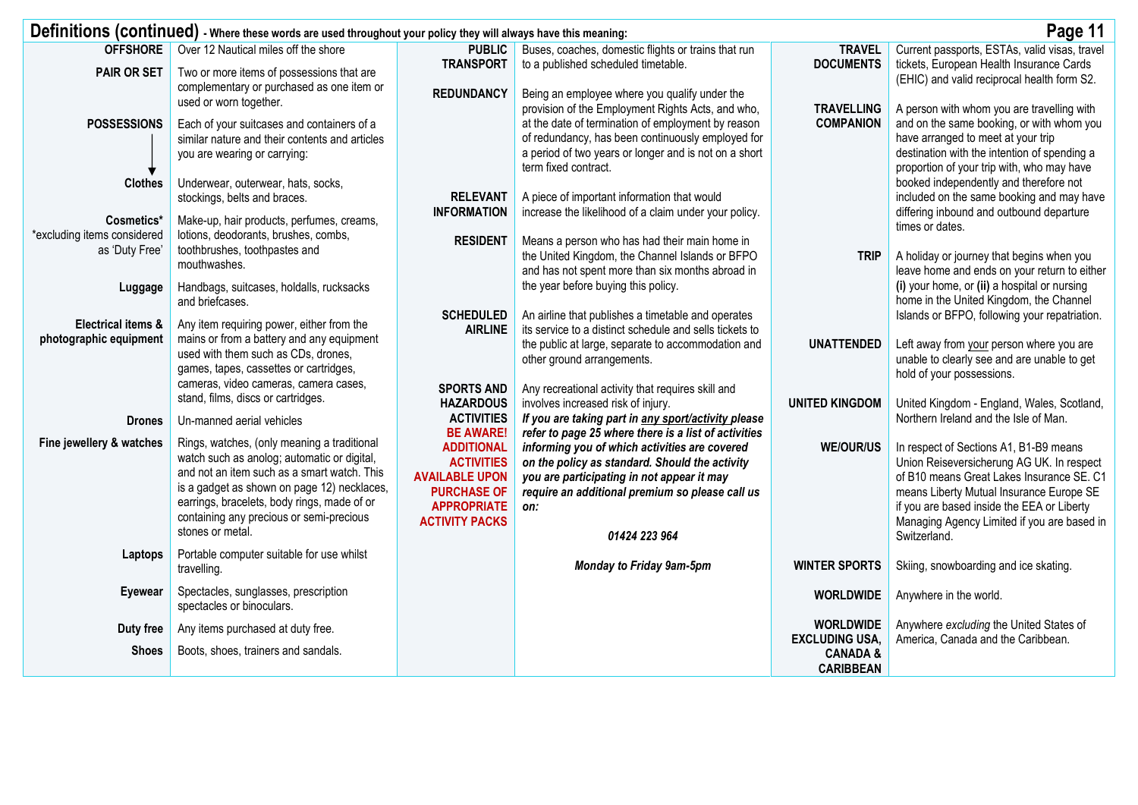|                                                         | Definitions (continued) - Where these words are used throughout your policy they will always have this meaning:                                                                                                                                                                     |                                                                                                                                      |                                                                                                                                                                                                         |                                           | Page 11                                                                                                                                                                                                                                                                   |
|---------------------------------------------------------|-------------------------------------------------------------------------------------------------------------------------------------------------------------------------------------------------------------------------------------------------------------------------------------|--------------------------------------------------------------------------------------------------------------------------------------|---------------------------------------------------------------------------------------------------------------------------------------------------------------------------------------------------------|-------------------------------------------|---------------------------------------------------------------------------------------------------------------------------------------------------------------------------------------------------------------------------------------------------------------------------|
| <b>OFFSHORE</b><br><b>PAIR OR SET</b>                   | Over 12 Nautical miles off the shore<br>Two or more items of possessions that are                                                                                                                                                                                                   | <b>PUBLIC</b><br><b>TRANSPORT</b>                                                                                                    | Buses, coaches, domestic flights or trains that run<br>to a published scheduled timetable.                                                                                                              | <b>TRAVEL</b><br><b>DOCUMENTS</b>         | Current passports, ESTAs, valid visas, travel<br>tickets, European Health Insurance Cards<br>(EHIC) and valid reciprocal health form S2.                                                                                                                                  |
|                                                         | complementary or purchased as one item or<br>used or worn together.                                                                                                                                                                                                                 | <b>REDUNDANCY</b>                                                                                                                    | Being an employee where you qualify under the<br>provision of the Employment Rights Acts, and who,                                                                                                      | <b>TRAVELLING</b>                         | A person with whom you are travelling with                                                                                                                                                                                                                                |
| <b>POSSESSIONS</b>                                      | Each of your suitcases and containers of a<br>similar nature and their contents and articles<br>you are wearing or carrying:                                                                                                                                                        |                                                                                                                                      | at the date of termination of employment by reason<br>of redundancy, has been continuously employed for<br>a period of two years or longer and is not on a short<br>term fixed contract.                | <b>COMPANION</b>                          | and on the same booking, or with whom you<br>have arranged to meet at your trip<br>destination with the intention of spending a<br>proportion of your trip with, who may have                                                                                             |
| <b>Clothes</b>                                          | Underwear, outerwear, hats, socks,                                                                                                                                                                                                                                                  |                                                                                                                                      |                                                                                                                                                                                                         |                                           | booked independently and therefore not                                                                                                                                                                                                                                    |
|                                                         | stockings, belts and braces.                                                                                                                                                                                                                                                        | <b>RELEVANT</b><br><b>INFORMATION</b>                                                                                                | A piece of important information that would<br>increase the likelihood of a claim under your policy.                                                                                                    |                                           | included on the same booking and may have<br>differing inbound and outbound departure                                                                                                                                                                                     |
| Cosmetics*<br>*excluding items considered               | Make-up, hair products, perfumes, creams,<br>lotions, deodorants, brushes, combs,                                                                                                                                                                                                   | <b>RESIDENT</b>                                                                                                                      | Means a person who has had their main home in                                                                                                                                                           |                                           | times or dates.                                                                                                                                                                                                                                                           |
| as 'Duty Free'                                          | toothbrushes, toothpastes and<br>mouthwashes.                                                                                                                                                                                                                                       |                                                                                                                                      | the United Kingdom, the Channel Islands or BFPO<br>and has not spent more than six months abroad in                                                                                                     | <b>TRIP</b>                               | A holiday or journey that begins when you<br>leave home and ends on your return to either                                                                                                                                                                                 |
| Luggage                                                 | Handbags, suitcases, holdalls, rucksacks<br>and briefcases.                                                                                                                                                                                                                         |                                                                                                                                      | the year before buying this policy.                                                                                                                                                                     |                                           | (i) your home, or (ii) a hospital or nursing<br>home in the United Kingdom, the Channel                                                                                                                                                                                   |
| <b>Electrical items &amp;</b><br>photographic equipment | Any item requiring power, either from the<br>mains or from a battery and any equipment                                                                                                                                                                                              | <b>SCHEDULED</b><br><b>AIRLINE</b>                                                                                                   | An airline that publishes a timetable and operates<br>its service to a distinct schedule and sells tickets to<br>the public at large, separate to accommodation and                                     | <b>UNATTENDED</b>                         | Islands or BFPO, following your repatriation.<br>Left away from your person where you are                                                                                                                                                                                 |
|                                                         | used with them such as CDs, drones,<br>games, tapes, cassettes or cartridges,                                                                                                                                                                                                       |                                                                                                                                      | other ground arrangements.                                                                                                                                                                              |                                           | unable to clearly see and are unable to get<br>hold of your possessions.                                                                                                                                                                                                  |
|                                                         | cameras, video cameras, camera cases,<br>stand, films, discs or cartridges.                                                                                                                                                                                                         | <b>SPORTS AND</b><br><b>HAZARDOUS</b>                                                                                                | Any recreational activity that requires skill and<br>involves increased risk of injury.                                                                                                                 | <b>UNITED KINGDOM</b>                     | United Kingdom - England, Wales, Scotland,                                                                                                                                                                                                                                |
| <b>Drones</b>                                           | Un-manned aerial vehicles                                                                                                                                                                                                                                                           | <b>ACTIVITIES</b><br><b>BE AWARE!</b>                                                                                                | If you are taking part in any sport/activity please<br>refer to page 25 where there is a list of activities                                                                                             |                                           | Northern Ireland and the Isle of Man.                                                                                                                                                                                                                                     |
| Fine jewellery & watches                                | Rings, watches, (only meaning a traditional<br>watch such as anolog; automatic or digital,<br>and not an item such as a smart watch. This<br>is a gadget as shown on page 12) necklaces,<br>earrings, bracelets, body rings, made of or<br>containing any precious or semi-precious | <b>ADDITIONAL</b><br><b>ACTIVITIES</b><br><b>AVAILABLE UPON</b><br><b>PURCHASE OF</b><br><b>APPROPRIATE</b><br><b>ACTIVITY PACKS</b> | informing you of which activities are covered<br>on the policy as standard. Should the activity<br>you are participating in not appear it may<br>require an additional premium so please call us<br>on: | <b>WE/OUR/US</b>                          | In respect of Sections A1, B1-B9 means<br>Union Reiseversicherung AG UK. In respect<br>of B10 means Great Lakes Insurance SE. C1<br>means Liberty Mutual Insurance Europe SE<br>if you are based inside the EEA or Liberty<br>Managing Agency Limited if you are based in |
|                                                         | stones or metal.                                                                                                                                                                                                                                                                    |                                                                                                                                      | 01424 223 964                                                                                                                                                                                           |                                           | Switzerland.                                                                                                                                                                                                                                                              |
| Laptops                                                 | Portable computer suitable for use whilst<br>travelling.                                                                                                                                                                                                                            |                                                                                                                                      | Monday to Friday 9am-5pm                                                                                                                                                                                | <b>WINTER SPORTS</b>                      | Skiing, snowboarding and ice skating.                                                                                                                                                                                                                                     |
| Eyewear                                                 | Spectacles, sunglasses, prescription<br>spectacles or binoculars.                                                                                                                                                                                                                   |                                                                                                                                      |                                                                                                                                                                                                         | <b>WORLDWIDE</b>                          | Anywhere in the world.                                                                                                                                                                                                                                                    |
| Duty free                                               | Any items purchased at duty free.                                                                                                                                                                                                                                                   |                                                                                                                                      |                                                                                                                                                                                                         | <b>WORLDWIDE</b><br><b>EXCLUDING USA,</b> | Anywhere excluding the United States of<br>America, Canada and the Caribbean.                                                                                                                                                                                             |
| <b>Shoes</b>                                            | Boots, shoes, trainers and sandals.                                                                                                                                                                                                                                                 |                                                                                                                                      |                                                                                                                                                                                                         | <b>CANADA &amp;</b><br><b>CARIBBEAN</b>   |                                                                                                                                                                                                                                                                           |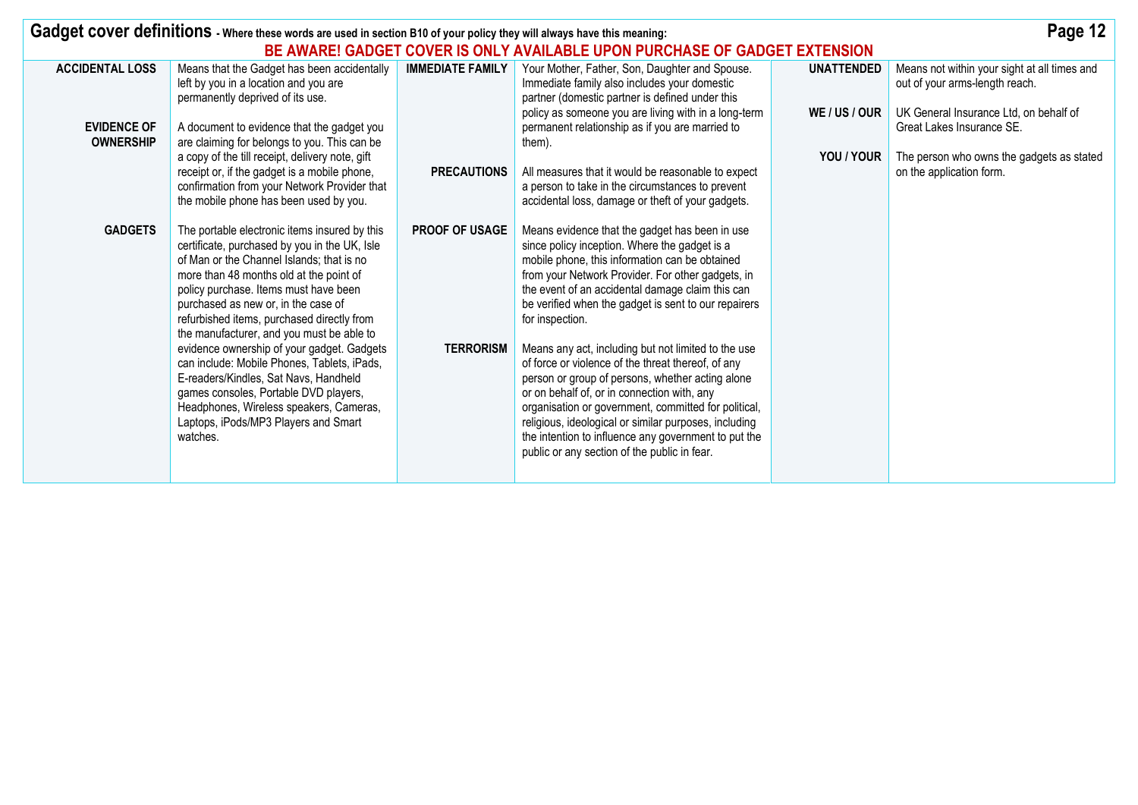|                                        | Page 12<br>Gadget cover definitions - Where these words are used in section B10 of your policy they will always have this meaning:                                                                                                                                                                                                                                |                         |                                                                                                                                                                                                                                                                                                                                                                                                                                       |                   |                                                                                |  |  |  |  |
|----------------------------------------|-------------------------------------------------------------------------------------------------------------------------------------------------------------------------------------------------------------------------------------------------------------------------------------------------------------------------------------------------------------------|-------------------------|---------------------------------------------------------------------------------------------------------------------------------------------------------------------------------------------------------------------------------------------------------------------------------------------------------------------------------------------------------------------------------------------------------------------------------------|-------------------|--------------------------------------------------------------------------------|--|--|--|--|
|                                        | BE AWARE! GADGET COVER IS ONLY AVAILABLE UPON PURCHASE OF GADGET EXTENSION                                                                                                                                                                                                                                                                                        |                         |                                                                                                                                                                                                                                                                                                                                                                                                                                       |                   |                                                                                |  |  |  |  |
| <b>ACCIDENTAL LOSS</b>                 | Means that the Gadget has been accidentally<br>left by you in a location and you are<br>permanently deprived of its use.                                                                                                                                                                                                                                          | <b>IMMEDIATE FAMILY</b> | Your Mother, Father, Son, Daughter and Spouse.<br>Immediate family also includes your domestic<br>partner (domestic partner is defined under this                                                                                                                                                                                                                                                                                     | <b>UNATTENDED</b> | Means not within your sight at all times and<br>out of your arms-length reach. |  |  |  |  |
| <b>EVIDENCE OF</b><br><b>OWNERSHIP</b> | A document to evidence that the gadget you<br>are claiming for belongs to you. This can be                                                                                                                                                                                                                                                                        |                         | policy as someone you are living with in a long-term<br>permanent relationship as if you are married to<br>them).                                                                                                                                                                                                                                                                                                                     | WE / US / OUR     | UK General Insurance Ltd, on behalf of<br>Great Lakes Insurance SE.            |  |  |  |  |
|                                        | a copy of the till receipt, delivery note, gift<br>receipt or, if the gadget is a mobile phone,<br>confirmation from your Network Provider that<br>the mobile phone has been used by you.                                                                                                                                                                         | <b>PRECAUTIONS</b>      | All measures that it would be reasonable to expect<br>a person to take in the circumstances to prevent<br>accidental loss, damage or theft of your gadgets.                                                                                                                                                                                                                                                                           | YOU / YOUR        | The person who owns the gadgets as stated<br>on the application form.          |  |  |  |  |
| <b>GADGETS</b>                         | The portable electronic items insured by this<br>certificate, purchased by you in the UK, Isle<br>of Man or the Channel Islands; that is no<br>more than 48 months old at the point of<br>policy purchase. Items must have been<br>purchased as new or, in the case of<br>refurbished items, purchased directly from<br>the manufacturer, and you must be able to | <b>PROOF OF USAGE</b>   | Means evidence that the gadget has been in use<br>since policy inception. Where the gadget is a<br>mobile phone, this information can be obtained<br>from your Network Provider. For other gadgets, in<br>the event of an accidental damage claim this can<br>be verified when the gadget is sent to our repairers<br>for inspection.                                                                                                 |                   |                                                                                |  |  |  |  |
|                                        | evidence ownership of your gadget. Gadgets<br>can include: Mobile Phones, Tablets, iPads,<br>E-readers/Kindles, Sat Navs, Handheld<br>games consoles, Portable DVD players,<br>Headphones, Wireless speakers, Cameras,<br>Laptops, iPods/MP3 Players and Smart<br>watches.                                                                                        | <b>TERRORISM</b>        | Means any act, including but not limited to the use<br>of force or violence of the threat thereof, of any<br>person or group of persons, whether acting alone<br>or on behalf of, or in connection with, any<br>organisation or government, committed for political,<br>religious, ideological or similar purposes, including<br>the intention to influence any government to put the<br>public or any section of the public in fear. |                   |                                                                                |  |  |  |  |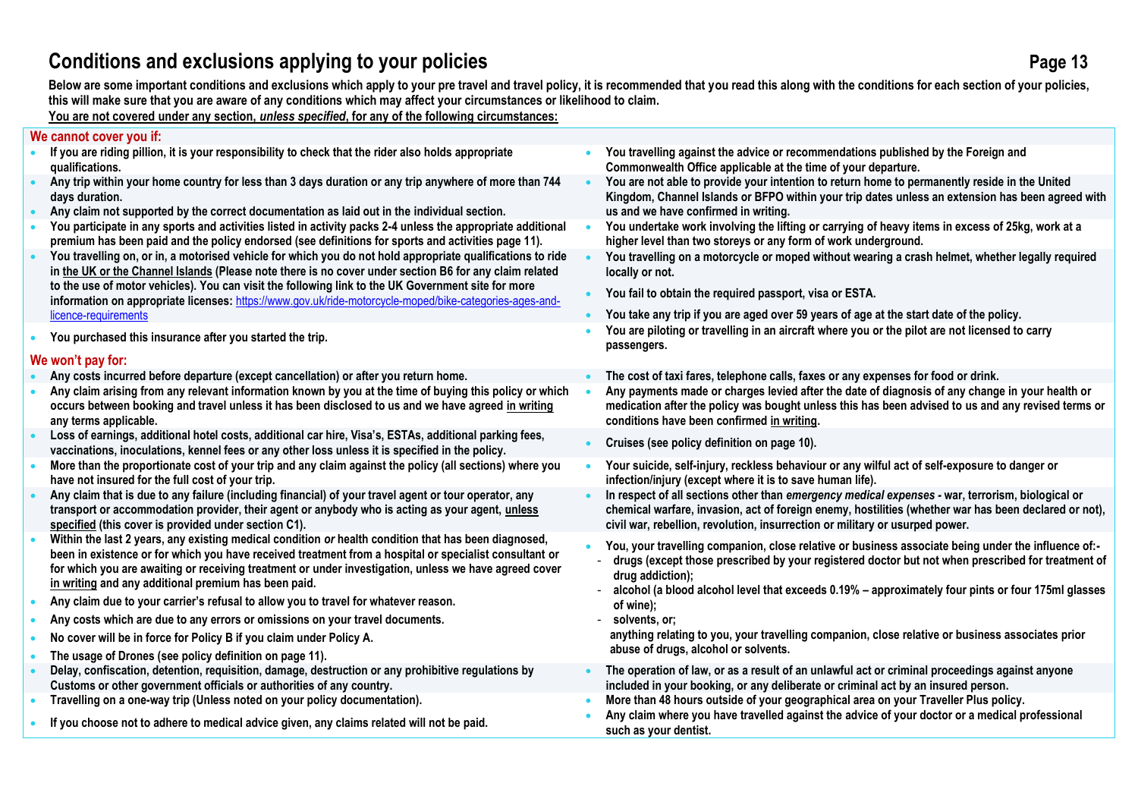# **Conditions and exclusions applying to your policies Page 13**

Below are some important conditions and exclusions which apply to your pre travel and travel policy, it is recommended that you read this along with the conditions for each section of your policies, **this will make sure that you are aware of any conditions which may affect your circumstances or likelihood to claim.** 

### **You are not covered under any section,** *unless specified***, for any of the following circumstances:**

### **We cannot cover you if:**

- **If you are riding pillion, it is your responsibility to check that the rider also holds appropriate qualifications.**
- **Any trip within your home country for less than 3 days duration or any trip anywhere of more than 744 days duration.**
- **Any claim not supported by the correct documentation as laid out in the individual section.**
- **You participate in any sports and activities listed in activity packs 2-4 unless the appropriate additional premium has been paid and the policy endorsed (see definitions for sports and activities page 11).**
- **You travelling on, or in, a motorised vehicle for which you do not hold appropriate qualifications to ride in the UK or the Channel Islands (Please note there is no cover under section B6 for any claim related to the use of motor vehicles). You can visit the following link to the UK Government site for more information on appropriate licenses:** [https://www.gov.uk/ride-motorcycle-moped/bike-categories-ages-and](https://www.gov.uk/ride-motorcycle-moped/bike-categories-ages-and-licence-requirements)[licence-requirements](https://www.gov.uk/ride-motorcycle-moped/bike-categories-ages-and-licence-requirements)
- 

### **We won't pay for:**

- **Any costs incurred before departure (except cancellation) or after you return home. The cost of taxi fares, telephone calls, faxes or any expenses for food or drink.**
- **Any claim arising from any relevant information known by you at the time of buying this policy or which occurs between booking and travel unless it has been disclosed to us and we have agreed in writing any terms applicable.**
- **Loss of earnings, additional hotel costs, additional car hire, Visa's, ESTAs, additional parking fees, vaccinations, inoculations, kennel fees or any other loss unless it is specified in the policy.** • **Cruises (see policy definition on page 10).**
- **More than the proportionate cost of your trip and any claim against the policy (all sections) where you have not insured for the full cost of your trip.**
- **Any claim that is due to any failure (including financial) of your travel agent or tour operator, any transport or accommodation provider, their agent or anybody who is acting as your agent, unless specified (this cover is provided under section C1).**
- **Within the last 2 years, any existing medical condition** *or* **health condition that has been diagnosed, been in existence or for which you have received treatment from a hospital or specialist consultant or for which you are awaiting or receiving treatment or under investigation, unless we have agreed cover in writing and any additional premium has been paid.**
- **Any claim due to your carrier's refusal to allow you to travel for whatever reason.**
- **Any costs which are due to any errors or omissions on your travel documents.**
- **No cover will be in force for Policy B if you claim under Policy A.**
- **The usage of Drones (see policy definition on page 11).**
- **Delay, confiscation, detention, requisition, damage, destruction or any prohibitive regulations by Customs or other government officials or authorities of any country.**
- 
- 
- **You travelling against the advice or recommendations published by the Foreign and Commonwealth Office applicable at the time of your departure.**
- **You are not able to provide your intention to return home to permanently reside in the United Kingdom, Channel Islands or BFPO within your trip dates unless an extension has been agreed with us and we have confirmed in writing.**
- **You undertake work involving the lifting or carrying of heavy items in excess of 25kg, work at a higher level than two storeys or any form of work underground.**
- **You travelling on a motorcycle or moped without wearing a crash helmet, whether legally required locally or not.**
- **You fail to obtain the required passport, visa or ESTA.**
- **You take any trip if you are aged over 59 years of age at the start date of the policy.**
- **You purchased this insurance after you started the trip. You are piloting or travelling in an aircraft where you or the pilot are not licensed to carry passengers.**
	-
	- **Any payments made or charges levied after the date of diagnosis of any change in your health or medication after the policy was bought unless this has been advised to us and any revised terms or conditions have been confirmed in writing.**
	-
	- **Your suicide, self-injury, reckless behaviour or any wilful act of self-exposure to danger or infection/injury (except where it is to save human life).**
	- **In respect of all sections other than** *emergency medical expenses -* **war, terrorism, biological or chemical warfare, invasion, act of foreign enemy, hostilities (whether war has been declared or not), civil war, rebellion, revolution, insurrection or military or usurped power.**
	- **You, your travelling companion, close relative or business associate being under the influence of:-**
	- **drugs (except those prescribed by your registered doctor but not when prescribed for treatment of drug addiction);**
	- **alcohol (a blood alcohol level that exceeds 0.19% – approximately four pints or four 175ml glasses of wine);**
	- **solvents, or;**
		- **anything relating to you, your travelling companion, close relative or business associates prior abuse of drugs, alcohol or solvents.**
	- **The operation of law, or as a result of an unlawful act or criminal proceedings against anyone included in your booking, or any deliberate or criminal act by an insured person.**
- **Travelling on a one-way trip (Unless noted on your policy documentation). More than 48 hours outside of your geographical area on your Traveller Plus policy.**
- **If you choose not to adhere to medical advice given, any claims related will not be paid. Any claim where you have travelled against the advice of your doctor or a medical professional such as your dentist.**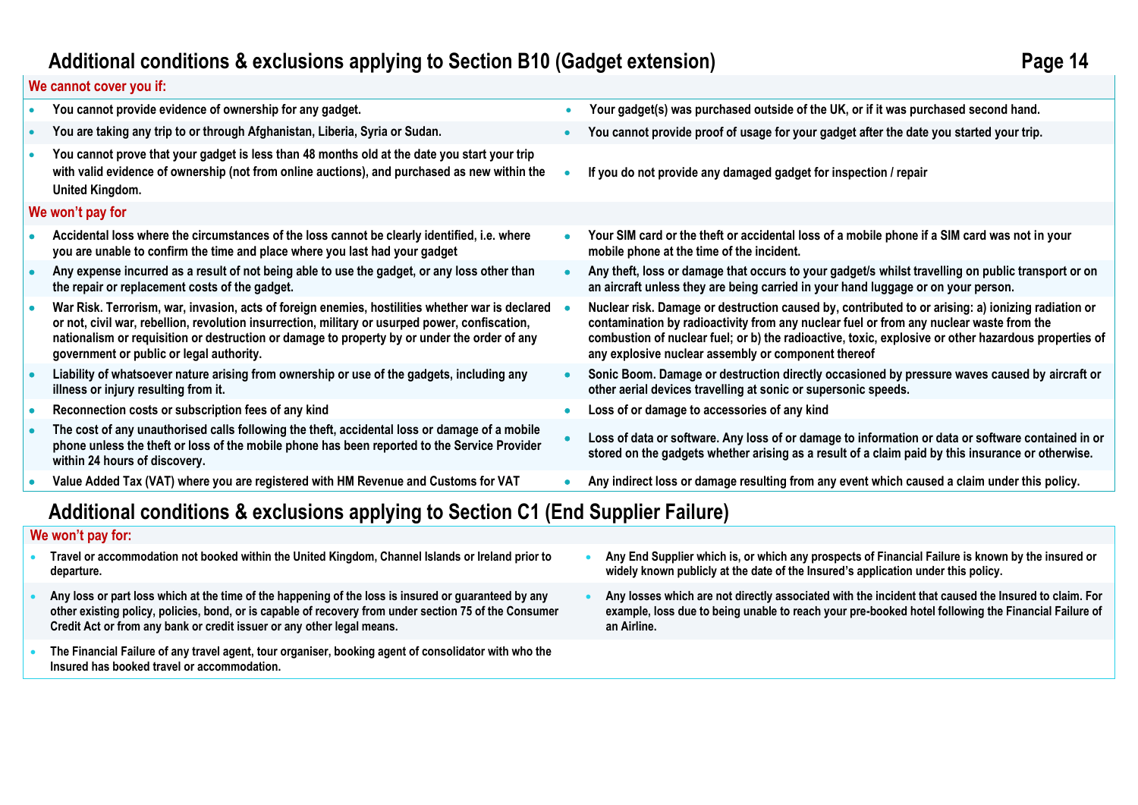# **Additional conditions & exclusions applying to Section B10 (Gadget extension) Page 14**

### **We cannot cover you if:**

| You cannot provide evidence of ownership for any gadget.                                                                                                                                                                                                                                                                                        | Your gadget(s) was purchased outside of the UK, or if it was purchased second hand.                                                                                                                                                                                                                                                                          |
|-------------------------------------------------------------------------------------------------------------------------------------------------------------------------------------------------------------------------------------------------------------------------------------------------------------------------------------------------|--------------------------------------------------------------------------------------------------------------------------------------------------------------------------------------------------------------------------------------------------------------------------------------------------------------------------------------------------------------|
| You are taking any trip to or through Afghanistan, Liberia, Syria or Sudan.                                                                                                                                                                                                                                                                     | You cannot provide proof of usage for your gadget after the date you started your trip.                                                                                                                                                                                                                                                                      |
| You cannot prove that your gadget is less than 48 months old at the date you start your trip<br>with valid evidence of ownership (not from online auctions), and purchased as new within the<br>United Kingdom.                                                                                                                                 | If you do not provide any damaged gadget for inspection / repair                                                                                                                                                                                                                                                                                             |
| We won't pay for                                                                                                                                                                                                                                                                                                                                |                                                                                                                                                                                                                                                                                                                                                              |
| Accidental loss where the circumstances of the loss cannot be clearly identified, i.e. where<br>you are unable to confirm the time and place where you last had your gadget                                                                                                                                                                     | Your SIM card or the theft or accidental loss of a mobile phone if a SIM card was not in your<br>mobile phone at the time of the incident.                                                                                                                                                                                                                   |
| Any expense incurred as a result of not being able to use the gadget, or any loss other than<br>the repair or replacement costs of the gadget.                                                                                                                                                                                                  | Any theft, loss or damage that occurs to your gadget/s whilst travelling on public transport or on<br>an aircraft unless they are being carried in your hand luggage or on your person.                                                                                                                                                                      |
| War Risk. Terrorism, war, invasion, acts of foreign enemies, hostilities whether war is declared<br>or not, civil war, rebellion, revolution insurrection, military or usurped power, confiscation,<br>nationalism or requisition or destruction or damage to property by or under the order of any<br>government or public or legal authority. | Nuclear risk. Damage or destruction caused by, contributed to or arising: a) ionizing radiation or<br>contamination by radioactivity from any nuclear fuel or from any nuclear waste from the<br>combustion of nuclear fuel; or b) the radioactive, toxic, explosive or other hazardous properties of<br>any explosive nuclear assembly or component thereof |
| Liability of whatsoever nature arising from ownership or use of the gadgets, including any<br>illness or injury resulting from it.                                                                                                                                                                                                              | Sonic Boom. Damage or destruction directly occasioned by pressure waves caused by aircraft or<br>other aerial devices travelling at sonic or supersonic speeds.                                                                                                                                                                                              |
| Reconnection costs or subscription fees of any kind                                                                                                                                                                                                                                                                                             | Loss of or damage to accessories of any kind                                                                                                                                                                                                                                                                                                                 |
| The cost of any unauthorised calls following the theft, accidental loss or damage of a mobile<br>phone unless the theft or loss of the mobile phone has been reported to the Service Provider<br>within 24 hours of discovery.                                                                                                                  | Loss of data or software. Any loss of or damage to information or data or software contained in or<br>stored on the gadgets whether arising as a result of a claim paid by this insurance or otherwise.                                                                                                                                                      |
| Value Added Tax (VAT) where you are registered with HM Revenue and Customs for VAT                                                                                                                                                                                                                                                              | Any indirect loss or damage resulting from any event which caused a claim under this policy.                                                                                                                                                                                                                                                                 |
| Additional conditions & avelusions applying to Section C1 (End Supplier Failure)                                                                                                                                                                                                                                                                |                                                                                                                                                                                                                                                                                                                                                              |

# **Additional conditions & exclusions applying to Section C1 (End Supplier Failure)**

### **We won't pay for:**

- **Travel or accommodation not booked within the United Kingdom, Channel Islands or Ireland prior to departure.**
- **Any loss or part loss which at the time of the happening of the loss is insured or guaranteed by any other existing policy, policies, bond, or is capable of recovery from under section 75 of the Consumer Credit Act or from any bank or credit issuer or any other legal means.**
- **The Financial Failure of any travel agent, tour organiser, booking agent of consolidator with who the Insured has booked travel or accommodation.**
- **Any End Supplier which is, or which any prospects of Financial Failure is known by the insured or widely known publicly at the date of the Insured's application under this policy.**
- **Any losses which are not directly associated with the incident that caused the Insured to claim. For example, loss due to being unable to reach your pre-booked hotel following the Financial Failure of an Airline.**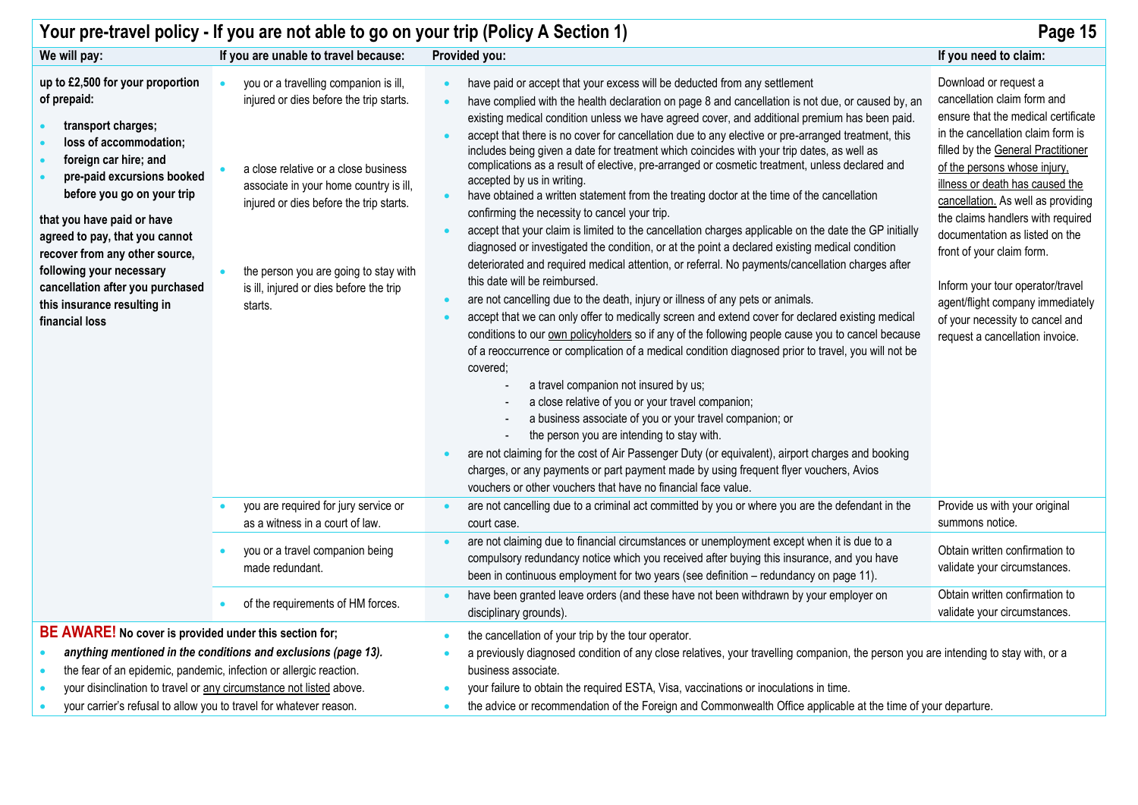| Page 15<br>Your pre-travel policy - If you are not able to go on your trip (Policy A Section 1)                                                                                                                                                                                                                                                                                                         |                                                                                                                                                                                                                                                                                                              |                                                                                                                                                                                                                                                                                                                                                                                                                                                                                                                                                                                                                                                                                                                                                                                                                                                                                                                                                                                                                                                                                                                                                                                                                                                                                                                                                                                                                                                                                                                                                                                                                                                                                                                                                                                                                                                                                                                                                                                                                                                                                                   |                                                                                                                                                                                                                                                                                                                                                                                                                                                                                                                                   |  |  |  |  |
|---------------------------------------------------------------------------------------------------------------------------------------------------------------------------------------------------------------------------------------------------------------------------------------------------------------------------------------------------------------------------------------------------------|--------------------------------------------------------------------------------------------------------------------------------------------------------------------------------------------------------------------------------------------------------------------------------------------------------------|---------------------------------------------------------------------------------------------------------------------------------------------------------------------------------------------------------------------------------------------------------------------------------------------------------------------------------------------------------------------------------------------------------------------------------------------------------------------------------------------------------------------------------------------------------------------------------------------------------------------------------------------------------------------------------------------------------------------------------------------------------------------------------------------------------------------------------------------------------------------------------------------------------------------------------------------------------------------------------------------------------------------------------------------------------------------------------------------------------------------------------------------------------------------------------------------------------------------------------------------------------------------------------------------------------------------------------------------------------------------------------------------------------------------------------------------------------------------------------------------------------------------------------------------------------------------------------------------------------------------------------------------------------------------------------------------------------------------------------------------------------------------------------------------------------------------------------------------------------------------------------------------------------------------------------------------------------------------------------------------------------------------------------------------------------------------------------------------------|-----------------------------------------------------------------------------------------------------------------------------------------------------------------------------------------------------------------------------------------------------------------------------------------------------------------------------------------------------------------------------------------------------------------------------------------------------------------------------------------------------------------------------------|--|--|--|--|
| We will pay:                                                                                                                                                                                                                                                                                                                                                                                            | If you are unable to travel because:                                                                                                                                                                                                                                                                         | Provided you:                                                                                                                                                                                                                                                                                                                                                                                                                                                                                                                                                                                                                                                                                                                                                                                                                                                                                                                                                                                                                                                                                                                                                                                                                                                                                                                                                                                                                                                                                                                                                                                                                                                                                                                                                                                                                                                                                                                                                                                                                                                                                     | If you need to claim:                                                                                                                                                                                                                                                                                                                                                                                                                                                                                                             |  |  |  |  |
| up to £2,500 for your proportion<br>of prepaid:<br>transport charges;<br>loss of accommodation;<br>foreign car hire; and<br>pre-paid excursions booked<br>before you go on your trip<br>that you have paid or have<br>agreed to pay, that you cannot<br>recover from any other source,<br>following your necessary<br>cancellation after you purchased<br>this insurance resulting in<br>financial loss | you or a travelling companion is ill,<br>injured or dies before the trip starts.<br>a close relative or a close business<br>associate in your home country is ill,<br>injured or dies before the trip starts.<br>the person you are going to stay with<br>is ill, injured or dies before the trip<br>starts. | have paid or accept that your excess will be deducted from any settlement<br>$\bullet$<br>have complied with the health declaration on page 8 and cancellation is not due, or caused by, an<br>$\bullet$<br>existing medical condition unless we have agreed cover, and additional premium has been paid.<br>accept that there is no cover for cancellation due to any elective or pre-arranged treatment, this<br>$\bullet$<br>includes being given a date for treatment which coincides with your trip dates, as well as<br>complications as a result of elective, pre-arranged or cosmetic treatment, unless declared and<br>accepted by us in writing.<br>have obtained a written statement from the treating doctor at the time of the cancellation<br>$\bullet$<br>confirming the necessity to cancel your trip.<br>accept that your claim is limited to the cancellation charges applicable on the date the GP initially<br>$\bullet$<br>diagnosed or investigated the condition, or at the point a declared existing medical condition<br>deteriorated and required medical attention, or referral. No payments/cancellation charges after<br>this date will be reimbursed.<br>are not cancelling due to the death, injury or illness of any pets or animals.<br>$\bullet$<br>accept that we can only offer to medically screen and extend cover for declared existing medical<br>$\bullet$<br>conditions to our own policyholders so if any of the following people cause you to cancel because<br>of a reoccurrence or complication of a medical condition diagnosed prior to travel, you will not be<br>covered:<br>a travel companion not insured by us;<br>a close relative of you or your travel companion;<br>a business associate of you or your travel companion; or<br>the person you are intending to stay with.<br>are not claiming for the cost of Air Passenger Duty (or equivalent), airport charges and booking<br>charges, or any payments or part payment made by using frequent flyer vouchers, Avios<br>vouchers or other vouchers that have no financial face value. | Download or request a<br>cancellation claim form and<br>ensure that the medical certificate<br>in the cancellation claim form is<br>filled by the General Practitioner<br>of the persons whose injury,<br>illness or death has caused the<br>cancellation. As well as providing<br>the claims handlers with required<br>documentation as listed on the<br>front of your claim form.<br>Inform your tour operator/travel<br>agent/flight company immediately<br>of your necessity to cancel and<br>request a cancellation invoice. |  |  |  |  |
|                                                                                                                                                                                                                                                                                                                                                                                                         | you are required for jury service or<br>as a witness in a court of law.                                                                                                                                                                                                                                      | are not cancelling due to a criminal act committed by you or where you are the defendant in the<br>$\bullet$<br>court case.                                                                                                                                                                                                                                                                                                                                                                                                                                                                                                                                                                                                                                                                                                                                                                                                                                                                                                                                                                                                                                                                                                                                                                                                                                                                                                                                                                                                                                                                                                                                                                                                                                                                                                                                                                                                                                                                                                                                                                       | Provide us with your original<br>summons notice.                                                                                                                                                                                                                                                                                                                                                                                                                                                                                  |  |  |  |  |
|                                                                                                                                                                                                                                                                                                                                                                                                         | you or a travel companion being<br>made redundant.                                                                                                                                                                                                                                                           | are not claiming due to financial circumstances or unemployment except when it is due to a<br>compulsory redundancy notice which you received after buying this insurance, and you have<br>been in continuous employment for two years (see definition - redundancy on page 11).                                                                                                                                                                                                                                                                                                                                                                                                                                                                                                                                                                                                                                                                                                                                                                                                                                                                                                                                                                                                                                                                                                                                                                                                                                                                                                                                                                                                                                                                                                                                                                                                                                                                                                                                                                                                                  | Obtain written confirmation to<br>validate your circumstances.                                                                                                                                                                                                                                                                                                                                                                                                                                                                    |  |  |  |  |
|                                                                                                                                                                                                                                                                                                                                                                                                         | of the requirements of HM forces.                                                                                                                                                                                                                                                                            | have been granted leave orders (and these have not been withdrawn by your employer on<br>$\bullet$<br>disciplinary grounds).                                                                                                                                                                                                                                                                                                                                                                                                                                                                                                                                                                                                                                                                                                                                                                                                                                                                                                                                                                                                                                                                                                                                                                                                                                                                                                                                                                                                                                                                                                                                                                                                                                                                                                                                                                                                                                                                                                                                                                      | Obtain written confirmation to<br>validate your circumstances.                                                                                                                                                                                                                                                                                                                                                                                                                                                                    |  |  |  |  |
| BE AWARE! No cover is provided under this section for;<br>your carrier's refusal to allow you to travel for whatever reason.                                                                                                                                                                                                                                                                            | anything mentioned in the conditions and exclusions (page 13).<br>the fear of an epidemic, pandemic, infection or allergic reaction.<br>your disinclination to travel or any circumstance not listed above.                                                                                                  | the cancellation of your trip by the tour operator.<br>$\bullet$<br>a previously diagnosed condition of any close relatives, your travelling companion, the person you are intending to stay with, or a<br>business associate.<br>your failure to obtain the required ESTA, Visa, vaccinations or inoculations in time.<br>the advice or recommendation of the Foreign and Commonwealth Office applicable at the time of your departure.<br>$\bullet$                                                                                                                                                                                                                                                                                                                                                                                                                                                                                                                                                                                                                                                                                                                                                                                                                                                                                                                                                                                                                                                                                                                                                                                                                                                                                                                                                                                                                                                                                                                                                                                                                                             |                                                                                                                                                                                                                                                                                                                                                                                                                                                                                                                                   |  |  |  |  |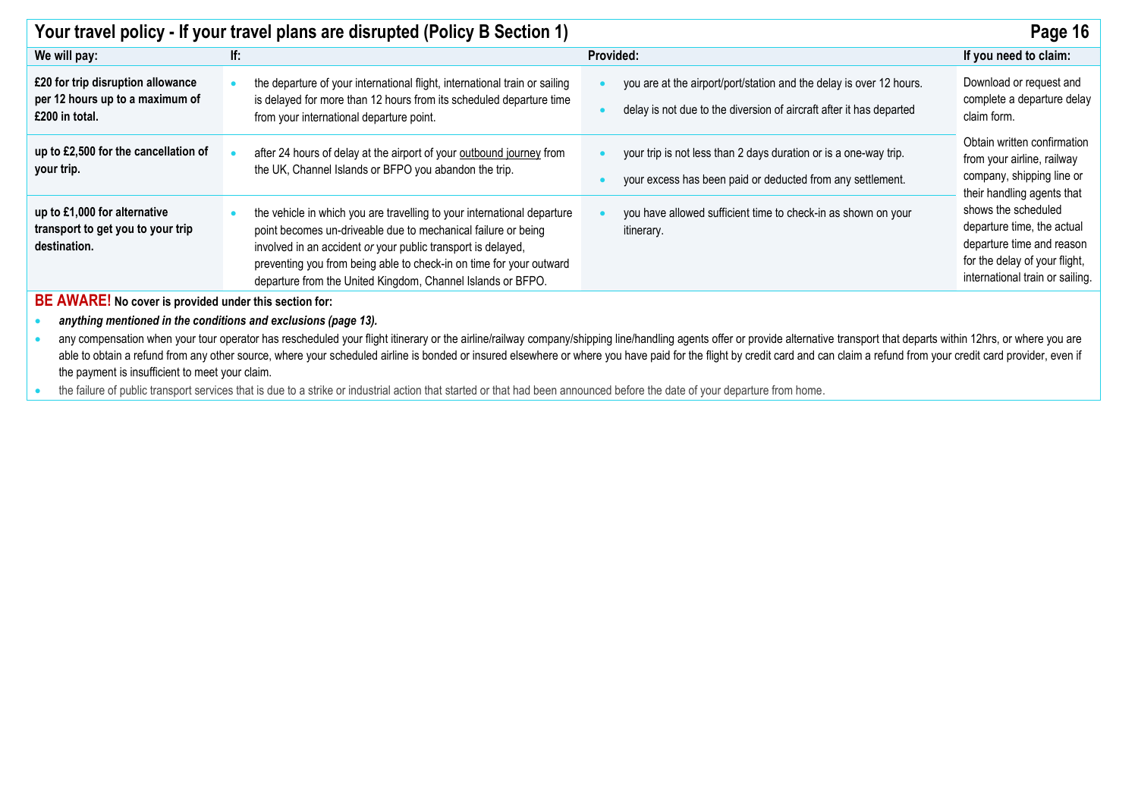| Your travel policy - If your travel plans are disrupted (Policy B Section 1)<br>Page 16                                                    |                                                                                                                                                    |  |  |  |  |  |  |  |
|--------------------------------------------------------------------------------------------------------------------------------------------|----------------------------------------------------------------------------------------------------------------------------------------------------|--|--|--|--|--|--|--|
| <b>Provided:</b>                                                                                                                           | If you need to claim:                                                                                                                              |  |  |  |  |  |  |  |
| you are at the airport/port/station and the delay is over 12 hours.<br>delay is not due to the diversion of aircraft after it has departed | Download or request and<br>complete a departure delay<br>claim form.                                                                               |  |  |  |  |  |  |  |
| your trip is not less than 2 days duration or is a one-way trip.<br>your excess has been paid or deducted from any settlement.             | Obtain written confirmation<br>from your airline, railway<br>company, shipping line or<br>their handling agents that                               |  |  |  |  |  |  |  |
| you have allowed sufficient time to check-in as shown on your<br><i>itinerary.</i>                                                         | shows the scheduled<br>departure time, the actual<br>departure time and reason<br>for the delay of your flight,<br>international train or sailing. |  |  |  |  |  |  |  |
| departure from the United Kingdom, Channel Islands or BFPO.<br>BE AWARE! No cover is provided under this section for:                      |                                                                                                                                                    |  |  |  |  |  |  |  |
|                                                                                                                                            |                                                                                                                                                    |  |  |  |  |  |  |  |
|                                                                                                                                            |                                                                                                                                                    |  |  |  |  |  |  |  |

· any compensation when your tour operator has rescheduled your flight itinerary or the airline/railway company/shipping line/handling agents offer or provide alternative transport that departs within 12hrs, or where you a able to obtain a refund from any other source, where your scheduled airline is bonded or insured elsewhere or where you have paid for the flight by credit card and can claim a refund from your credit card provider, even if the payment is insufficient to meet your claim.

• the failure of public transport services that is due to a strike or industrial action that started or that had been announced before the date of your departure from home.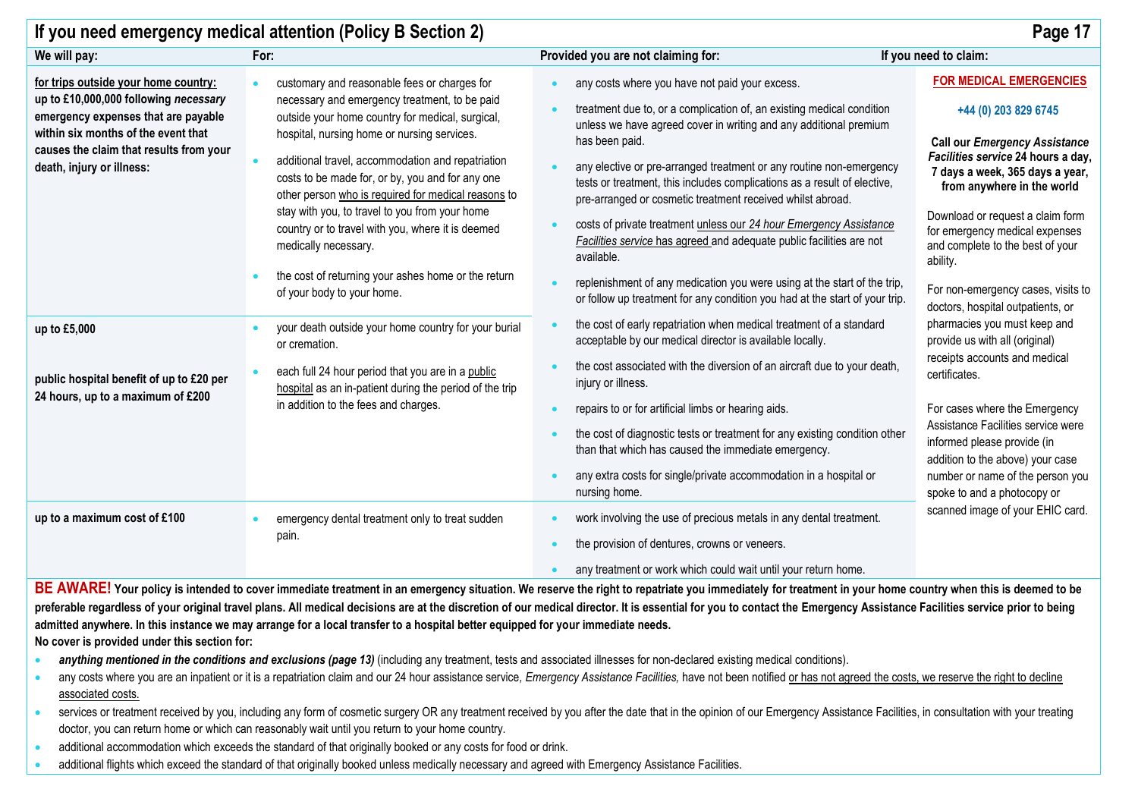|                                                                               | If you need emergency medical attention (Policy B Section 2)                                                                |                                                                                                                                                          | Page 17                                                                                                            |  |
|-------------------------------------------------------------------------------|-----------------------------------------------------------------------------------------------------------------------------|----------------------------------------------------------------------------------------------------------------------------------------------------------|--------------------------------------------------------------------------------------------------------------------|--|
| We will pay:                                                                  | For:                                                                                                                        | Provided you are not claiming for:                                                                                                                       | If you need to claim:                                                                                              |  |
| for trips outside your home country:<br>up to £10,000,000 following necessary | customary and reasonable fees or charges for<br>necessary and emergency treatment, to be paid                               | any costs where you have not paid your excess.                                                                                                           | <b>FOR MEDICAL EMERGENCIES</b>                                                                                     |  |
| emergency expenses that are payable<br>within six months of the event that    | outside your home country for medical, surgical,<br>hospital, nursing home or nursing services.                             | treatment due to, or a complication of, an existing medical condition<br>unless we have agreed cover in writing and any additional premium               | +44 (0) 203 829 6745                                                                                               |  |
| causes the claim that results from your<br>death, injury or illness:          | additional travel, accommodation and repatriation                                                                           | has been paid.<br>any elective or pre-arranged treatment or any routine non-emergency                                                                    | <b>Call our Emergency Assistance</b><br>Facilities service 24 hours a day,<br>7 days a week, 365 days a year,      |  |
|                                                                               | costs to be made for, or by, you and for any one<br>other person who is required for medical reasons to                     | tests or treatment, this includes complications as a result of elective,<br>pre-arranged or cosmetic treatment received whilst abroad.                   | from anywhere in the world                                                                                         |  |
|                                                                               | stay with you, to travel to you from your home<br>country or to travel with you, where it is deemed<br>medically necessary. | costs of private treatment unless our 24 hour Emergency Assistance<br>Facilities service has agreed and adequate public facilities are not<br>available. | Download or request a claim form<br>for emergency medical expenses<br>and complete to the best of your<br>ability. |  |
|                                                                               | the cost of returning your ashes home or the return<br>of your body to your home.                                           | replenishment of any medication you were using at the start of the trip,<br>or follow up treatment for any condition you had at the start of your trip.  | For non-emergency cases, visits to<br>doctors, hospital outpatients, or                                            |  |
| up to £5,000                                                                  | your death outside your home country for your burial<br>or cremation.                                                       | the cost of early repatriation when medical treatment of a standard<br>acceptable by our medical director is available locally.                          | pharmacies you must keep and<br>provide us with all (original)                                                     |  |
| public hospital benefit of up to £20 per<br>24 hours, up to a maximum of £200 | each full 24 hour period that you are in a public<br>hospital as an in-patient during the period of the trip                | the cost associated with the diversion of an aircraft due to your death,<br>injury or illness.                                                           | receipts accounts and medical<br>certificates.                                                                     |  |
|                                                                               | in addition to the fees and charges.                                                                                        | repairs to or for artificial limbs or hearing aids.                                                                                                      | For cases where the Emergency                                                                                      |  |
|                                                                               |                                                                                                                             | the cost of diagnostic tests or treatment for any existing condition other<br>than that which has caused the immediate emergency.                        | Assistance Facilities service were<br>informed please provide (in<br>addition to the above) your case              |  |
|                                                                               |                                                                                                                             | any extra costs for single/private accommodation in a hospital or<br>nursing home.                                                                       | number or name of the person you<br>spoke to and a photocopy or                                                    |  |
| up to a maximum cost of £100                                                  | emergency dental treatment only to treat sudden                                                                             | work involving the use of precious metals in any dental treatment.                                                                                       | scanned image of your EHIC card.                                                                                   |  |
|                                                                               | pain.                                                                                                                       | the provision of dentures, crowns or veneers.                                                                                                            |                                                                                                                    |  |
|                                                                               |                                                                                                                             | any treatment or work which could wait until your return home.                                                                                           |                                                                                                                    |  |

BE AWARE! Your policy is intended to cover immediate treatment in an emergency situation. We reserve the right to repatriate you immediately for treatment in your home country when this is deemed to be preferable regardless of your original travel plans. All medical decisions are at the discretion of our medical director. It is essential for you to contact the Emergency Assistance Facilities service prior to being **admitted anywhere. In this instance we may arrange for a local transfer to a hospital better equipped for your immediate needs. No cover is provided under this section for:**

- *anything mentioned in the conditions and exclusions (page 13)* **(including any treatment, tests and associated illnesses for non-declared existing medical conditions).**
- any costs where you are an inpatient or it is a repatriation claim and our 24 hour assistance service, Emergency Assistance Facilities, have not been notified or has not agreed the costs, we reserve the right to decline associated costs.
- services or treatment received by you, including any form of cosmetic surgery OR any treatment received by you after the date that in the opinion of our Emergency Assistance Facilities, in consultation with your treating doctor, you can return home or which can reasonably wait until you return to your home country.
- additional accommodation which exceeds the standard of that originally booked or any costs for food or drink.
- additional flights which exceed the standard of that originally booked unless medically necessary and agreed with Emergency Assistance Facilities.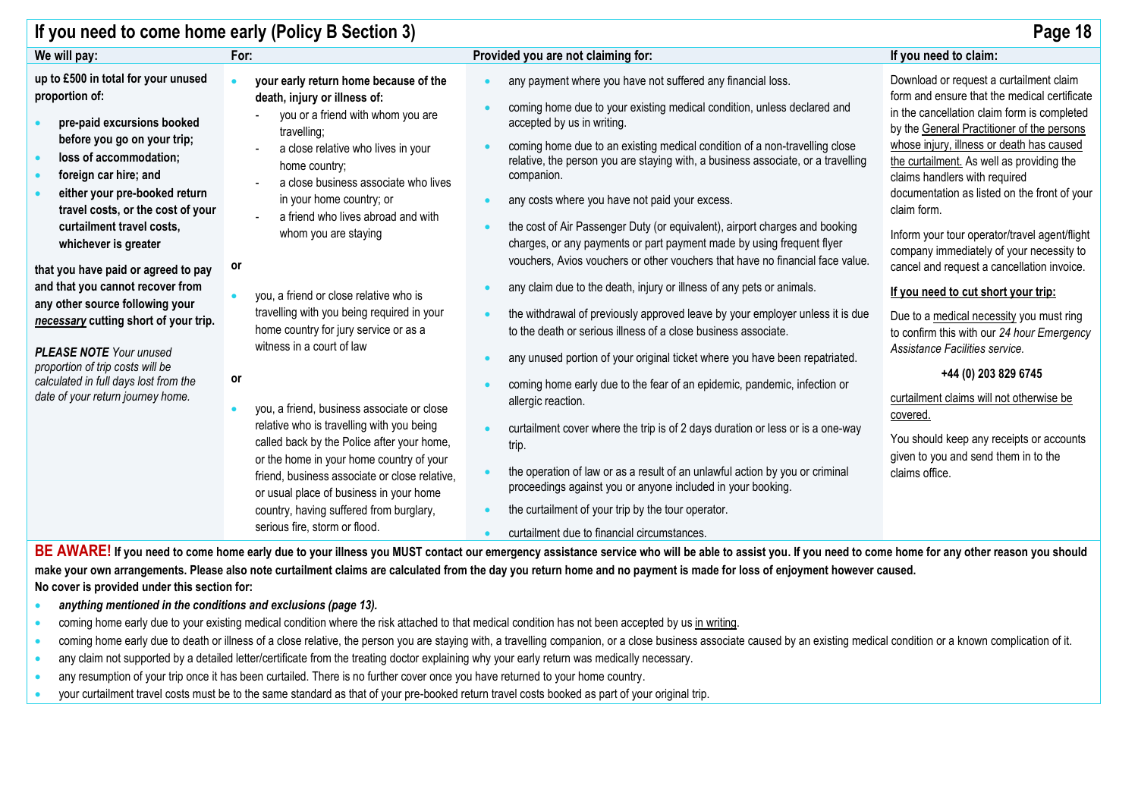|                                                                                                                                                                                                                                                                                                                                                                                                                                                                                                                                                                                                             | If you need to come home early (Policy B Section 3)                                                                                                                                                                                                                                                                                                                                                                                                                                                                                                                                                                                                                                                                                                                                                                      |                                                                                                                                                                                                                                                                                                                                                                                                                                                                                                                                                                                                                                                                                                                                                                                                                                                                                                                                                                                                                                                                                                                                                                                                                                                                                                                                                              | Page 18                                                                                                                                                                                                                                                                                                                                                                                                                                                                                                                                                                                                                                                                                                                                                                                                                                                                            |
|-------------------------------------------------------------------------------------------------------------------------------------------------------------------------------------------------------------------------------------------------------------------------------------------------------------------------------------------------------------------------------------------------------------------------------------------------------------------------------------------------------------------------------------------------------------------------------------------------------------|--------------------------------------------------------------------------------------------------------------------------------------------------------------------------------------------------------------------------------------------------------------------------------------------------------------------------------------------------------------------------------------------------------------------------------------------------------------------------------------------------------------------------------------------------------------------------------------------------------------------------------------------------------------------------------------------------------------------------------------------------------------------------------------------------------------------------|--------------------------------------------------------------------------------------------------------------------------------------------------------------------------------------------------------------------------------------------------------------------------------------------------------------------------------------------------------------------------------------------------------------------------------------------------------------------------------------------------------------------------------------------------------------------------------------------------------------------------------------------------------------------------------------------------------------------------------------------------------------------------------------------------------------------------------------------------------------------------------------------------------------------------------------------------------------------------------------------------------------------------------------------------------------------------------------------------------------------------------------------------------------------------------------------------------------------------------------------------------------------------------------------------------------------------------------------------------------|------------------------------------------------------------------------------------------------------------------------------------------------------------------------------------------------------------------------------------------------------------------------------------------------------------------------------------------------------------------------------------------------------------------------------------------------------------------------------------------------------------------------------------------------------------------------------------------------------------------------------------------------------------------------------------------------------------------------------------------------------------------------------------------------------------------------------------------------------------------------------------|
| We will pay:                                                                                                                                                                                                                                                                                                                                                                                                                                                                                                                                                                                                | For:                                                                                                                                                                                                                                                                                                                                                                                                                                                                                                                                                                                                                                                                                                                                                                                                                     | Provided you are not claiming for:                                                                                                                                                                                                                                                                                                                                                                                                                                                                                                                                                                                                                                                                                                                                                                                                                                                                                                                                                                                                                                                                                                                                                                                                                                                                                                                           | If you need to claim:                                                                                                                                                                                                                                                                                                                                                                                                                                                                                                                                                                                                                                                                                                                                                                                                                                                              |
| up to £500 in total for your unused<br>proportion of:<br>pre-paid excursions booked<br>before you go on your trip;<br>loss of accommodation;<br>foreign car hire; and<br>either your pre-booked return<br>travel costs, or the cost of your<br>curtailment travel costs,<br>whichever is greater<br>that you have paid or agreed to pay<br>and that you cannot recover from<br>any other source following your<br>necessary cutting short of your trip.<br><b>PLEASE NOTE</b> Your unused<br>proportion of trip costs will be<br>calculated in full days lost from the<br>date of your return journey home. | your early return home because of the<br>death, injury or illness of:<br>you or a friend with whom you are<br>travelling;<br>a close relative who lives in your<br>home country;<br>a close business associate who lives<br>in your home country; or<br>a friend who lives abroad and with<br>whom you are staying<br>or<br>you, a friend or close relative who is<br>travelling with you being required in your<br>home country for jury service or as a<br>witness in a court of law<br>or<br>you, a friend, business associate or close<br>relative who is travelling with you being<br>called back by the Police after your home,<br>or the home in your home country of your<br>friend, business associate or close relative,<br>or usual place of business in your home<br>country, having suffered from burglary, | any payment where you have not suffered any financial loss.<br>coming home due to your existing medical condition, unless declared and<br>accepted by us in writing.<br>coming home due to an existing medical condition of a non-travelling close<br>relative, the person you are staying with, a business associate, or a travelling<br>companion.<br>any costs where you have not paid your excess.<br>the cost of Air Passenger Duty (or equivalent), airport charges and booking<br>charges, or any payments or part payment made by using frequent flyer<br>vouchers, Avios vouchers or other vouchers that have no financial face value.<br>any claim due to the death, injury or illness of any pets or animals.<br>the withdrawal of previously approved leave by your employer unless it is due<br>to the death or serious illness of a close business associate.<br>any unused portion of your original ticket where you have been repatriated.<br>coming home early due to the fear of an epidemic, pandemic, infection or<br>allergic reaction.<br>curtailment cover where the trip is of 2 days duration or less or is a one-way<br>trip.<br>the operation of law or as a result of an unlawful action by you or criminal<br>proceedings against you or anyone included in your booking.<br>the curtailment of your trip by the tour operator. | Download or request a curtailment claim<br>form and ensure that the medical certificate<br>in the cancellation claim form is completed<br>by the General Practitioner of the persons<br>whose injury, illness or death has caused<br>the curtailment. As well as providing the<br>claims handlers with required<br>documentation as listed on the front of your<br>claim form.<br>Inform your tour operator/travel agent/flight<br>company immediately of your necessity to<br>cancel and request a cancellation invoice.<br>If you need to cut short your trip:<br>Due to a medical necessity you must ring<br>to confirm this with our 24 hour Emergency<br>Assistance Facilities service.<br>+44 (0) 203 829 6745<br>curtailment claims will not otherwise be<br>covered.<br>You should keep any receipts or accounts<br>given to you and send them in to the<br>claims office. |

BE AWARE! If you need to come home early due to your illness you MUST contact our emergency assistance service who will be able to assist you. If you need to come home for any other reason you should **make your own arrangements. Please also note curtailment claims are calculated from the day you return home and no payment is made for loss of enjoyment however caused. No cover is provided under this section for:**

- *anything mentioned in the conditions and exclusions (page 13).*
- coming home early due to your existing medical condition where the risk attached to that medical condition has not been accepted by us in writing.
- coming home early due to death or illness of a close relative, the person you are staying with, a travelling companion, or a close business associate caused by an existing medical condition or a known complication of it.
- any claim not supported by a detailed letter/certificate from the treating doctor explaining why your early return was medically necessary.
- any resumption of your trip once it has been curtailed. There is no further cover once you have returned to your home country.
- your curtailment travel costs must be to the same standard as that of your pre-booked return travel costs booked as part of your original trip.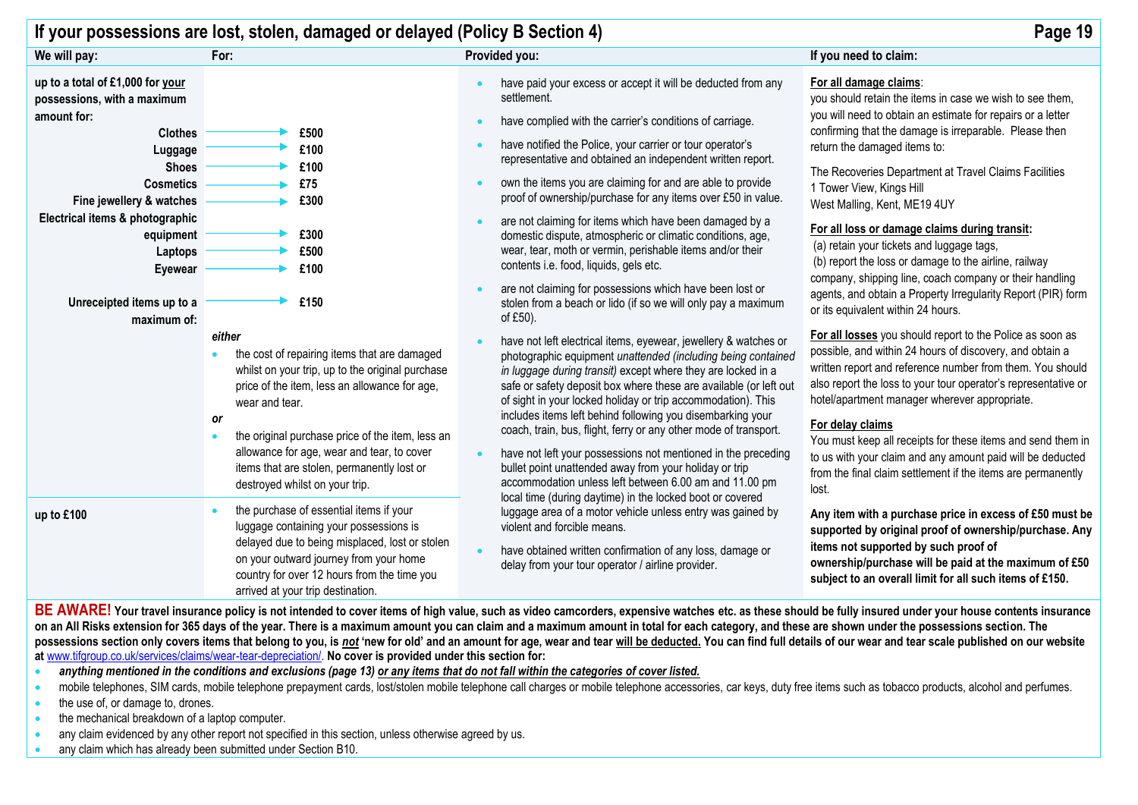|                                                                                                                                                                                                                                                                                               | If your possessions are lost, stolen, damaged or delayed (Policy B Section 4)                                                                                                                                                                                                                                                                                                |                                                                                                                                                                                                                                                                                                                                                                                                                                                                                                                                                                                                                                                                                                                                                                           | Page 19                                                                                                                                                                                                                                                                                                                                                                                                                                                                                                                                                                                                                                                                                  |
|-----------------------------------------------------------------------------------------------------------------------------------------------------------------------------------------------------------------------------------------------------------------------------------------------|------------------------------------------------------------------------------------------------------------------------------------------------------------------------------------------------------------------------------------------------------------------------------------------------------------------------------------------------------------------------------|---------------------------------------------------------------------------------------------------------------------------------------------------------------------------------------------------------------------------------------------------------------------------------------------------------------------------------------------------------------------------------------------------------------------------------------------------------------------------------------------------------------------------------------------------------------------------------------------------------------------------------------------------------------------------------------------------------------------------------------------------------------------------|------------------------------------------------------------------------------------------------------------------------------------------------------------------------------------------------------------------------------------------------------------------------------------------------------------------------------------------------------------------------------------------------------------------------------------------------------------------------------------------------------------------------------------------------------------------------------------------------------------------------------------------------------------------------------------------|
| We will pay:                                                                                                                                                                                                                                                                                  | For:                                                                                                                                                                                                                                                                                                                                                                         | Provided you:                                                                                                                                                                                                                                                                                                                                                                                                                                                                                                                                                                                                                                                                                                                                                             | If you need to claim:                                                                                                                                                                                                                                                                                                                                                                                                                                                                                                                                                                                                                                                                    |
| up to a total of £1,000 for your<br>possessions, with a maximum<br>amount for:<br><b>Clothes</b><br>Luggage<br><b>Shoes</b><br><b>Cosmetics</b><br>Fine jewellery & watches<br>Electrical items & photographic<br>equipment<br>Laptops<br>Eyewear<br>Unreceipted items up to a<br>maximum of: | £500<br>£100<br>£100<br>£75<br>£300<br>£300<br>£500<br>£100<br>£150                                                                                                                                                                                                                                                                                                          | have paid your excess or accept it will be deducted from any<br>settlement.<br>have complied with the carrier's conditions of carriage.<br>have notified the Police, your carrier or tour operator's<br>representative and obtained an independent written report.<br>own the items you are claiming for and are able to provide<br>proof of ownership/purchase for any items over £50 in value.<br>are not claiming for items which have been damaged by a<br>domestic dispute, atmospheric or climatic conditions, age,<br>wear, tear, moth or vermin, perishable items and/or their<br>contents i.e. food, liquids, gels etc.<br>are not claiming for possessions which have been lost or<br>stolen from a beach or lido (if so we will only pay a maximum<br>of £50). | For all damage claims:<br>you should retain the items in case we wish to see them,<br>you will need to obtain an estimate for repairs or a letter<br>confirming that the damage is irreparable. Please then<br>return the damaged items to:<br>The Recoveries Department at Travel Claims Facilities<br>1 Tower View, Kings Hill<br>West Malling, Kent, ME19 4UY<br>For all loss or damage claims during transit:<br>(a) retain your tickets and luggage tags,<br>(b) report the loss or damage to the airline, railway<br>company, shipping line, coach company or their handling<br>agents, and obtain a Property Irregularity Report (PIR) form<br>or its equivalent within 24 hours. |
|                                                                                                                                                                                                                                                                                               | either<br>the cost of repairing items that are damaged<br>whilst on your trip, up to the original purchase<br>price of the item, less an allowance for age,<br>wear and tear.<br><b>or</b><br>the original purchase price of the item, less an<br>allowance for age, wear and tear, to cover<br>items that are stolen, permanently lost or<br>destroyed whilst on your trip. | have not left electrical items, eyewear, jewellery & watches or<br>photographic equipment unattended (including being contained<br>in luggage during transit) except where they are locked in a<br>safe or safety deposit box where these are available (or left out<br>of sight in your locked holiday or trip accommodation). This<br>includes items left behind following you disembarking your<br>coach, train, bus, flight, ferry or any other mode of transport.<br>have not left your possessions not mentioned in the preceding<br>bullet point unattended away from your holiday or trip<br>accommodation unless left between 6.00 am and 11.00 pm                                                                                                               | For all losses you should report to the Police as soon as<br>possible, and within 24 hours of discovery, and obtain a<br>written report and reference number from them. You should<br>also report the loss to your tour operator's representative or<br>hotel/apartment manager wherever appropriate.<br>For delay claims<br>You must keep all receipts for these items and send them in<br>to us with your claim and any amount paid will be deducted<br>from the final claim settlement if the items are permanently<br>lost.                                                                                                                                                          |
| up to £100<br>DE AMIADELV                                                                                                                                                                                                                                                                     | the purchase of essential items if your<br>luggage containing your possessions is<br>delayed due to being misplaced, lost or stolen<br>on your outward journey from your home<br>country for over 12 hours from the time you<br>arrived at your trip destination.<br>$\mathbf{r}$ , and $\mathbf{r}$ , and $\mathbf{r}$ , and $\mathbf{r}$ , and $\mathbf{r}$<br>.           | local time (during daytime) in the locked boot or covered<br>luggage area of a motor vehicle unless entry was gained by<br>violent and forcible means.<br>have obtained written confirmation of any loss, damage or<br>delay from your tour operator / airline provider.                                                                                                                                                                                                                                                                                                                                                                                                                                                                                                  | Any item with a purchase price in excess of £50 must be<br>supported by original proof of ownership/purchase. Any<br>items not supported by such proof of<br>ownership/purchase will be paid at the maximum of £50<br>subject to an overall limit for all such items of £150.                                                                                                                                                                                                                                                                                                                                                                                                            |

**BE AWARE! Your travel insurance policy is not intended to cover items of high value, such as video camcorders, expensive watches etc. as these should be fully insured under your house contents insurance on an All Risks extension for 365 days of the year. There is a maximum amount you can claim and a maximum amount in total for each category, and these are shown under the possessions section. The**  possessions section only covers items that belong to you, is not 'new for old' and an amount for age, wear and tear will be deducted. You can find full details of our wear and tear scale published on our website **at** [www.tifgroup.co.uk/services/claims/wear-tear-depreciation/.](http://www.tifgroup.co.uk/services/claims/wear-tear-depreciation/) **No cover is provided under this section for:**

• *anything mentioned in the conditions and exclusions (page 13) or any items that do not fall within the categories of cover listed.*

- mobile telephones, SIM cards, mobile telephone prepayment cards, lost/stolen mobile telephone call charges or mobile telephone accessories, car keys, duty free items such as tobacco products, alcohol and perfumes.
- the use of, or damage to, drones.
- the mechanical breakdown of a laptop computer.
- any claim evidenced by any other report not specified in this section, unless otherwise agreed by us.
- any claim which has already been submitted under Section B10.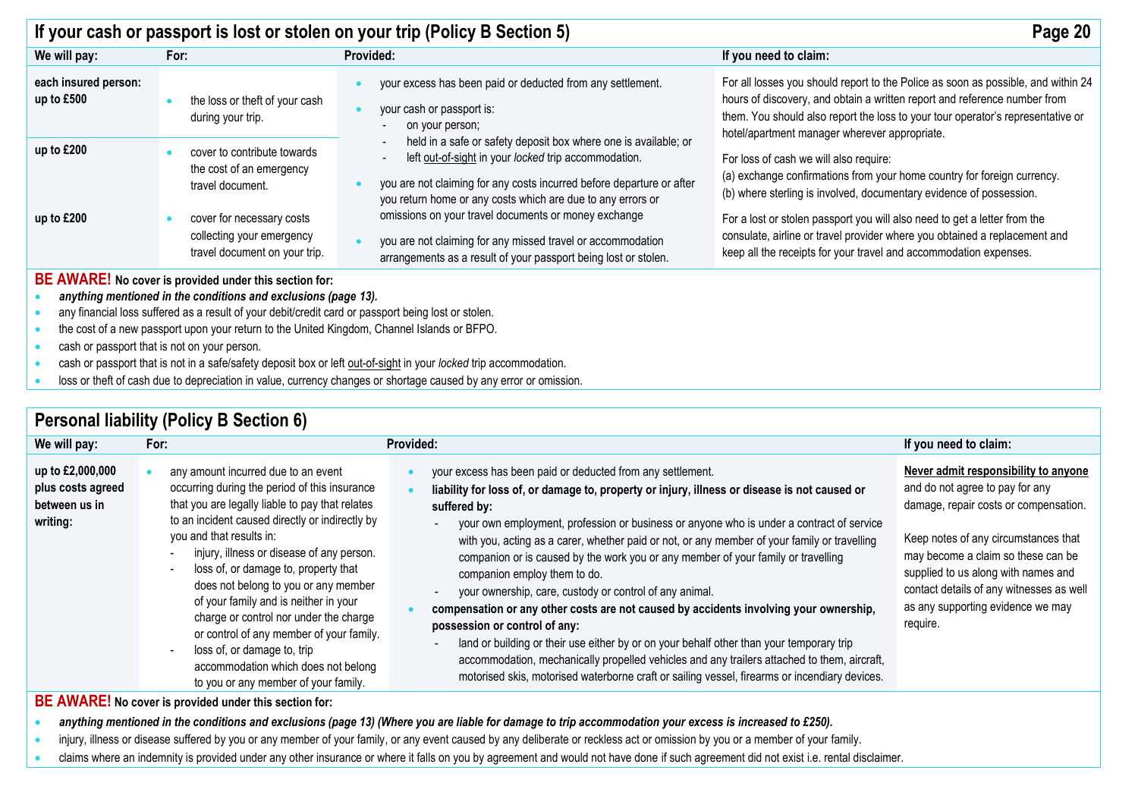|                                                                                                                                                                                                                                                                                                                                                                                                                                                                                         |                                                                                         | If your cash or passport is lost or stolen on your trip (Policy B Section 5)                                                                                                                                                                                    | Page 20                                                                                                                                                                                                                                                                                            |  |
|-----------------------------------------------------------------------------------------------------------------------------------------------------------------------------------------------------------------------------------------------------------------------------------------------------------------------------------------------------------------------------------------------------------------------------------------------------------------------------------------|-----------------------------------------------------------------------------------------|-----------------------------------------------------------------------------------------------------------------------------------------------------------------------------------------------------------------------------------------------------------------|----------------------------------------------------------------------------------------------------------------------------------------------------------------------------------------------------------------------------------------------------------------------------------------------------|--|
| We will pay:                                                                                                                                                                                                                                                                                                                                                                                                                                                                            | For:                                                                                    | Provided:                                                                                                                                                                                                                                                       | If you need to claim:                                                                                                                                                                                                                                                                              |  |
| each insured person:<br>up to $£500$                                                                                                                                                                                                                                                                                                                                                                                                                                                    | the loss or theft of your cash<br>during your trip.                                     | your excess has been paid or deducted from any settlement.<br>your cash or passport is:<br>on your person;                                                                                                                                                      | For all losses you should report to the Police as soon as possible, and within 24<br>hours of discovery, and obtain a written report and reference number from<br>them. You should also report the loss to your tour operator's representative or<br>hotel/apartment manager wherever appropriate. |  |
| up to £200                                                                                                                                                                                                                                                                                                                                                                                                                                                                              | cover to contribute towards<br>the cost of an emergency<br>travel document.             | held in a safe or safety deposit box where one is available; or<br>left out-of-sight in your locked trip accommodation.<br>you are not claiming for any costs incurred before departure or after<br>you return home or any costs which are due to any errors or | For loss of cash we will also require:<br>(a) exchange confirmations from your home country for foreign currency.<br>(b) where sterling is involved, documentary evidence of possession.                                                                                                           |  |
| up to £200                                                                                                                                                                                                                                                                                                                                                                                                                                                                              | cover for necessary costs<br>collecting your emergency<br>travel document on your trip. | omissions on your travel documents or money exchange<br>you are not claiming for any missed travel or accommodation<br>arrangements as a result of your passport being lost or stolen.                                                                          | For a lost or stolen passport you will also need to get a letter from the<br>consulate, airline or travel provider where you obtained a replacement and<br>keep all the receipts for your travel and accommodation expenses.                                                                       |  |
| BE AWARE! No cover is provided under this section for:<br>anything mentioned in the conditions and exclusions (page 13).<br>any financial loss suffered as a result of your debit/credit card or passport being lost or stolen.<br>the cost of a new passport upon your return to the United Kingdom, Channel Islands or BFPO.<br>cash or passport that is not on your person.<br>aaala ay maaqaad dhad iyo ay dhahaadah dagaadd lay ay laft ay ta falyddig wyn lagladdig aagaanaadahaa |                                                                                         |                                                                                                                                                                                                                                                                 |                                                                                                                                                                                                                                                                                                    |  |

- cash or passport that is not in a safe/safety deposit box or left out-of-sight in your *locked* trip accommodation.
- loss or theft of cash due to depreciation in value, currency changes or shortage caused by any error or omission.

| <b>Personal liability (Policy B Section 6)</b> |  |
|------------------------------------------------|--|
|------------------------------------------------|--|

| We will pay:                                                       | For: |                                                                                                                                                                                                                                                                                                                                                                                                                                                                                                                                                                                                  | Provided:                                                                                                                                                                                                                                                                                                                                                                                                                                                                                                                                                                                                                                                                                                                                                                                                                                                                                                                                                                                                                            | If you need to claim:                                                                                                                                                                                                                                                                                                              |
|--------------------------------------------------------------------|------|--------------------------------------------------------------------------------------------------------------------------------------------------------------------------------------------------------------------------------------------------------------------------------------------------------------------------------------------------------------------------------------------------------------------------------------------------------------------------------------------------------------------------------------------------------------------------------------------------|--------------------------------------------------------------------------------------------------------------------------------------------------------------------------------------------------------------------------------------------------------------------------------------------------------------------------------------------------------------------------------------------------------------------------------------------------------------------------------------------------------------------------------------------------------------------------------------------------------------------------------------------------------------------------------------------------------------------------------------------------------------------------------------------------------------------------------------------------------------------------------------------------------------------------------------------------------------------------------------------------------------------------------------|------------------------------------------------------------------------------------------------------------------------------------------------------------------------------------------------------------------------------------------------------------------------------------------------------------------------------------|
| up to £2,000,000<br>plus costs agreed<br>between us in<br>writing: |      | any amount incurred due to an event<br>occurring during the period of this insurance<br>that you are legally liable to pay that relates<br>to an incident caused directly or indirectly by<br>you and that results in:<br>injury, illness or disease of any person.<br>loss of, or damage to, property that<br>does not belong to you or any member<br>of your family and is neither in your<br>charge or control nor under the charge<br>or control of any member of your family.<br>loss of, or damage to, trip<br>accommodation which does not belong<br>to you or any member of your family. | your excess has been paid or deducted from any settlement.<br>liability for loss of, or damage to, property or injury, illness or disease is not caused or<br>suffered by:<br>your own employment, profession or business or anyone who is under a contract of service<br>with you, acting as a carer, whether paid or not, or any member of your family or travelling<br>companion or is caused by the work you or any member of your family or travelling<br>companion employ them to do.<br>your ownership, care, custody or control of any animal.<br>$\overline{\phantom{a}}$<br>compensation or any other costs are not caused by accidents involving your ownership,<br>possession or control of any:<br>land or building or their use either by or on your behalf other than your temporary trip<br>$\overline{\phantom{a}}$<br>accommodation, mechanically propelled vehicles and any trailers attached to them, aircraft,<br>motorised skis, motorised waterborne craft or sailing vessel, firearms or incendiary devices. | Never admit responsibility to anyone<br>and do not agree to pay for any<br>damage, repair costs or compensation.<br>Keep notes of any circumstances that<br>may become a claim so these can be<br>supplied to us along with names and<br>contact details of any witnesses as well<br>as any supporting evidence we may<br>require. |
|                                                                    |      | BE AWARE! No cover is provided under this section for:                                                                                                                                                                                                                                                                                                                                                                                                                                                                                                                                           |                                                                                                                                                                                                                                                                                                                                                                                                                                                                                                                                                                                                                                                                                                                                                                                                                                                                                                                                                                                                                                      |                                                                                                                                                                                                                                                                                                                                    |

• *anything mentioned in the conditions and exclusions (page 13) (Where you are liable for damage to trip accommodation your excess is increased to £250).*

- injury, illness or disease suffered by you or any member of your family, or any event caused by any deliberate or reckless act or omission by you or a member of your family.
- claims where an indemnity is provided under any other insurance or where it falls on you by agreement and would not have done if such agreement did not exist i.e. rental disclaimer.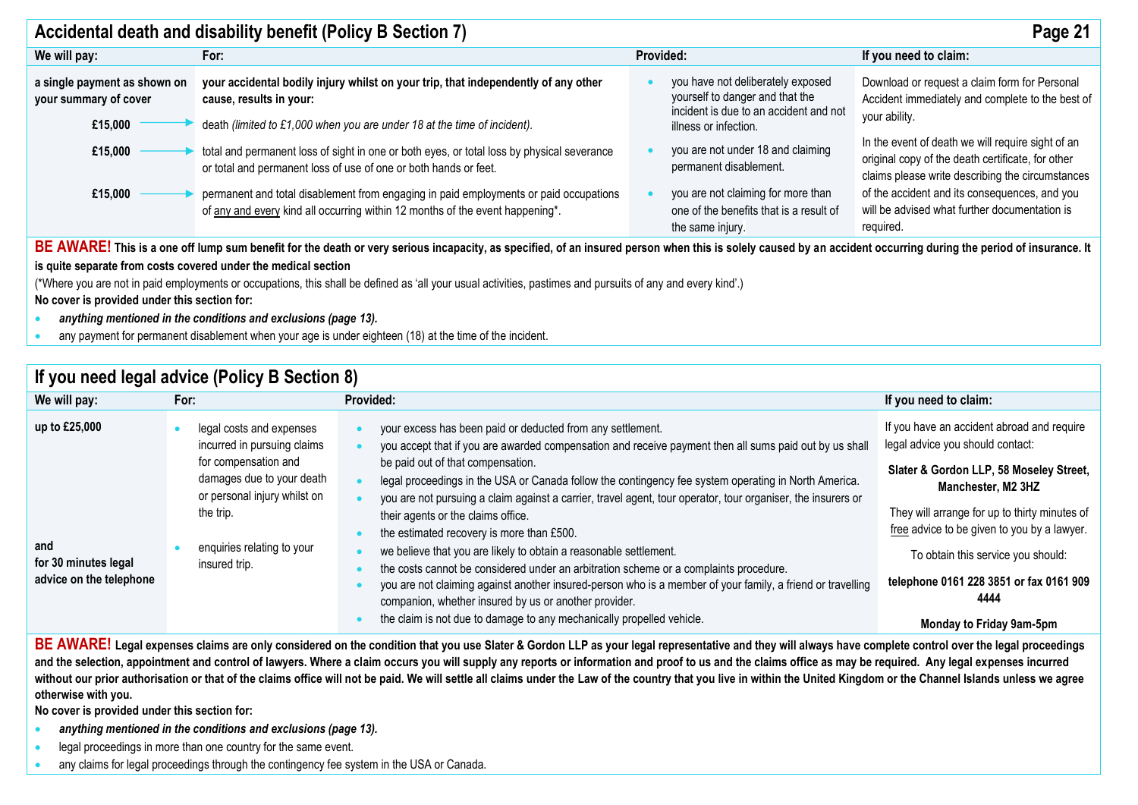| Accidental death and disability benefit (Policy B Section 7)<br>Page 21 |                                                                                                                                                                                                                                            |                                                                                                                |                                                                                                                                                            |  |
|-------------------------------------------------------------------------|--------------------------------------------------------------------------------------------------------------------------------------------------------------------------------------------------------------------------------------------|----------------------------------------------------------------------------------------------------------------|------------------------------------------------------------------------------------------------------------------------------------------------------------|--|
| We will pay:                                                            | For:                                                                                                                                                                                                                                       | Provided:                                                                                                      | If you need to claim:                                                                                                                                      |  |
| a single payment as shown on<br>your summary of cover<br>£15,000        | your accidental bodily injury whilst on your trip, that independently of any other<br>cause, results in your:                                                                                                                              | you have not deliberately exposed<br>yourself to danger and that the<br>incident is due to an accident and not | Download or request a claim form for Personal<br>Accident immediately and complete to the best of<br>your ability.                                         |  |
| £15,000                                                                 | death (limited to £1,000 when you are under 18 at the time of incident).<br>total and permanent loss of sight in one or both eyes, or total loss by physical severance<br>or total and permanent loss of use of one or both hands or feet. | illness or infection.<br>you are not under 18 and claiming<br>permanent disablement.                           | In the event of death we will require sight of an<br>original copy of the death certificate, for other<br>claims please write describing the circumstances |  |
| £15,000                                                                 | permanent and total disablement from engaging in paid employments or paid occupations<br>of any and every kind all occurring within 12 months of the event happening*.                                                                     | you are not claiming for more than<br>one of the benefits that is a result of<br>the same injury.              | of the accident and its consequences, and you<br>will be advised what further documentation is<br>required.                                                |  |

BE AWARE! This is a one off lump sum benefit for the death or very serious incapacity, as specified, of an insured person when this is solely caused by an accident occurring during the period of insurance. It **is quite separate from costs covered under the medical section** 

(\*Where you are not in paid employments or occupations, this shall be defined as 'all your usual activities, pastimes and pursuits of any and every kind'.)

**No cover is provided under this section for:**

- *anything mentioned in the conditions and exclusions (page 13).*
- any payment for permanent disablement when your age is under eighteen (18) at the time of the incident.

| If you need legal advice (Policy B Section 8)                           |                                                                                                                                                                                                          |                                                                                                                                                                                                                                                                                                                                                                                                                                                                                                                                                                                                                                                                                                                                                                                                                                                                                                                                    |                                                                                                                                                                                                                                                                                                                                                                      |  |  |
|-------------------------------------------------------------------------|----------------------------------------------------------------------------------------------------------------------------------------------------------------------------------------------------------|------------------------------------------------------------------------------------------------------------------------------------------------------------------------------------------------------------------------------------------------------------------------------------------------------------------------------------------------------------------------------------------------------------------------------------------------------------------------------------------------------------------------------------------------------------------------------------------------------------------------------------------------------------------------------------------------------------------------------------------------------------------------------------------------------------------------------------------------------------------------------------------------------------------------------------|----------------------------------------------------------------------------------------------------------------------------------------------------------------------------------------------------------------------------------------------------------------------------------------------------------------------------------------------------------------------|--|--|
| We will pay:                                                            | For:                                                                                                                                                                                                     | Provided:                                                                                                                                                                                                                                                                                                                                                                                                                                                                                                                                                                                                                                                                                                                                                                                                                                                                                                                          | If you need to claim:                                                                                                                                                                                                                                                                                                                                                |  |  |
| up to £25,000<br>and<br>for 30 minutes legal<br>advice on the telephone | legal costs and expenses<br>incurred in pursuing claims<br>for compensation and<br>damages due to your death<br>or personal injury whilst on<br>the trip.<br>enquiries relating to your<br>insured trip. | your excess has been paid or deducted from any settlement.<br>you accept that if you are awarded compensation and receive payment then all sums paid out by us shall<br>be paid out of that compensation.<br>legal proceedings in the USA or Canada follow the contingency fee system operating in North America.<br>you are not pursuing a claim against a carrier, travel agent, tour operator, tour organiser, the insurers or<br>their agents or the claims office.<br>the estimated recovery is more than £500.<br>we believe that you are likely to obtain a reasonable settlement.<br>the costs cannot be considered under an arbitration scheme or a complaints procedure.<br>you are not claiming against another insured-person who is a member of your family, a friend or travelling<br>companion, whether insured by us or another provider.<br>the claim is not due to damage to any mechanically propelled vehicle. | If you have an accident abroad and require<br>legal advice you should contact:<br>Slater & Gordon LLP, 58 Moseley Street,<br>Manchester, M2 3HZ<br>They will arrange for up to thirty minutes of<br>free advice to be given to you by a lawyer.<br>To obtain this service you should:<br>telephone 0161 228 3851 or fax 0161 909<br>4444<br>Monday to Friday 9am-5pm |  |  |

BE AWARE! Legal expenses claims are only considered on the condition that you use Slater & Gordon LLP as your legal representative and they will always have complete control over the legal proceedings and the selection, appointment and control of lawyers. Where a claim occurs you will supply any reports or information and proof to us and the claims office as may be required. Any legal expenses incurred without our prior authorisation or that of the claims office will not be paid. We will settle all claims under the Law of the country that you live in within the United Kingdom or the Channel Islands unless we agree **otherwise with you.**

**No cover is provided under this section for:**

- *anything mentioned in the conditions and exclusions (page 13).*
- legal proceedings in more than one country for the same event.
- any claims for legal proceedings through the contingency fee system in the USA or Canada.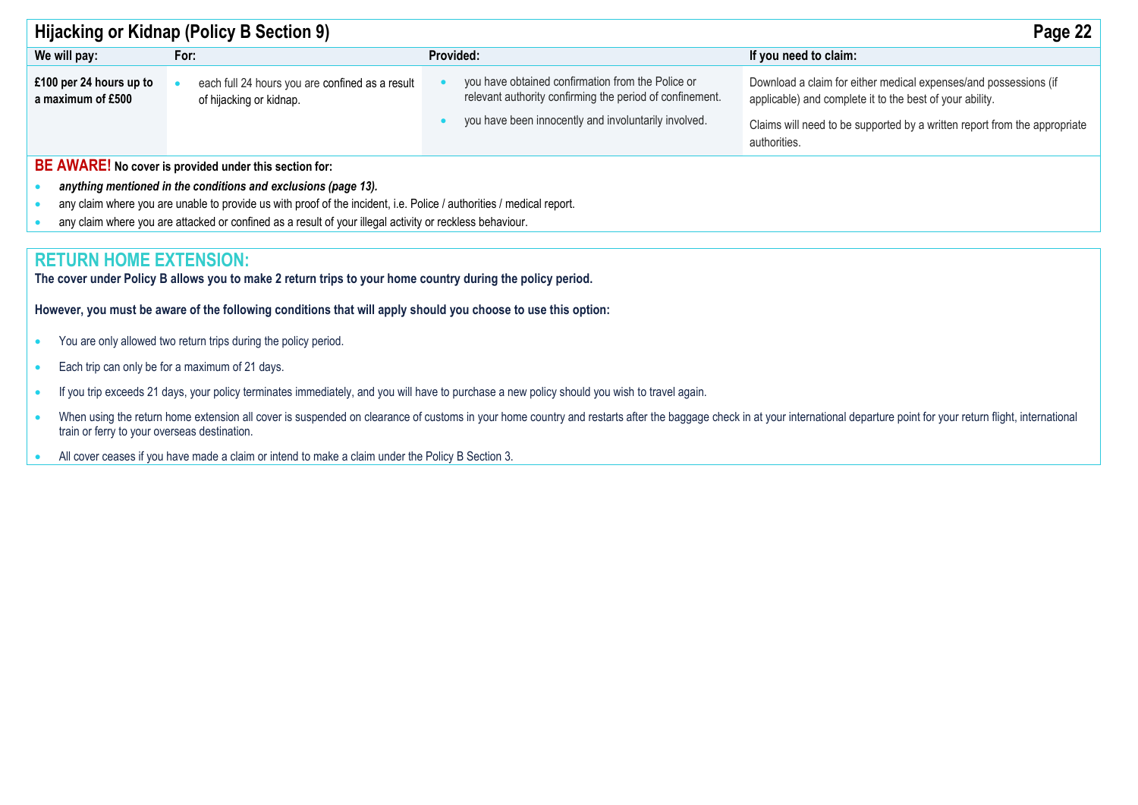| Hijacking or Kidnap (Policy B Section 9)<br>Page 22                                                      |                                                                                                                      |                                                                                                                                                                       |                                                                                                                                                                                                           |  |  |
|----------------------------------------------------------------------------------------------------------|----------------------------------------------------------------------------------------------------------------------|-----------------------------------------------------------------------------------------------------------------------------------------------------------------------|-----------------------------------------------------------------------------------------------------------------------------------------------------------------------------------------------------------|--|--|
| We will pay:                                                                                             | For:                                                                                                                 | <b>Provided:</b>                                                                                                                                                      | If you need to claim:                                                                                                                                                                                     |  |  |
| £100 per 24 hours up to<br>a maximum of £500                                                             | each full 24 hours you are confined as a result<br>of hijacking or kidnap.                                           | you have obtained confirmation from the Police or<br>relevant authority confirming the period of confinement.<br>you have been innocently and involuntarily involved. | Download a claim for either medical expenses/and possessions (if<br>applicable) and complete it to the best of your ability.<br>Claims will need to be supported by a written report from the appropriate |  |  |
|                                                                                                          |                                                                                                                      |                                                                                                                                                                       | authorities.                                                                                                                                                                                              |  |  |
|                                                                                                          | BE AWARE! No cover is provided under this section for:                                                               |                                                                                                                                                                       |                                                                                                                                                                                                           |  |  |
|                                                                                                          | anything mentioned in the conditions and exclusions (page 13).                                                       |                                                                                                                                                                       |                                                                                                                                                                                                           |  |  |
|                                                                                                          | any claim where you are unable to provide us with proof of the incident, i.e. Police / authorities / medical report. |                                                                                                                                                                       |                                                                                                                                                                                                           |  |  |
| any claim where you are attacked or confined as a result of your illegal activity or reckless behaviour. |                                                                                                                      |                                                                                                                                                                       |                                                                                                                                                                                                           |  |  |
|                                                                                                          |                                                                                                                      |                                                                                                                                                                       |                                                                                                                                                                                                           |  |  |
| <b>RETURN HOME EXTENSION:</b>                                                                            |                                                                                                                      |                                                                                                                                                                       |                                                                                                                                                                                                           |  |  |

**The cover under Policy B allows you to make 2 return trips to your home country during the policy period.** 

**However, you must be aware of the following conditions that will apply should you choose to use this option:** 

- You are only allowed two return trips during the policy period.
- Each trip can only be for a maximum of 21 days.
- If you trip exceeds 21 days, your policy terminates immediately, and you will have to purchase a new policy should you wish to travel again.
- When using the return home extension all cover is suspended on clearance of customs in your home country and restarts after the baggage check in at your international departure point for your return flight, international train or ferry to your overseas destination.
- All cover ceases if you have made a claim or intend to make a claim under the Policy B Section 3.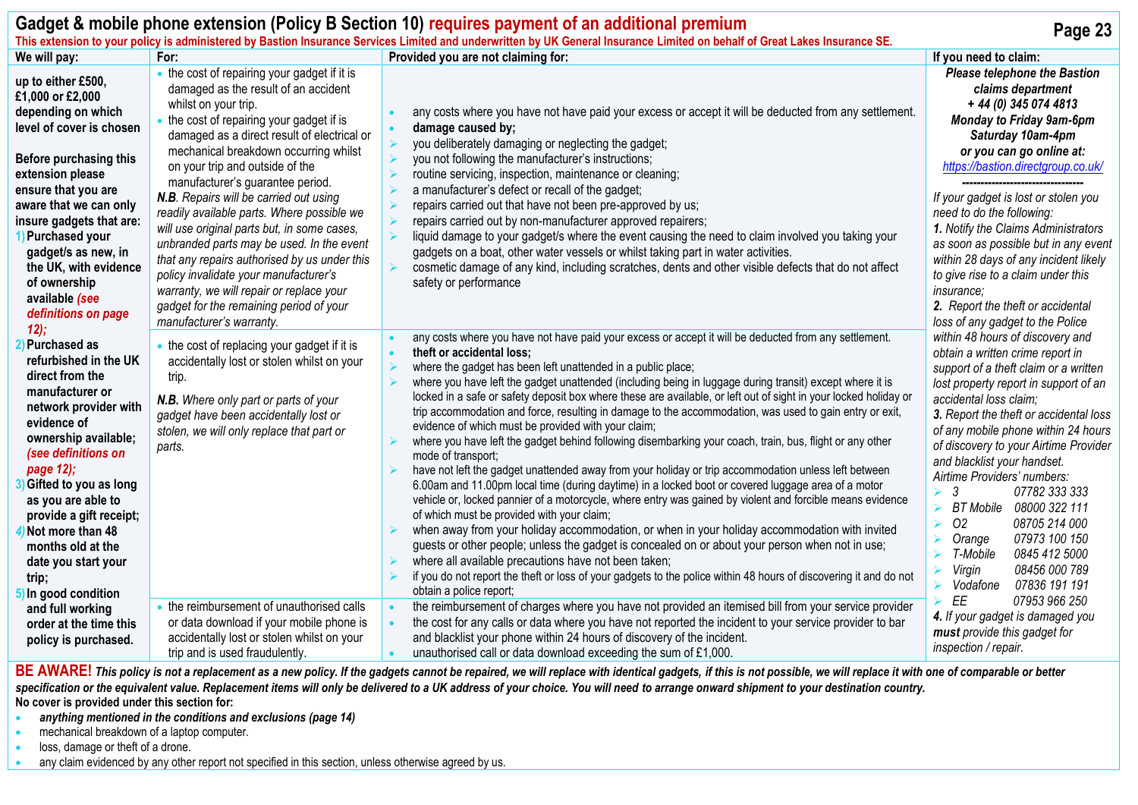| Gadget & mobile phone extension (Policy B Section 10) requires payment of an additional premium<br>Page 23<br>This extension to your policy is administered by Bastion Insurance Services Limited and underwritten by UK General Insurance Limited on behalf of Great Lakes Insurance SE.                                                                             |                                                                                                                                                                                                                                                                                                                                                                                                                                                                                                              |                                                                                                                                                                                                                                                                                                                                                                                                                                                                                                                                                                                                                                                                                                                                                                                                                                                                                                                                                                                                                                                                                                                                                                                                                                                                                                                                                                                                                                                                                                                             |                                                                                                                                                                                                                                                                                                                                                                                                                                                                                                                                                                                                                                                                                 |
|-----------------------------------------------------------------------------------------------------------------------------------------------------------------------------------------------------------------------------------------------------------------------------------------------------------------------------------------------------------------------|--------------------------------------------------------------------------------------------------------------------------------------------------------------------------------------------------------------------------------------------------------------------------------------------------------------------------------------------------------------------------------------------------------------------------------------------------------------------------------------------------------------|-----------------------------------------------------------------------------------------------------------------------------------------------------------------------------------------------------------------------------------------------------------------------------------------------------------------------------------------------------------------------------------------------------------------------------------------------------------------------------------------------------------------------------------------------------------------------------------------------------------------------------------------------------------------------------------------------------------------------------------------------------------------------------------------------------------------------------------------------------------------------------------------------------------------------------------------------------------------------------------------------------------------------------------------------------------------------------------------------------------------------------------------------------------------------------------------------------------------------------------------------------------------------------------------------------------------------------------------------------------------------------------------------------------------------------------------------------------------------------------------------------------------------------|---------------------------------------------------------------------------------------------------------------------------------------------------------------------------------------------------------------------------------------------------------------------------------------------------------------------------------------------------------------------------------------------------------------------------------------------------------------------------------------------------------------------------------------------------------------------------------------------------------------------------------------------------------------------------------|
| We will pay:                                                                                                                                                                                                                                                                                                                                                          | For:                                                                                                                                                                                                                                                                                                                                                                                                                                                                                                         | Provided you are not claiming for:                                                                                                                                                                                                                                                                                                                                                                                                                                                                                                                                                                                                                                                                                                                                                                                                                                                                                                                                                                                                                                                                                                                                                                                                                                                                                                                                                                                                                                                                                          | If you need to claim:                                                                                                                                                                                                                                                                                                                                                                                                                                                                                                                                                                                                                                                           |
| up to either £500,<br>£1,000 or £2,000<br>depending on which<br>level of cover is chosen                                                                                                                                                                                                                                                                              | • the cost of repairing your gadget if it is<br>damaged as the result of an accident<br>whilst on your trip.<br>the cost of repairing your gadget if is<br>damaged as a direct result of electrical or                                                                                                                                                                                                                                                                                                       | any costs where you have not have paid your excess or accept it will be deducted from any settlement.<br>damage caused by;<br>you deliberately damaging or neglecting the gadget;                                                                                                                                                                                                                                                                                                                                                                                                                                                                                                                                                                                                                                                                                                                                                                                                                                                                                                                                                                                                                                                                                                                                                                                                                                                                                                                                           | <b>Please telephone the Bastion</b><br>claims department<br>+ 44 (0) 345 074 4813<br><b>Monday to Friday 9am-6pm</b><br>Saturday 10am-4pm                                                                                                                                                                                                                                                                                                                                                                                                                                                                                                                                       |
| Before purchasing this<br>extension please<br>ensure that you are<br>aware that we can only<br>insure gadgets that are:<br>1) Purchased your<br>gadget/s as new, in<br>the UK, with evidence<br>of ownership<br>available (see<br>definitions on page                                                                                                                 | mechanical breakdown occurring whilst<br>on your trip and outside of the<br>manufacturer's guarantee period.<br>N.B. Repairs will be carried out using<br>readily available parts. Where possible we<br>will use original parts but, in some cases,<br>unbranded parts may be used. In the event<br>that any repairs authorised by us under this<br>policy invalidate your manufacturer's<br>warranty, we will repair or replace your<br>gadget for the remaining period of your<br>manufacturer's warranty. | you not following the manufacturer's instructions;<br>routine servicing, inspection, maintenance or cleaning;<br>a manufacturer's defect or recall of the gadget;<br>repairs carried out that have not been pre-approved by us;<br>repairs carried out by non-manufacturer approved repairers;<br>liquid damage to your gadget/s where the event causing the need to claim involved you taking your<br>gadgets on a boat, other water vessels or whilst taking part in water activities.<br>cosmetic damage of any kind, including scratches, dents and other visible defects that do not affect<br>safety or performance                                                                                                                                                                                                                                                                                                                                                                                                                                                                                                                                                                                                                                                                                                                                                                                                                                                                                                   | or you can go online at:<br>https://bastion.directgroup.co.uk/<br>If your gadget is lost or stolen you<br>need to do the following:<br>1. Notify the Claims Administrators<br>as soon as possible but in any event<br>within 28 days of any incident likely<br>to give rise to a claim under this<br>insurance;<br>2. Report the theft or accidental<br>loss of any gadget to the Police                                                                                                                                                                                                                                                                                        |
| 12);<br>Purchased as<br>refurbished in the UK<br>direct from the<br>manufacturer or<br>network provider with<br>evidence of<br>ownership available;<br>(see definitions on<br>page 12);<br>Gifted to you as long<br>as you are able to<br>provide a gift receipt;<br>4) Not more than 48<br>months old at the<br>date you start your<br>trip;<br>5) In good condition | • the cost of replacing your gadget if it is<br>accidentally lost or stolen whilst on your<br>trip.<br>N.B. Where only part or parts of your<br>gadget have been accidentally lost or<br>stolen, we will only replace that part or<br>parts.                                                                                                                                                                                                                                                                 | any costs where you have not have paid your excess or accept it will be deducted from any settlement.<br>theft or accidental loss;<br>where the gadget has been left unattended in a public place;<br>where you have left the gadget unattended (including being in luggage during transit) except where it is<br>locked in a safe or safety deposit box where these are available, or left out of sight in your locked holiday or<br>trip accommodation and force, resulting in damage to the accommodation, was used to gain entry or exit,<br>evidence of which must be provided with your claim;<br>where you have left the gadget behind following disembarking your coach, train, bus, flight or any other<br>mode of transport;<br>have not left the gadget unattended away from your holiday or trip accommodation unless left between<br>6.00am and 11.00pm local time (during daytime) in a locked boot or covered luggage area of a motor<br>vehicle or, locked pannier of a motorcycle, where entry was gained by violent and forcible means evidence<br>of which must be provided with your claim;<br>when away from your holiday accommodation, or when in your holiday accommodation with invited<br>guests or other people; unless the gadget is concealed on or about your person when not in use;<br>where all available precautions have not been taken;<br>if you do not report the theft or loss of your gadgets to the police within 48 hours of discovering it and do not<br>obtain a police report; | within 48 hours of discovery and<br>obtain a written crime report in<br>support of a theft claim or a written<br>lost property report in support of an<br>accidental loss claim;<br>3. Report the theft or accidental loss<br>of any mobile phone within 24 hours<br>of discovery to your Airtime Provider<br>and blacklist your handset.<br>Airtime Providers' numbers:<br>3<br>07782 333 333<br>$\blacktriangle$<br>BT Mobile 08000 322 111<br>$\blacktriangleright$<br>O <sub>2</sub><br>08705 214 000<br>$\blacktriangleleft$<br>07973 100 150<br>Orange<br>T-Mobile<br>0845 412 5000<br>$\blacktriangleright$<br>08456 000 789<br>Virgin<br>⋗<br>Vodafone<br>07836 191 191 |
| and full working<br>order at the time this<br>policy is purchased.                                                                                                                                                                                                                                                                                                    | • the reimbursement of unauthorised calls<br>or data download if your mobile phone is<br>accidentally lost or stolen whilst on your<br>trip and is used fraudulently.                                                                                                                                                                                                                                                                                                                                        | the reimbursement of charges where you have not provided an itemised bill from your service provider<br>the cost for any calls or data where you have not reported the incident to your service provider to bar<br>and blacklist your phone within 24 hours of discovery of the incident.<br>unauthorised call or data download exceeding the sum of £1,000.                                                                                                                                                                                                                                                                                                                                                                                                                                                                                                                                                                                                                                                                                                                                                                                                                                                                                                                                                                                                                                                                                                                                                                | 07953 966 250<br>EE<br>4. If your gadget is damaged you<br>must provide this gadget for<br>inspection / repair.                                                                                                                                                                                                                                                                                                                                                                                                                                                                                                                                                                 |

BE AWARE! This policy is not a replacement as a new policy. If the gadgets cannot be repaired, we will replace with identical gadgets, if this is not possible, we will replace it with one of comparable or better specification or the equivalent value. Replacement items will only be delivered to a UK address of your choice. You will need to arrange onward shipment to your destination country. **No cover is provided under this section for:**

• *anything mentioned in the conditions and exclusions (page 14)*

• mechanical breakdown of a laptop computer.

• loss, damage or theft of a drone.

any claim evidenced by any other report not specified in this section, unless otherwise agreed by us.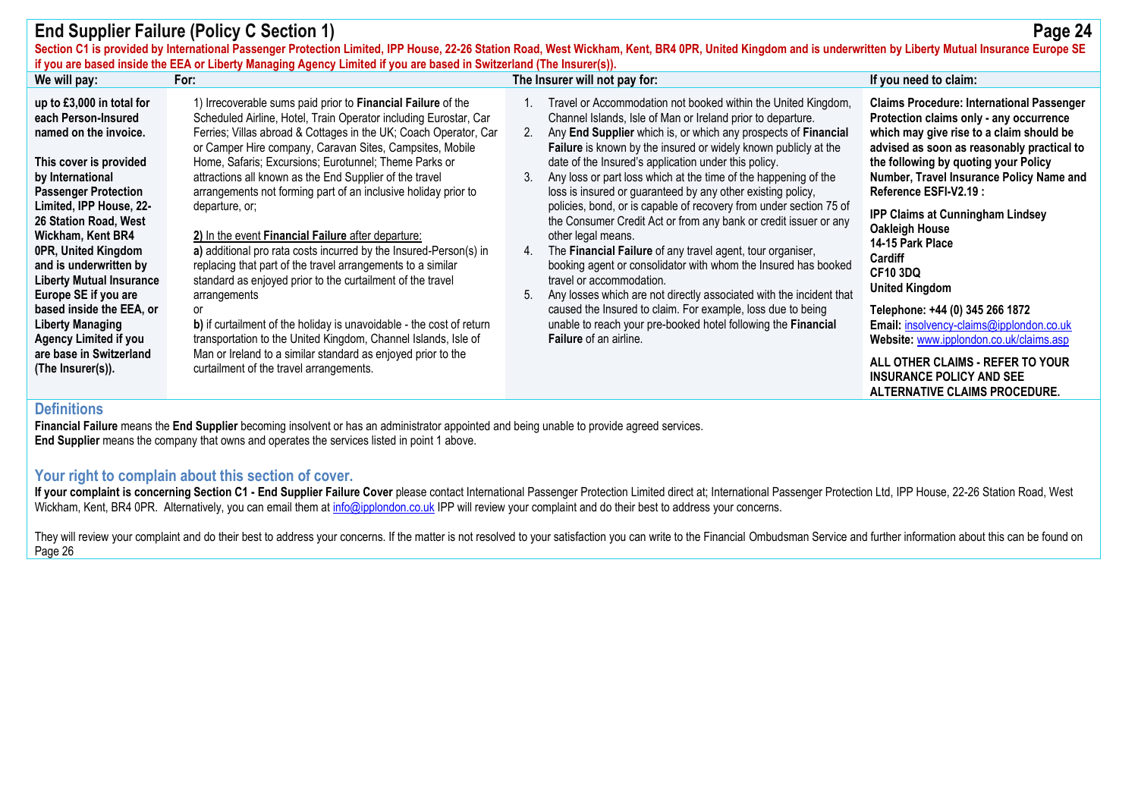|                                                                                                                                                                                                                                                                                                                                                                                                                                                                                    | <b>End Supplier Failure (Policy C Section 1)</b><br>if you are based inside the EEA or Liberty Managing Agency Limited if you are based in Switzerland (The Insurer(s)).                                                                                                                                                                                                                                                                                                                                                                                                                                                                                                                                                                                                                                                                                                                                                                                                                                               | Section C1 is provided by International Passenger Protection Limited, IPP House, 22-26 Station Road, West Wickham, Kent, BR4 0PR, United Kingdom and is underwritten by Liberty Mutual Insurance Europe SE                                                                                                                                                                                                                                                                                                                                                                                                                                                                                                                                                                                                                                                                                                                                                                                                                                              | Page 24                                                                                                                                                                                                                                                                                                                                                                                                                                                                                                                                                                                                                                                                      |
|------------------------------------------------------------------------------------------------------------------------------------------------------------------------------------------------------------------------------------------------------------------------------------------------------------------------------------------------------------------------------------------------------------------------------------------------------------------------------------|------------------------------------------------------------------------------------------------------------------------------------------------------------------------------------------------------------------------------------------------------------------------------------------------------------------------------------------------------------------------------------------------------------------------------------------------------------------------------------------------------------------------------------------------------------------------------------------------------------------------------------------------------------------------------------------------------------------------------------------------------------------------------------------------------------------------------------------------------------------------------------------------------------------------------------------------------------------------------------------------------------------------|---------------------------------------------------------------------------------------------------------------------------------------------------------------------------------------------------------------------------------------------------------------------------------------------------------------------------------------------------------------------------------------------------------------------------------------------------------------------------------------------------------------------------------------------------------------------------------------------------------------------------------------------------------------------------------------------------------------------------------------------------------------------------------------------------------------------------------------------------------------------------------------------------------------------------------------------------------------------------------------------------------------------------------------------------------|------------------------------------------------------------------------------------------------------------------------------------------------------------------------------------------------------------------------------------------------------------------------------------------------------------------------------------------------------------------------------------------------------------------------------------------------------------------------------------------------------------------------------------------------------------------------------------------------------------------------------------------------------------------------------|
| We will pay:                                                                                                                                                                                                                                                                                                                                                                                                                                                                       | For:                                                                                                                                                                                                                                                                                                                                                                                                                                                                                                                                                                                                                                                                                                                                                                                                                                                                                                                                                                                                                   | The Insurer will not pay for:                                                                                                                                                                                                                                                                                                                                                                                                                                                                                                                                                                                                                                                                                                                                                                                                                                                                                                                                                                                                                           | If you need to claim:                                                                                                                                                                                                                                                                                                                                                                                                                                                                                                                                                                                                                                                        |
| up to £3,000 in total for<br>each Person-Insured<br>named on the invoice.<br>This cover is provided<br>by International<br><b>Passenger Protection</b><br>Limited, IPP House, 22-<br>26 Station Road, West<br>Wickham, Kent BR4<br>0PR, United Kingdom<br>and is underwritten by<br><b>Liberty Mutual Insurance</b><br>Europe SE if you are<br>based inside the EEA, or<br><b>Liberty Managing</b><br><b>Agency Limited if you</b><br>are base in Switzerland<br>(The Insurer(s)). | 1) Irrecoverable sums paid prior to Financial Failure of the<br>Scheduled Airline, Hotel, Train Operator including Eurostar, Car<br>Ferries; Villas abroad & Cottages in the UK; Coach Operator, Car<br>or Camper Hire company, Caravan Sites, Campsites, Mobile<br>Home, Safaris; Excursions; Eurotunnel; Theme Parks or<br>attractions all known as the End Supplier of the travel<br>arrangements not forming part of an inclusive holiday prior to<br>departure, or;<br>2) In the event Financial Failure after departure:<br>a) additional pro rata costs incurred by the Insured-Person(s) in<br>replacing that part of the travel arrangements to a similar<br>standard as enjoyed prior to the curtailment of the travel<br>arrangements<br><sub>or</sub><br>b) if curtailment of the holiday is unavoidable - the cost of return<br>transportation to the United Kingdom, Channel Islands, Isle of<br>Man or Ireland to a similar standard as enjoyed prior to the<br>curtailment of the travel arrangements. | Travel or Accommodation not booked within the United Kingdom,<br>Channel Islands, Isle of Man or Ireland prior to departure.<br>Any End Supplier which is, or which any prospects of Financial<br>2.<br>Failure is known by the insured or widely known publicly at the<br>date of the Insured's application under this policy.<br>Any loss or part loss which at the time of the happening of the<br>3.<br>loss is insured or guaranteed by any other existing policy,<br>policies, bond, or is capable of recovery from under section 75 of<br>the Consumer Credit Act or from any bank or credit issuer or any<br>other legal means.<br>The Financial Failure of any travel agent, tour organiser,<br>4.<br>booking agent or consolidator with whom the Insured has booked<br>travel or accommodation.<br>Any losses which are not directly associated with the incident that<br>5.<br>caused the Insured to claim. For example, loss due to being<br>unable to reach your pre-booked hotel following the <b>Financial</b><br>Failure of an airline. | <b>Claims Procedure: International Passenger</b><br>Protection claims only - any occurrence<br>which may give rise to a claim should be<br>advised as soon as reasonably practical to<br>the following by quoting your Policy<br>Number, Travel Insurance Policy Name and<br>Reference ESFI-V2.19:<br><b>IPP Claims at Cunningham Lindsey</b><br>Oakleigh House<br>14-15 Park Place<br>Cardiff<br><b>CF10 3DQ</b><br><b>United Kingdom</b><br>Telephone: +44 (0) 345 266 1872<br>Email: insolvency-claims@ipplondon.co.uk<br>Website: www.ipplondon.co.uk/claims.asp<br>ALL OTHER CLAIMS - REFER TO YOUR<br><b>INSURANCE POLICY AND SEE</b><br>ALTERNATIVE CLAIMS PROCEDURE. |

# **Definitions**

**Financial Failure** means the **End Supplier** becoming insolvent or has an administrator appointed and being unable to provide agreed services. **End Supplier** means the company that owns and operates the services listed in point 1 above.

### **Your right to complain about this section of cover.**

If your complaint is concerning Section C1 - End Supplier Failure Cover please contact International Passenger Protection Limited direct at; International Passenger Protection Lid, IPP House, 22-26 Station Road, West Wickham, Kent, BR4 0PR. Alternatively, you can email them at [info@ipplondon.co.uk](mailto:info@ipplondon.co.uk) IPP will review your complaint and do their best to address your concerns.

They will review your complaint and do their best to address your concerns. If the matter is not resolved to your satisfaction you can write to the Financial Ombudsman Service and further information about this can be foun Page 26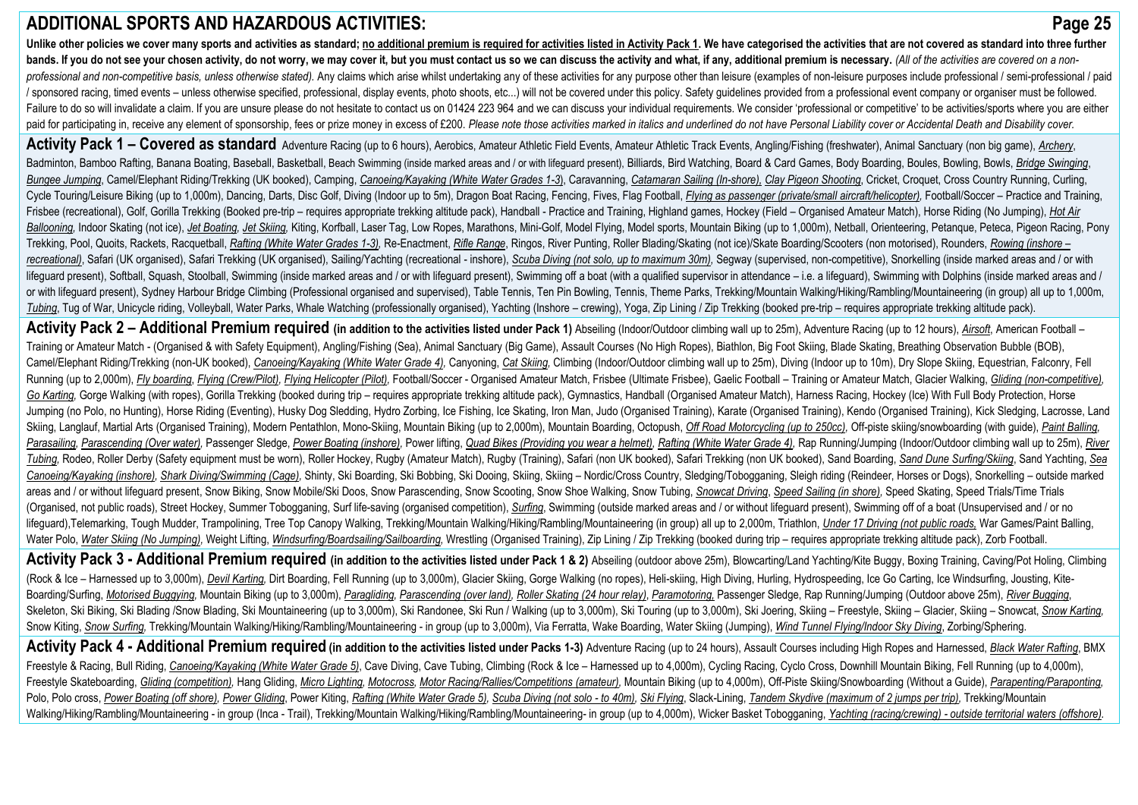# **ADDITIONAL SPORTS AND HAZARDOUS ACTIVITIES: Page 25**

Unlike other policies we cover many sports and activities as standard: no additional premium is required for activities listed in Activity Pack 1. We have categorised the activities that are not covered as standard into th bands. If you do not see your chosen activity, do not worry, we may cover it, but you must contact us so we can discuss the activity and what, if any, additional premium is necessary, (All of the activities are covered on professional and non-competitive basis, unless otherwise stated). Any claims which arise whilst undertaking any of these activities for any purpose other than leisure (examples of non-leisure purposes include professional / sponsored racing, timed events – unless otherwise specified, professional, display events, photo shoots, etc...) will not be covered under this policy. Safety quidelines provided from a professional event company or orga Failure to do so will invalidate a claim. If you are unsure please do not hesitate to contact us on 01424 223 964 and we can discuss your individual requirements. We consider 'professional or competitive' to be activities/ paid for participating in, receive any element of sponsorship, fees or prize money in excess of £200. Please note those activities marked in italics and underlined do not have Personal Liability cover or Accidental Death a

Activitv Pack 1 - Covered as standard Adventure Racing (up to 6 hours), Aerobics, Amateur Athletic Field Events, Amateur Athletic Track Events, Angling/Fishing (freshwater), Animal Sanctuary (non big game), Archery, Badminton. Bamboo Rafting. Banana Boating. Baseball. Basketball. Beach Swimming (inside marked areas and / or with lifequard present). Billiards. Bird Watching, Board & Card Games, Body Boarding, Boules, Bowling, Bowls, Br Bungee Jumping, Camel/Elephant Riding/Trekking (UK booked), Camping, Canoeing/Kavaking (White Water Grades 1-3), Carayanning, Catamaran Sailing (In-shore), Clav Pigeon Shooting, Cricket, Croquet, Cross Country Running, Cur Cycle Touring/Leisure Biking (up to 1,000m), Dancing, Darts, Disc Golf, Diving (Indoor up to 5m), Dragon Boat Racing, Fencing, Fives, Flag Football, Flying as passenger (private/small aircraft/helicopter), Football/Soccer Frisbee (recreational), Golf, Gorilla Trekking (Booked pre-trip - requires appropriate trekking altitude pack), Handball - Practice and Training, Highland games, Hockey (Field - Organised Amateur Match), Horse Riding (No J Ballooning, Indoor Skating (not ice), Jet Boating, Jet Skiing, Kiting, Korfball, Laser Tag, Low Ropes, Marathons, Mini-Golf, Model Flying, Model sports, Mountain Biking (up to 1,000m), Netball, Orienteering, Petangue, Peta Trekking, Pool, Quoits, Rackets, Racquetball, Rafting (White Water Grades 1-3), Re-Enactment, Rifle Range, Ringos, River Punting, Roller Blading/Skating (not ice)/Skate Boarding/Scooters (non motorised), Rounders, Rowing ( recreational), Safari (UK organised), Safari Trekking (UK organised), Sailing/Yachting (recreational - inshore), Scuba Diving (not solo, up to maximum 30m), Segway (supervised, non-competitive), Snorkelling (inside marked lifequard present), Softball, Squash, Stoolball, Swimming (inside marked areas and / or with lifequard present), Swimming off a boat (with a qualified supervisor in attendance - i.e. a lifequard), Swimming with Dolphins (i or with lifeguard present), Sydney Harbour Bridge Climbing (Professional organised and supervised), Table Tennis, Ten Pin Bowling, Tennis, Theme Parks, Trekking/Mountain Walking/Hiking/Rambling/Mountaineering (in group) al Tubing, Tug of War, Unicycle riding, Volleyball, Water Parks, Whale Watching (professionally organised), Yachting (Inshore - crewing), Yoga, Zip Lining / Zip Trekking (booked pre-trip - requires appropriate trekking altitu

Activity Pack 2 - Additional Premium required (in addition to the activities listed under Pack 1) Abseiling (Indoor/Outdoor climbing wall up to 25m), Adventure Racing (up to 12 hours), Airsoft, American Football -Training or Amateur Match - (Organised & with Safety Equipment), Angling/Fishing (Sea), Animal Sanctuary (Big Game), Assault Courses (No High Ropes), Biathlon, Big Foot Skiing, Blade Skating, Breathing Observation Bubble ( Camel/Elephant Riding/Trekking (non-UK booked), Canoeing/Kayaking (White Water Grade 4), Canyoning, Cat Skiing, Climbing (Indoor/Outdoor climbing wall up to 25m), Diving (Indoor up to 10m), Dry Slope Skiing, Equestrian, Fa Running (up to 2.000m), Fly boarding, Flying (Crew/Pilot), Flying Helicopter (Pilot), Football/Soccer - Organised Amateur Match, Frisbee (Ultimate Frisbee), Gaelic Football - Training or Amateur Match, Glacier Walking, Gli Go Karting, Gorge Walking (with ropes), Gorilla Trekking (booked during trip – requires appropriate trekking altitude pack), Gymnastics, Handball (Organised Amateur Match), Harness Racing, Hockey (Ice) With Full Body Prote Jumping (no Polo, no Hunting), Horse Riding (Eventing), Husky Dog Sledding, Hydro Zorbing, Ice Fishing, Ice Skating, Iron Man, Judo (Organised Training), Karate (Organised Training), Kendo (Organised Training), Kick Sledgi Skiing, Langlauf, Martial Arts (Organised Training), Modern Pentathlon, Mono-Skiing, Mountain Biking (up to 2,000m), Mountain Boarding, Octopush, Off Road Motorcycling (up to 250cc), Off-piste skiing/snowboarding (with gui Parasailing, Parascending (Over water), Passenger Sledge, Power Boating (inshore), Power lifting, Quad Bikes (Providing you wear a helmet), Rafting (White Water Grade 4), Rap Running/Jumping (Indoor/Outdoor climbing wall u Tubing, Rodeo, Roller Derby (Safety equipment must be worn), Roller Hockey, Rugby (Amateur Match), Rugby (Training), Safari (non UK booked), Safari Trekking (non UK booked), Sand Boarding, Sand Dune Surfing/Skiing, Sand Ya Canoeing/Kayaking (inshore), Shark Diving/Swimming (Cage), Shinty, Ski Boarding, Ski Bobbing, Ski Dooing, Skiing, Skiing - Nordic/Cross Country, Sledging/Tobogganing, Sleigh riding (Reindeer, Horses or Dogs), Snorkelling areas and / or without lifeguard present, Snow Biking, Snow Mobile/Ski Doos, Snow Parascending, Snow Scooting, Snow Shoe Walking, Snow Tubing, Snowcat Driving, Speed Sailing (in shore), Speed Skating, Speed Trials/Time Tri (Organised, not public roads), Street Hockey, Summer Tobogganing, Surf life-saving (organised competition), Surfing, Swimming (outside marked areas and / or without lifeguard present), Swimming off of a boat (Unsupervised lifeguard),Telemarking, Tough Mudder, Trampolining, Tree Top Canopy Walking, Trekking/Mountain Walking/Hiking/Rambling/Mountaineering (in group) all up to 2,000m, Triathlon, Under 17 Driving (not public roads, War Games/Pa Water Polo, Water Skiing (No Jumping), Weight Lifting, Windsurfing/Boardsailing/Sailboarding, Wrestling (Organised Training), Zip Lining / Zip Trekking (booked during trip - requires appropriate trekking altitude pack), Zo

Activity Pack 3 - Additional Premium required (in addition to the activities listed under Pack 1 & 2) Abseiling (outdoor above 25m), Blowcarting/Land Yachting/Kite Buggy, Boxing Training, Caving/Pot Holing, Climbing (Rock & Ice - Harnessed up to 3,000m), Devil Karting, Dirt Boarding, Fell Running (up to 3,000m), Glacier Skiing, Gorge Walking (no ropes), Heli-skiing, High Diving, Hurling, Hydrospeeding, Ice Go Carting, Ice Windsurfing, Boarding/Surfing, Motorised Buggying, Mountain Biking (up to 3,000m), Paragliding, Parascending (over land), Roller Skating (24 hour relay), Paramotoring, Passenger Sledge, Rap Running/Jumping (Outdoor above 25m), River Bu Skeleton, Ski Biking, Ski Blading /Snow Blading, Ski Mountaineering (up to 3,000m), Ski Randonee, Ski Run / Walking (up to 3,000m), Ski Touring (up to 3,000m), Ski Joering, Skiing - Freestyle, Skiing - Glacier, Skiing - Sn Snow Kiting, Snow Surfing, Trekking/Mountain Walking/Hiking/Rambling/Mountaineering - in group (up to 3,000m), Via Ferratta, Wake Boarding, Water Skiing (Jumping), Wind Tunnel Flying/Indoor Sky Diving, Zorbing/Sphering.

Activity Pack 4 - Additional Premium required (in addition to the activities listed under Packs 1-3) Adventure Racing (up to 24 hours), Assault Courses including High Ropes and Harnessed, Black Water Rafting, BMX Freestyle & Racing, Bull Riding, Canoeing/Kayaking (White Water Grade 5), Cave Diving, Cave Tubing, Climbing (Rock & Ice - Harnessed up to 4,000m), Cycling Racing, Cyclo Cross, Downhill Mountain Biking, Fell Running (up to Freestyle Skateboarding, Gliding (competition), Hang Gliding, Micro Lighting, Motocross, Motor Racing/Rallies/Competitions (amateur), Mountain Biking (up to 4,000m), Off-Piste Skiing/Snowboarding (Without a Guide), Parapen Polo, Polo cross, Power Boating (off shore), Power Gliding, Power Kiting, Rafting (White Water Grade 5), Scuba Diving (not solo - to 40m), Ski Flying, Slack-Lining, Tandem Skydive (maximum of 2 jumps per trip), Trekking/Mo Walking/Hiking/Rambling/Mountaineering - in group (Inca - Trail), Trekking/Mountain Walking/Hiking/Hiking/Rambling/Mountaineering- in group (up to 4,000m), Wicker Basket Tobogganing, Yachting (racing/crewing) - outside ter